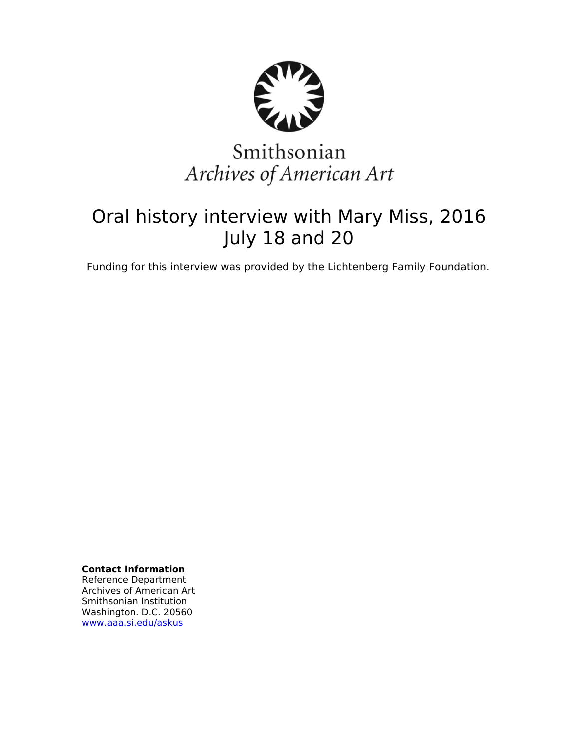

# Smithsonian Archives of American Art

# Oral history interview with Mary Miss, 2016 July 18 and 20

Funding for this interview was provided by the Lichtenberg Family Foundation.

**Contact Information** Reference Department Archives of American Art Smithsonian Institution Washington. D.C. 20560 [www.aaa.si.edu/askus](http://www.aaa.si.edu/askus)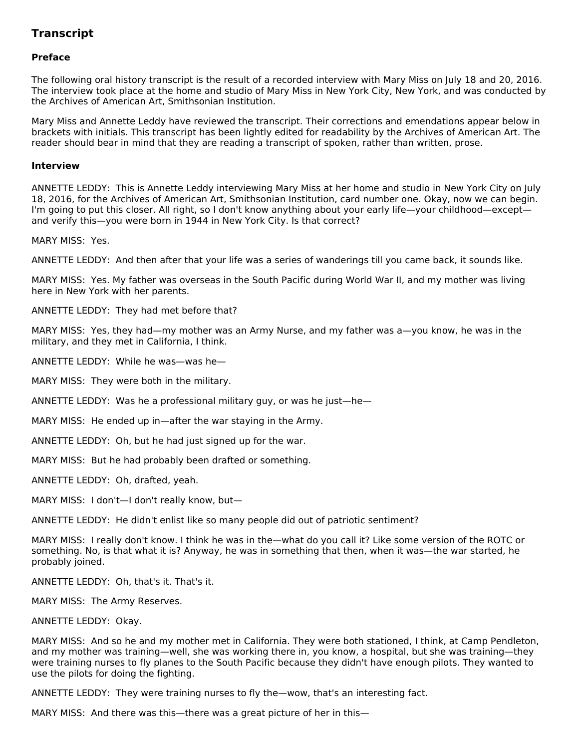# **Transcript**

# **Preface**

The following oral history transcript is the result of a recorded interview with Mary Miss on July 18 and 20, 2016. The interview took place at the home and studio of Mary Miss in New York City, New York, and was conducted by the Archives of American Art, Smithsonian Institution.

Mary Miss and Annette Leddy have reviewed the transcript. Their corrections and emendations appear below in brackets with initials. This transcript has been lightly edited for readability by the Archives of American Art. The reader should bear in mind that they are reading a transcript of spoken, rather than written, prose.

#### **Interview**

ANNETTE LEDDY: This is Annette Leddy interviewing Mary Miss at her home and studio in New York City on July 18, 2016, for the Archives of American Art, Smithsonian Institution, card number one. Okay, now we can begin. I'm going to put this closer. All right, so I don't know anything about your early life—your childhood—except and verify this—you were born in 1944 in New York City. Is that correct?

MARY MISS: Yes.

ANNETTE LEDDY: And then after that your life was a series of wanderings till you came back, it sounds like.

MARY MISS: Yes. My father was overseas in the South Pacific during World War II, and my mother was living here in New York with her parents.

ANNETTE LEDDY: They had met before that?

MARY MISS: Yes, they had—my mother was an Army Nurse, and my father was a—you know, he was in the military, and they met in California, I think.

ANNETTE LEDDY: While he was—was he—

MARY MISS: They were both in the military.

ANNETTE LEDDY: Was he a professional military guy, or was he just—he—

MARY MISS: He ended up in—after the war staying in the Army.

ANNETTE LEDDY: Oh, but he had just signed up for the war.

MARY MISS: But he had probably been drafted or something.

ANNETTE LEDDY: Oh, drafted, yeah.

MARY MISS: I don't—I don't really know, but—

ANNETTE LEDDY: He didn't enlist like so many people did out of patriotic sentiment?

MARY MISS: I really don't know. I think he was in the—what do you call it? Like some version of the ROTC or something. No, is that what it is? Anyway, he was in something that then, when it was—the war started, he probably joined.

ANNETTE LEDDY: Oh, that's it. That's it.

MARY MISS: The Army Reserves.

ANNETTE LEDDY: Okay.

MARY MISS: And so he and my mother met in California. They were both stationed, I think, at Camp Pendleton, and my mother was training—well, she was working there in, you know, a hospital, but she was training—they were training nurses to fly planes to the South Pacific because they didn't have enough pilots. They wanted to use the pilots for doing the fighting.

ANNETTE LEDDY: They were training nurses to fly the—wow, that's an interesting fact.

MARY MISS: And there was this—there was a great picture of her in this—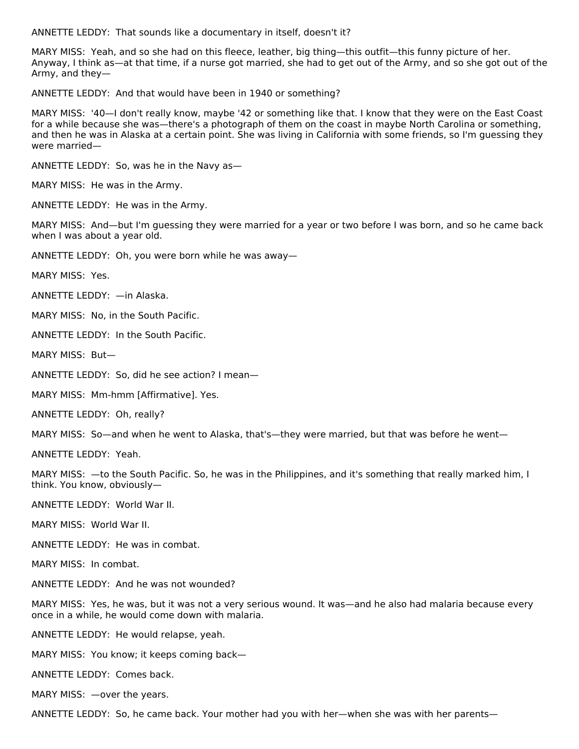ANNETTE LEDDY: That sounds like a documentary in itself, doesn't it?

MARY MISS: Yeah, and so she had on this fleece, leather, big thing—this outfit—this funny picture of her. Anyway, I think as—at that time, if a nurse got married, she had to get out of the Army, and so she got out of the Army, and they—

ANNETTE LEDDY: And that would have been in 1940 or something?

MARY MISS: '40—I don't really know, maybe '42 or something like that. I know that they were on the East Coast for a while because she was—there's a photograph of them on the coast in maybe North Carolina or something, and then he was in Alaska at a certain point. She was living in California with some friends, so I'm guessing they were married—

ANNETTE LEDDY: So, was he in the Navy as—

MARY MISS: He was in the Army.

ANNETTE LEDDY: He was in the Army.

MARY MISS: And—but I'm guessing they were married for a year or two before I was born, and so he came back when I was about a year old.

ANNETTE LEDDY: Oh, you were born while he was away—

MARY MISS: Yes.

ANNETTE LEDDY: —in Alaska.

MARY MISS: No, in the South Pacific.

ANNETTE LEDDY: In the South Pacific.

MARY MISS: But—

ANNETTE LEDDY: So, did he see action? I mean—

MARY MISS: Mm-hmm [Affirmative]. Yes.

ANNETTE LEDDY: Oh, really?

MARY MISS: So—and when he went to Alaska, that's—they were married, but that was before he went—

ANNETTE LEDDY: Yeah.

MARY MISS: —to the South Pacific. So, he was in the Philippines, and it's something that really marked him, I think. You know, obviously—

ANNETTE LEDDY: World War II.

MARY MISS: World War II.

ANNETTE LEDDY: He was in combat.

MARY MISS: In combat.

ANNETTE LEDDY: And he was not wounded?

MARY MISS: Yes, he was, but it was not a very serious wound. It was—and he also had malaria because every once in a while, he would come down with malaria.

ANNETTE LEDDY: He would relapse, yeah.

MARY MISS: You know; it keeps coming back—

ANNETTE LEDDY: Comes back.

MARY MISS: —over the years.

ANNETTE LEDDY: So, he came back. Your mother had you with her—when she was with her parents—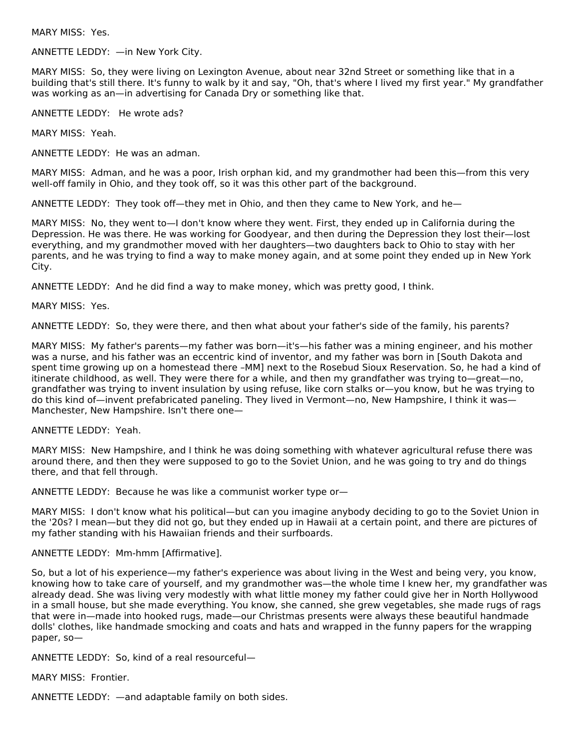MARY MISS: Yes.

ANNETTE LEDDY: —in New York City.

MARY MISS: So, they were living on Lexington Avenue, about near 32nd Street or something like that in a building that's still there. It's funny to walk by it and say, "Oh, that's where I lived my first year." My grandfather was working as an—in advertising for Canada Dry or something like that.

ANNETTE LEDDY: He wrote ads?

MARY MISS: Yeah.

ANNETTE LEDDY: He was an adman.

MARY MISS: Adman, and he was a poor, Irish orphan kid, and my grandmother had been this—from this very well-off family in Ohio, and they took off, so it was this other part of the background.

ANNETTE LEDDY: They took off—they met in Ohio, and then they came to New York, and he—

MARY MISS: No, they went to—I don't know where they went. First, they ended up in California during the Depression. He was there. He was working for Goodyear, and then during the Depression they lost their—lost everything, and my grandmother moved with her daughters—two daughters back to Ohio to stay with her parents, and he was trying to find a way to make money again, and at some point they ended up in New York City.

ANNETTE LEDDY: And he did find a way to make money, which was pretty good, I think.

MARY MISS: Yes.

ANNETTE LEDDY: So, they were there, and then what about your father's side of the family, his parents?

MARY MISS: My father's parents—my father was born—it's—his father was a mining engineer, and his mother was a nurse, and his father was an eccentric kind of inventor, and my father was born in [South Dakota and spent time growing up on a homestead there –MM] next to the Rosebud Sioux Reservation. So, he had a kind of itinerate childhood, as well. They were there for a while, and then my grandfather was trying to—great—no, grandfather was trying to invent insulation by using refuse, like corn stalks or—you know, but he was trying to do this kind of—invent prefabricated paneling. They lived in Vermont—no, New Hampshire, I think it was— Manchester, New Hampshire. Isn't there one—

#### ANNETTE LEDDY: Yeah.

MARY MISS: New Hampshire, and I think he was doing something with whatever agricultural refuse there was around there, and then they were supposed to go to the Soviet Union, and he was going to try and do things there, and that fell through.

ANNETTE LEDDY: Because he was like a communist worker type or—

MARY MISS: I don't know what his political—but can you imagine anybody deciding to go to the Soviet Union in the '20s? I mean—but they did not go, but they ended up in Hawaii at a certain point, and there are pictures of my father standing with his Hawaiian friends and their surfboards.

#### ANNETTE LEDDY: Mm-hmm [Affirmative].

So, but a lot of his experience—my father's experience was about living in the West and being very, you know, knowing how to take care of yourself, and my grandmother was—the whole time I knew her, my grandfather was already dead. She was living very modestly with what little money my father could give her in North Hollywood in a small house, but she made everything. You know, she canned, she grew vegetables, she made rugs of rags that were in—made into hooked rugs, made—our Christmas presents were always these beautiful handmade dolls' clothes, like handmade smocking and coats and hats and wrapped in the funny papers for the wrapping paper, so—

ANNETTE LEDDY: So, kind of a real resourceful—

MARY MISS: Frontier.

ANNETTE LEDDY: —and adaptable family on both sides.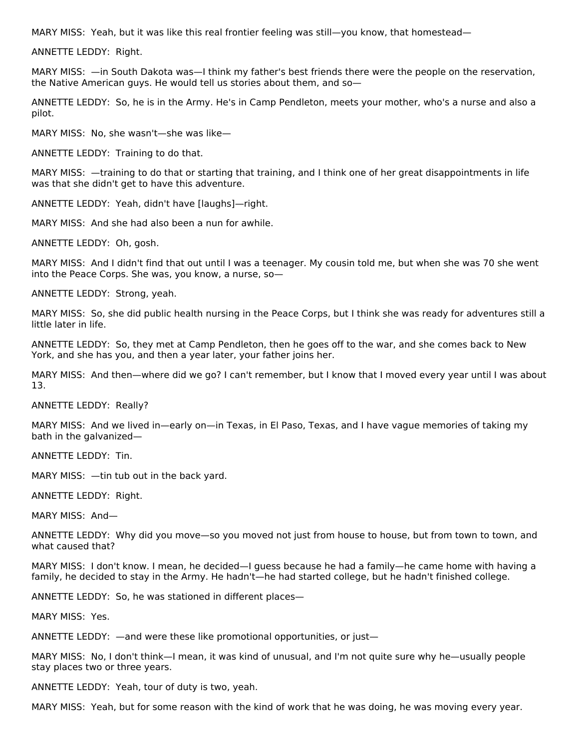MARY MISS: Yeah, but it was like this real frontier feeling was still—you know, that homestead—

ANNETTE LEDDY: Right.

MARY MISS: —in South Dakota was—I think my father's best friends there were the people on the reservation, the Native American guys. He would tell us stories about them, and so—

ANNETTE LEDDY: So, he is in the Army. He's in Camp Pendleton, meets your mother, who's a nurse and also a pilot.

MARY MISS: No, she wasn't—she was like—

ANNETTE LEDDY: Training to do that.

MARY MISS: —training to do that or starting that training, and I think one of her great disappointments in life was that she didn't get to have this adventure.

ANNETTE LEDDY: Yeah, didn't have [laughs]—right.

MARY MISS: And she had also been a nun for awhile.

ANNETTE LEDDY: Oh, gosh.

MARY MISS: And I didn't find that out until I was a teenager. My cousin told me, but when she was 70 she went into the Peace Corps. She was, you know, a nurse, so—

ANNETTE LEDDY: Strong, yeah.

MARY MISS: So, she did public health nursing in the Peace Corps, but I think she was ready for adventures still a little later in life.

ANNETTE LEDDY: So, they met at Camp Pendleton, then he goes off to the war, and she comes back to New York, and she has you, and then a year later, your father joins her.

MARY MISS: And then—where did we go? I can't remember, but I know that I moved every year until I was about 13.

ANNETTE LEDDY: Really?

MARY MISS: And we lived in—early on—in Texas, in El Paso, Texas, and I have vague memories of taking my bath in the galvanized—

ANNETTE LEDDY: Tin.

MARY MISS: —tin tub out in the back yard.

ANNETTE LEDDY: Right.

MARY MISS: And—

ANNETTE LEDDY: Why did you move—so you moved not just from house to house, but from town to town, and what caused that?

MARY MISS: I don't know. I mean, he decided—I guess because he had a family—he came home with having a family, he decided to stay in the Army. He hadn't—he had started college, but he hadn't finished college.

ANNETTE LEDDY: So, he was stationed in different places—

MARY MISS: Yes.

ANNETTE LEDDY: —and were these like promotional opportunities, or just—

MARY MISS: No, I don't think—I mean, it was kind of unusual, and I'm not quite sure why he—usually people stay places two or three years.

ANNETTE LEDDY: Yeah, tour of duty is two, yeah.

MARY MISS: Yeah, but for some reason with the kind of work that he was doing, he was moving every year.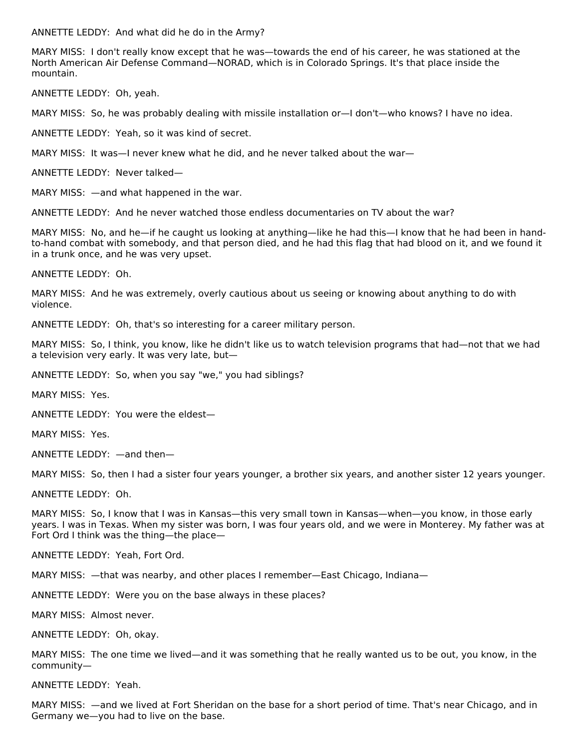ANNETTE LEDDY: And what did he do in the Army?

MARY MISS: I don't really know except that he was—towards the end of his career, he was stationed at the North American Air Defense Command—NORAD, which is in Colorado Springs. It's that place inside the mountain.

ANNETTE LEDDY: Oh, yeah.

MARY MISS: So, he was probably dealing with missile installation or—I don't—who knows? I have no idea.

ANNETTE LEDDY: Yeah, so it was kind of secret.

MARY MISS: It was—I never knew what he did, and he never talked about the war—

ANNETTE LEDDY: Never talked—

MARY MISS: —and what happened in the war.

ANNETTE LEDDY: And he never watched those endless documentaries on TV about the war?

MARY MISS: No, and he—if he caught us looking at anything—like he had this—I know that he had been in handto-hand combat with somebody, and that person died, and he had this flag that had blood on it, and we found it in a trunk once, and he was very upset.

ANNETTE LEDDY: Oh.

MARY MISS: And he was extremely, overly cautious about us seeing or knowing about anything to do with violence.

ANNETTE LEDDY: Oh, that's so interesting for a career military person.

MARY MISS: So, I think, you know, like he didn't like us to watch television programs that had—not that we had a television very early. It was very late, but—

ANNETTE LEDDY: So, when you say "we," you had siblings?

MARY MISS: Yes.

ANNETTE LEDDY: You were the eldest—

MARY MISS: Yes.

ANNETTE LEDDY: —and then—

MARY MISS: So, then I had a sister four years younger, a brother six years, and another sister 12 years younger.

ANNETTE LEDDY: Oh.

MARY MISS: So, I know that I was in Kansas—this very small town in Kansas—when—you know, in those early years. I was in Texas. When my sister was born, I was four years old, and we were in Monterey. My father was at Fort Ord I think was the thing—the place—

ANNETTE LEDDY: Yeah, Fort Ord.

MARY MISS: —that was nearby, and other places I remember—East Chicago, Indiana—

ANNETTE LEDDY: Were you on the base always in these places?

MARY MISS: Almost never.

ANNETTE LEDDY: Oh, okay.

MARY MISS: The one time we lived—and it was something that he really wanted us to be out, you know, in the community—

ANNETTE LEDDY: Yeah.

MARY MISS: —and we lived at Fort Sheridan on the base for a short period of time. That's near Chicago, and in Germany we—you had to live on the base.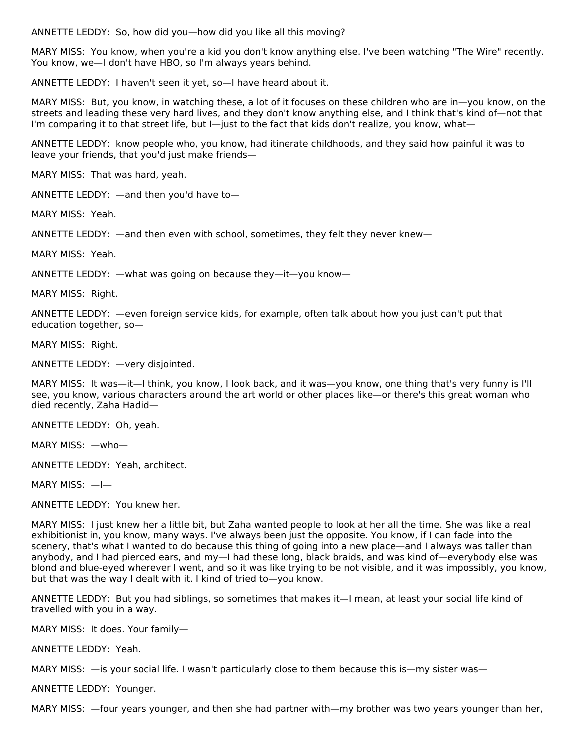ANNETTE LEDDY: So, how did you—how did you like all this moving?

MARY MISS: You know, when you're a kid you don't know anything else. I've been watching "The Wire" recently. You know, we—I don't have HBO, so I'm always years behind.

ANNETTE LEDDY: I haven't seen it yet, so—I have heard about it.

MARY MISS: But, you know, in watching these, a lot of it focuses on these children who are in—you know, on the streets and leading these very hard lives, and they don't know anything else, and I think that's kind of—not that I'm comparing it to that street life, but I—just to the fact that kids don't realize, you know, what—

ANNETTE LEDDY: know people who, you know, had itinerate childhoods, and they said how painful it was to leave your friends, that you'd just make friends—

MARY MISS: That was hard, yeah.

ANNETTE LEDDY: —and then you'd have to—

MARY MISS: Yeah.

ANNETTE LEDDY: —and then even with school, sometimes, they felt they never knew—

MARY MISS: Yeah.

ANNETTE LEDDY: —what was going on because they—it—you know—

MARY MISS: Right.

ANNETTE LEDDY: —even foreign service kids, for example, often talk about how you just can't put that education together, so—

MARY MISS: Right.

ANNETTE LEDDY: —very disjointed.

MARY MISS: It was—it—I think, you know, I look back, and it was—you know, one thing that's very funny is I'll see, you know, various characters around the art world or other places like—or there's this great woman who died recently, Zaha Hadid—

ANNETTE LEDDY: Oh, yeah.

MARY MISS: —who—

ANNETTE LEDDY: Yeah, architect.

MARY MISS: —I—

ANNETTE LEDDY: You knew her.

MARY MISS: I just knew her a little bit, but Zaha wanted people to look at her all the time. She was like a real exhibitionist in, you know, many ways. I've always been just the opposite. You know, if I can fade into the scenery, that's what I wanted to do because this thing of going into a new place—and I always was taller than anybody, and I had pierced ears, and my—I had these long, black braids, and was kind of—everybody else was blond and blue-eyed wherever I went, and so it was like trying to be not visible, and it was impossibly, you know, but that was the way I dealt with it. I kind of tried to—you know.

ANNETTE LEDDY: But you had siblings, so sometimes that makes it—I mean, at least your social life kind of travelled with you in a way.

MARY MISS: It does. Your family—

ANNETTE LEDDY: Yeah.

MARY MISS: —is your social life. I wasn't particularly close to them because this is—my sister was—

ANNETTE LEDDY: Younger.

MARY MISS: —four years younger, and then she had partner with—my brother was two years younger than her,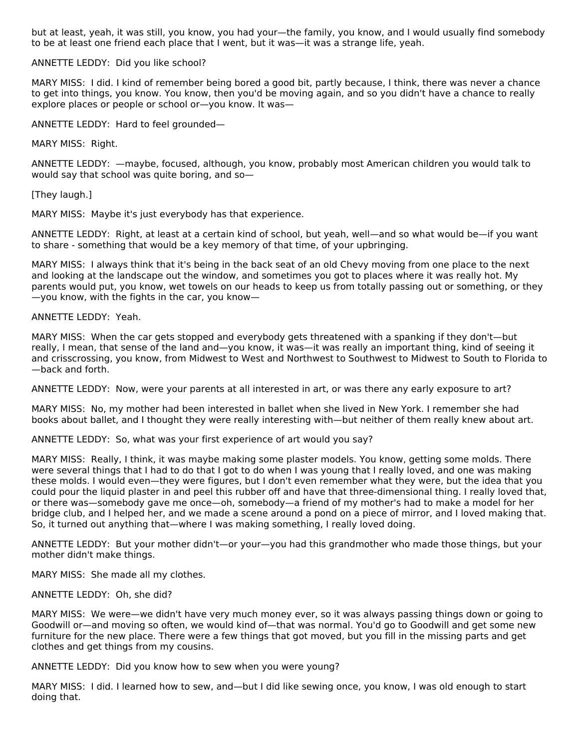but at least, yeah, it was still, you know, you had your—the family, you know, and I would usually find somebody to be at least one friend each place that I went, but it was—it was a strange life, yeah.

#### ANNETTE LEDDY: Did you like school?

MARY MISS: I did. I kind of remember being bored a good bit, partly because, I think, there was never a chance to get into things, you know. You know, then you'd be moving again, and so you didn't have a chance to really explore places or people or school or—you know. It was—

ANNETTE LEDDY: Hard to feel grounded—

MARY MISS: Right.

ANNETTE LEDDY: —maybe, focused, although, you know, probably most American children you would talk to would say that school was quite boring, and so—

[They laugh.]

MARY MISS: Maybe it's just everybody has that experience.

ANNETTE LEDDY: Right, at least at a certain kind of school, but yeah, well—and so what would be—if you want to share - something that would be a key memory of that time, of your upbringing.

MARY MISS: I always think that it's being in the back seat of an old Chevy moving from one place to the next and looking at the landscape out the window, and sometimes you got to places where it was really hot. My parents would put, you know, wet towels on our heads to keep us from totally passing out or something, or they —you know, with the fights in the car, you know—

ANNETTE LEDDY: Yeah.

MARY MISS: When the car gets stopped and everybody gets threatened with a spanking if they don't—but really, I mean, that sense of the land and—you know, it was—it was really an important thing, kind of seeing it and crisscrossing, you know, from Midwest to West and Northwest to Southwest to Midwest to South to Florida to —back and forth.

ANNETTE LEDDY: Now, were your parents at all interested in art, or was there any early exposure to art?

MARY MISS: No, my mother had been interested in ballet when she lived in New York. I remember she had books about ballet, and I thought they were really interesting with—but neither of them really knew about art.

ANNETTE LEDDY: So, what was your first experience of art would you say?

MARY MISS: Really, I think, it was maybe making some plaster models. You know, getting some molds. There were several things that I had to do that I got to do when I was young that I really loved, and one was making these molds. I would even—they were figures, but I don't even remember what they were, but the idea that you could pour the liquid plaster in and peel this rubber off and have that three-dimensional thing. I really loved that, or there was—somebody gave me once—oh, somebody—a friend of my mother's had to make a model for her bridge club, and I helped her, and we made a scene around a pond on a piece of mirror, and I loved making that. So, it turned out anything that—where I was making something, I really loved doing.

ANNETTE LEDDY: But your mother didn't—or your—you had this grandmother who made those things, but your mother didn't make things.

MARY MISS: She made all my clothes.

ANNETTE LEDDY: Oh, she did?

MARY MISS: We were—we didn't have very much money ever, so it was always passing things down or going to Goodwill or—and moving so often, we would kind of—that was normal. You'd go to Goodwill and get some new furniture for the new place. There were a few things that got moved, but you fill in the missing parts and get clothes and get things from my cousins.

ANNETTE LEDDY: Did you know how to sew when you were young?

MARY MISS: I did. I learned how to sew, and—but I did like sewing once, you know, I was old enough to start doing that.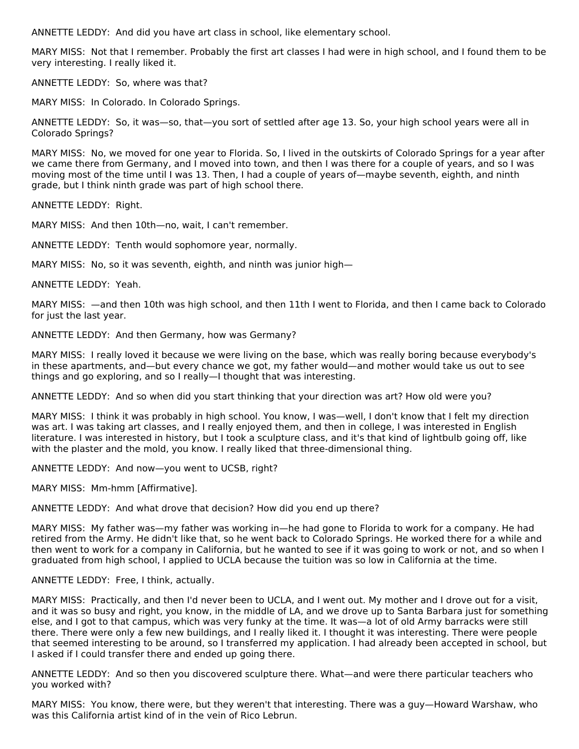ANNETTE LEDDY: And did you have art class in school, like elementary school.

MARY MISS: Not that I remember. Probably the first art classes I had were in high school, and I found them to be very interesting. I really liked it.

ANNETTE LEDDY: So, where was that?

MARY MISS: In Colorado. In Colorado Springs.

ANNETTE LEDDY: So, it was—so, that—you sort of settled after age 13. So, your high school years were all in Colorado Springs?

MARY MISS: No, we moved for one year to Florida. So, I lived in the outskirts of Colorado Springs for a year after we came there from Germany, and I moved into town, and then I was there for a couple of years, and so I was moving most of the time until I was 13. Then, I had a couple of years of—maybe seventh, eighth, and ninth grade, but I think ninth grade was part of high school there.

ANNETTE LEDDY: Right.

MARY MISS: And then 10th—no, wait, I can't remember.

ANNETTE LEDDY: Tenth would sophomore year, normally.

MARY MISS: No, so it was seventh, eighth, and ninth was junior high—

ANNETTE LEDDY: Yeah.

MARY MISS: —and then 10th was high school, and then 11th I went to Florida, and then I came back to Colorado for just the last year.

ANNETTE LEDDY: And then Germany, how was Germany?

MARY MISS: I really loved it because we were living on the base, which was really boring because everybody's in these apartments, and—but every chance we got, my father would—and mother would take us out to see things and go exploring, and so I really—I thought that was interesting.

ANNETTE LEDDY: And so when did you start thinking that your direction was art? How old were you?

MARY MISS: I think it was probably in high school. You know, I was—well, I don't know that I felt my direction was art. I was taking art classes, and I really enjoyed them, and then in college, I was interested in English literature. I was interested in history, but I took a sculpture class, and it's that kind of lightbulb going off, like with the plaster and the mold, you know. I really liked that three-dimensional thing.

ANNETTE LEDDY: And now—you went to UCSB, right?

MARY MISS: Mm-hmm [Affirmative].

ANNETTE LEDDY: And what drove that decision? How did you end up there?

MARY MISS: My father was—my father was working in—he had gone to Florida to work for a company. He had retired from the Army. He didn't like that, so he went back to Colorado Springs. He worked there for a while and then went to work for a company in California, but he wanted to see if it was going to work or not, and so when I graduated from high school, I applied to UCLA because the tuition was so low in California at the time.

#### ANNETTE LEDDY: Free, I think, actually.

MARY MISS: Practically, and then I'd never been to UCLA, and I went out. My mother and I drove out for a visit, and it was so busy and right, you know, in the middle of LA, and we drove up to Santa Barbara just for something else, and I got to that campus, which was very funky at the time. It was—a lot of old Army barracks were still there. There were only a few new buildings, and I really liked it. I thought it was interesting. There were people that seemed interesting to be around, so I transferred my application. I had already been accepted in school, but I asked if I could transfer there and ended up going there.

ANNETTE LEDDY: And so then you discovered sculpture there. What—and were there particular teachers who you worked with?

MARY MISS: You know, there were, but they weren't that interesting. There was a guy—Howard Warshaw, who was this California artist kind of in the vein of Rico Lebrun.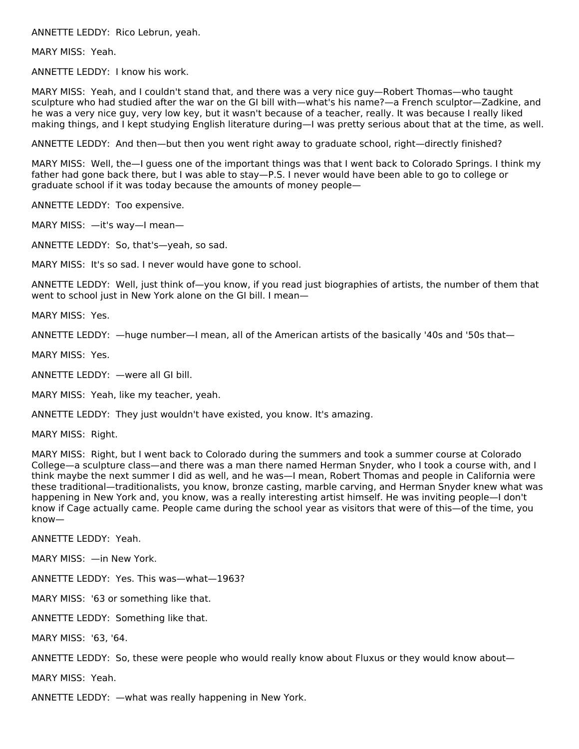ANNETTE LEDDY: Rico Lebrun, yeah.

MARY MISS: Yeah.

ANNETTE LEDDY: I know his work.

MARY MISS: Yeah, and I couldn't stand that, and there was a very nice guy—Robert Thomas—who taught sculpture who had studied after the war on the GI bill with—what's his name?—a French sculptor—Zadkine, and he was a very nice guy, very low key, but it wasn't because of a teacher, really. It was because I really liked making things, and I kept studying English literature during—I was pretty serious about that at the time, as well.

ANNETTE LEDDY: And then—but then you went right away to graduate school, right—directly finished?

MARY MISS: Well, the—I guess one of the important things was that I went back to Colorado Springs. I think my father had gone back there, but I was able to stay—P.S. I never would have been able to go to college or graduate school if it was today because the amounts of money people—

ANNETTE LEDDY: Too expensive.

MARY MISS: —it's way—I mean—

ANNETTE LEDDY: So, that's—yeah, so sad.

MARY MISS: It's so sad. I never would have gone to school.

ANNETTE LEDDY: Well, just think of—you know, if you read just biographies of artists, the number of them that went to school just in New York alone on the GI bill. I mean—

MARY MISS: Yes.

ANNETTE LEDDY: —huge number—I mean, all of the American artists of the basically '40s and '50s that—

MARY MISS: Yes.

ANNETTE LEDDY: —were all GI bill.

MARY MISS: Yeah, like my teacher, yeah.

ANNETTE LEDDY: They just wouldn't have existed, you know. It's amazing.

MARY MISS: Right.

MARY MISS: Right, but I went back to Colorado during the summers and took a summer course at Colorado College—a sculpture class—and there was a man there named Herman Snyder, who I took a course with, and I think maybe the next summer I did as well, and he was—I mean, Robert Thomas and people in California were these traditional—traditionalists, you know, bronze casting, marble carving, and Herman Snyder knew what was happening in New York and, you know, was a really interesting artist himself. He was inviting people—I don't know if Cage actually came. People came during the school year as visitors that were of this—of the time, you know—

ANNETTE LEDDY: Yeah.

MARY MISS: —in New York.

ANNETTE LEDDY: Yes. This was—what—1963?

MARY MISS: '63 or something like that.

ANNETTE LEDDY: Something like that.

MARY MISS: '63, '64.

ANNETTE LEDDY: So, these were people who would really know about Fluxus or they would know about—

MARY MISS: Yeah.

ANNETTE LEDDY: —what was really happening in New York.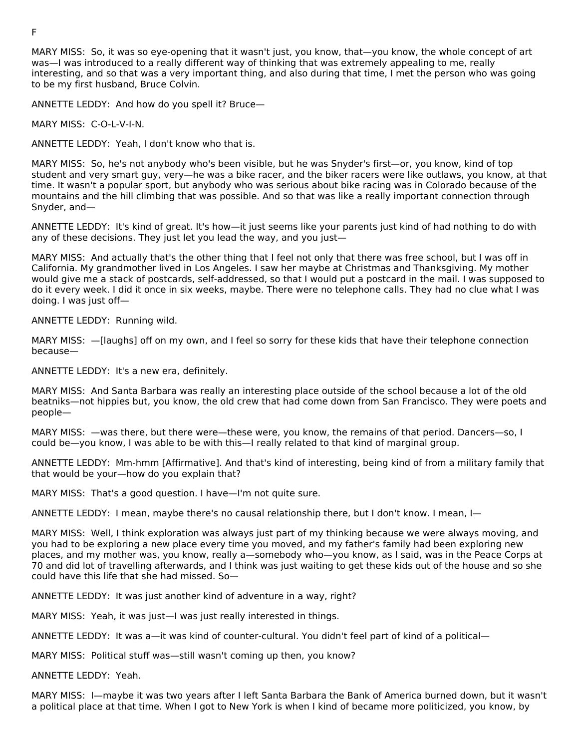MARY MISS: So, it was so eye-opening that it wasn't just, you know, that—you know, the whole concept of art was—I was introduced to a really different way of thinking that was extremely appealing to me, really interesting, and so that was a very important thing, and also during that time, I met the person who was going to be my first husband, Bruce Colvin.

ANNETTE LEDDY: And how do you spell it? Bruce—

MARY MISS: C-O-L-V-I-N.

ANNETTE LEDDY: Yeah, I don't know who that is.

MARY MISS: So, he's not anybody who's been visible, but he was Snyder's first—or, you know, kind of top student and very smart guy, very—he was a bike racer, and the biker racers were like outlaws, you know, at that time. It wasn't a popular sport, but anybody who was serious about bike racing was in Colorado because of the mountains and the hill climbing that was possible. And so that was like a really important connection through Snyder, and—

ANNETTE LEDDY: It's kind of great. It's how—it just seems like your parents just kind of had nothing to do with any of these decisions. They just let you lead the way, and you just—

MARY MISS: And actually that's the other thing that I feel not only that there was free school, but I was off in California. My grandmother lived in Los Angeles. I saw her maybe at Christmas and Thanksgiving. My mother would give me a stack of postcards, self-addressed, so that I would put a postcard in the mail. I was supposed to do it every week. I did it once in six weeks, maybe. There were no telephone calls. They had no clue what I was doing. I was just off—

ANNETTE LEDDY: Running wild.

MARY MISS: —[laughs] off on my own, and I feel so sorry for these kids that have their telephone connection because—

ANNETTE LEDDY: It's a new era, definitely.

MARY MISS: And Santa Barbara was really an interesting place outside of the school because a lot of the old beatniks—not hippies but, you know, the old crew that had come down from San Francisco. They were poets and people—

MARY MISS: —was there, but there were—these were, you know, the remains of that period. Dancers—so, I could be—you know, I was able to be with this—I really related to that kind of marginal group.

ANNETTE LEDDY: Mm-hmm [Affirmative]. And that's kind of interesting, being kind of from a military family that that would be your—how do you explain that?

MARY MISS: That's a good question. I have—I'm not quite sure.

ANNETTE LEDDY: I mean, maybe there's no causal relationship there, but I don't know. I mean, I—

MARY MISS: Well, I think exploration was always just part of my thinking because we were always moving, and you had to be exploring a new place every time you moved, and my father's family had been exploring new places, and my mother was, you know, really a—somebody who—you know, as I said, was in the Peace Corps at 70 and did lot of travelling afterwards, and I think was just waiting to get these kids out of the house and so she could have this life that she had missed. So—

ANNETTE LEDDY: It was just another kind of adventure in a way, right?

MARY MISS: Yeah, it was just—I was just really interested in things.

ANNETTE LEDDY: It was a—it was kind of counter-cultural. You didn't feel part of kind of a political—

MARY MISS: Political stuff was—still wasn't coming up then, you know?

ANNETTE LEDDY: Yeah.

MARY MISS: I—maybe it was two years after I left Santa Barbara the Bank of America burned down, but it wasn't a political place at that time. When I got to New York is when I kind of became more politicized, you know, by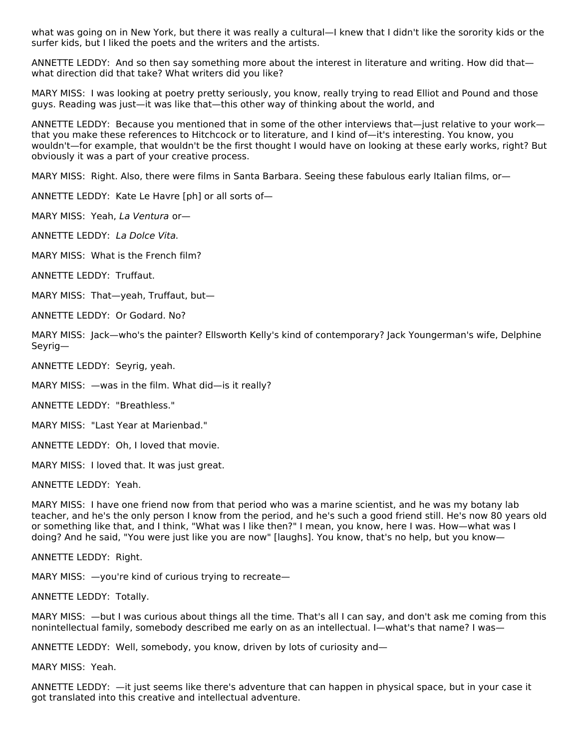what was going on in New York, but there it was really a cultural—I knew that I didn't like the sorority kids or the surfer kids, but I liked the poets and the writers and the artists.

ANNETTE LEDDY: And so then say something more about the interest in literature and writing. How did that what direction did that take? What writers did you like?

MARY MISS: I was looking at poetry pretty seriously, you know, really trying to read Elliot and Pound and those guys. Reading was just—it was like that—this other way of thinking about the world, and

ANNETTE LEDDY: Because you mentioned that in some of the other interviews that—just relative to your work that you make these references to Hitchcock or to literature, and I kind of—it's interesting. You know, you wouldn't—for example, that wouldn't be the first thought I would have on looking at these early works, right? But obviously it was a part of your creative process.

MARY MISS: Right. Also, there were films in Santa Barbara. Seeing these fabulous early Italian films, or—

ANNETTE LEDDY: Kate Le Havre [ph] or all sorts of—

MARY MISS: Yeah, La Ventura or—

ANNETTE LEDDY: La Dolce Vita.

MARY MISS: What is the French film?

ANNETTE LEDDY: Truffaut.

MARY MISS: That—yeah, Truffaut, but—

ANNETTE LEDDY: Or Godard. No?

MARY MISS: Jack—who's the painter? Ellsworth Kelly's kind of contemporary? Jack Youngerman's wife, Delphine Seyrig—

ANNETTE LEDDY: Seyrig, yeah.

MARY MISS: —was in the film. What did—is it really?

ANNETTE LEDDY: "Breathless."

MARY MISS: "Last Year at Marienbad."

ANNETTE LEDDY: Oh, I loved that movie.

MARY MISS: I loved that. It was just great.

ANNETTE LEDDY: Yeah.

MARY MISS: I have one friend now from that period who was a marine scientist, and he was my botany lab teacher, and he's the only person I know from the period, and he's such a good friend still. He's now 80 years old or something like that, and I think, "What was I like then?" I mean, you know, here I was. How—what was I doing? And he said, "You were just like you are now" [laughs]. You know, that's no help, but you know—

ANNETTE LEDDY: Right.

MARY MISS: —you're kind of curious trying to recreate—

ANNETTE LEDDY: Totally.

MARY MISS: —but I was curious about things all the time. That's all I can say, and don't ask me coming from this nonintellectual family, somebody described me early on as an intellectual. I—what's that name? I was—

ANNETTE LEDDY: Well, somebody, you know, driven by lots of curiosity and—

MARY MISS: Yeah.

ANNETTE LEDDY: —it just seems like there's adventure that can happen in physical space, but in your case it got translated into this creative and intellectual adventure.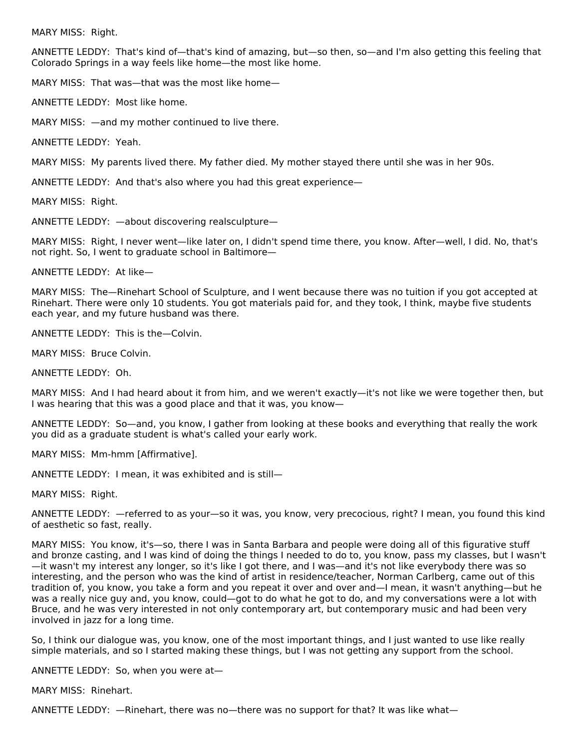MARY MISS: Right.

ANNETTE LEDDY: That's kind of—that's kind of amazing, but—so then, so—and I'm also getting this feeling that Colorado Springs in a way feels like home—the most like home.

MARY MISS: That was—that was the most like home—

ANNETTE LEDDY: Most like home.

MARY MISS: —and my mother continued to live there.

ANNETTE LEDDY: Yeah.

MARY MISS: My parents lived there. My father died. My mother stayed there until she was in her 90s.

ANNETTE LEDDY: And that's also where you had this great experience—

MARY MISS: Right.

ANNETTE LEDDY: —about discovering realsculpture—

MARY MISS: Right, I never went—like later on, I didn't spend time there, you know. After—well, I did. No, that's not right. So, I went to graduate school in Baltimore—

ANNETTE LEDDY: At like—

MARY MISS: The—Rinehart School of Sculpture, and I went because there was no tuition if you got accepted at Rinehart. There were only 10 students. You got materials paid for, and they took, I think, maybe five students each year, and my future husband was there.

ANNETTE LEDDY: This is the—Colvin.

MARY MISS: Bruce Colvin.

ANNETTE LEDDY: Oh.

MARY MISS: And I had heard about it from him, and we weren't exactly—it's not like we were together then, but I was hearing that this was a good place and that it was, you know—

ANNETTE LEDDY: So—and, you know, I gather from looking at these books and everything that really the work you did as a graduate student is what's called your early work.

MARY MISS: Mm-hmm [Affirmative].

ANNETTE LEDDY: I mean, it was exhibited and is still—

MARY MISS: Right.

ANNETTE LEDDY: —referred to as your—so it was, you know, very precocious, right? I mean, you found this kind of aesthetic so fast, really.

MARY MISS: You know, it's—so, there I was in Santa Barbara and people were doing all of this figurative stuff and bronze casting, and I was kind of doing the things I needed to do to, you know, pass my classes, but I wasn't —it wasn't my interest any longer, so it's like I got there, and I was—and it's not like everybody there was so interesting, and the person who was the kind of artist in residence/teacher, Norman Carlberg, came out of this tradition of, you know, you take a form and you repeat it over and over and—I mean, it wasn't anything—but he was a really nice guy and, you know, could—got to do what he got to do, and my conversations were a lot with Bruce, and he was very interested in not only contemporary art, but contemporary music and had been very involved in jazz for a long time.

So, I think our dialogue was, you know, one of the most important things, and I just wanted to use like really simple materials, and so I started making these things, but I was not getting any support from the school.

ANNETTE LEDDY: So, when you were at—

MARY MISS: Rinehart.

ANNETTE LEDDY: —Rinehart, there was no—there was no support for that? It was like what—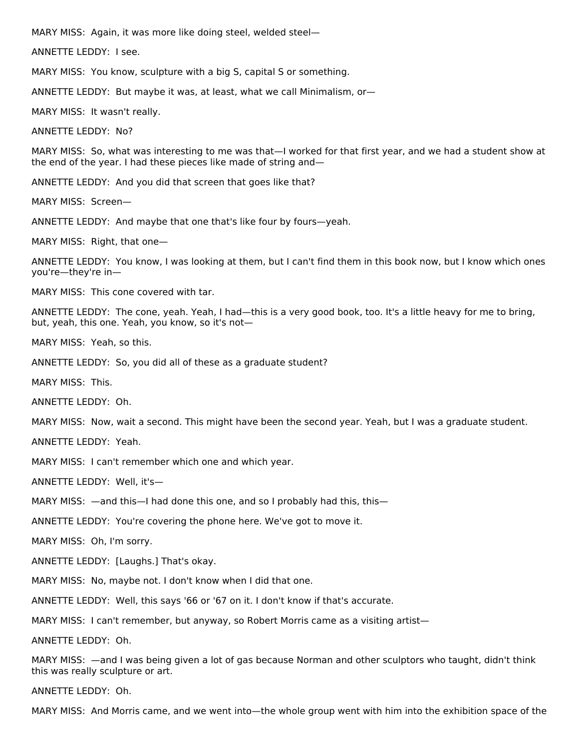MARY MISS: Again, it was more like doing steel, welded steel—

ANNETTE LEDDY: I see.

MARY MISS: You know, sculpture with a big S, capital S or something.

ANNETTE LEDDY: But maybe it was, at least, what we call Minimalism, or—

MARY MISS: It wasn't really.

ANNETTE LEDDY: No?

MARY MISS: So, what was interesting to me was that—I worked for that first year, and we had a student show at the end of the year. I had these pieces like made of string and—

ANNETTE LEDDY: And you did that screen that goes like that?

MARY MISS: Screen—

ANNETTE LEDDY: And maybe that one that's like four by fours—yeah.

MARY MISS: Right, that one—

ANNETTE LEDDY: You know, I was looking at them, but I can't find them in this book now, but I know which ones you're—they're in—

MARY MISS: This cone covered with tar.

ANNETTE LEDDY: The cone, yeah. Yeah, I had—this is a very good book, too. It's a little heavy for me to bring, but, yeah, this one. Yeah, you know, so it's not—

MARY MISS: Yeah, so this.

ANNETTE LEDDY: So, you did all of these as a graduate student?

MARY MISS: This.

ANNETTE LEDDY: Oh.

MARY MISS: Now, wait a second. This might have been the second year. Yeah, but I was a graduate student.

ANNETTE LEDDY: Yeah.

MARY MISS: I can't remember which one and which year.

ANNETTE LEDDY: Well, it's—

MARY MISS: —and this—I had done this one, and so I probably had this, this—

ANNETTE LEDDY: You're covering the phone here. We've got to move it.

MARY MISS: Oh, I'm sorry.

ANNETTE LEDDY: [Laughs.] That's okay.

MARY MISS: No, maybe not. I don't know when I did that one.

ANNETTE LEDDY: Well, this says '66 or '67 on it. I don't know if that's accurate.

MARY MISS: I can't remember, but anyway, so Robert Morris came as a visiting artist—

ANNETTE LEDDY: Oh.

MARY MISS: —and I was being given a lot of gas because Norman and other sculptors who taught, didn't think this was really sculpture or art.

ANNETTE LEDDY: Oh.

MARY MISS: And Morris came, and we went into—the whole group went with him into the exhibition space of the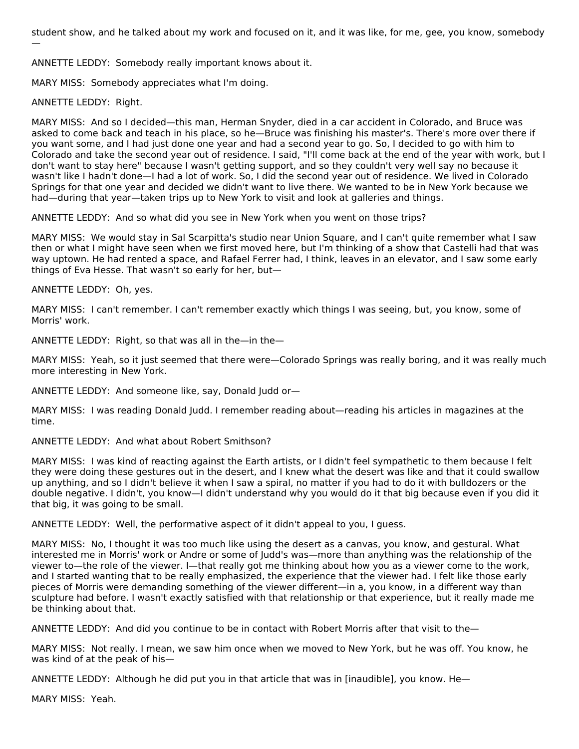student show, and he talked about my work and focused on it, and it was like, for me, gee, you know, somebody —

ANNETTE LEDDY: Somebody really important knows about it.

MARY MISS: Somebody appreciates what I'm doing.

ANNETTE LEDDY: Right.

MARY MISS: And so I decided—this man, Herman Snyder, died in a car accident in Colorado, and Bruce was asked to come back and teach in his place, so he—Bruce was finishing his master's. There's more over there if you want some, and I had just done one year and had a second year to go. So, I decided to go with him to Colorado and take the second year out of residence. I said, "I'll come back at the end of the year with work, but I don't want to stay here" because I wasn't getting support, and so they couldn't very well say no because it wasn't like I hadn't done—I had a lot of work. So, I did the second year out of residence. We lived in Colorado Springs for that one year and decided we didn't want to live there. We wanted to be in New York because we had—during that year—taken trips up to New York to visit and look at galleries and things.

ANNETTE LEDDY: And so what did you see in New York when you went on those trips?

MARY MISS: We would stay in Sal Scarpitta's studio near Union Square, and I can't quite remember what I saw then or what I might have seen when we first moved here, but I'm thinking of a show that Castelli had that was way uptown. He had rented a space, and Rafael Ferrer had, I think, leaves in an elevator, and I saw some early things of Eva Hesse. That wasn't so early for her, but—

ANNETTE LEDDY: Oh, yes.

MARY MISS: I can't remember. I can't remember exactly which things I was seeing, but, you know, some of Morris' work.

ANNETTE LEDDY: Right, so that was all in the—in the—

MARY MISS: Yeah, so it just seemed that there were—Colorado Springs was really boring, and it was really much more interesting in New York.

ANNETTE LEDDY: And someone like, say, Donald Judd or—

MARY MISS: I was reading Donald Judd. I remember reading about—reading his articles in magazines at the time.

ANNETTE LEDDY: And what about Robert Smithson?

MARY MISS: I was kind of reacting against the Earth artists, or I didn't feel sympathetic to them because I felt they were doing these gestures out in the desert, and I knew what the desert was like and that it could swallow up anything, and so I didn't believe it when I saw a spiral, no matter if you had to do it with bulldozers or the double negative. I didn't, you know—I didn't understand why you would do it that big because even if you did it that big, it was going to be small.

ANNETTE LEDDY: Well, the performative aspect of it didn't appeal to you, I guess.

MARY MISS: No, I thought it was too much like using the desert as a canvas, you know, and gestural. What interested me in Morris' work or Andre or some of Judd's was—more than anything was the relationship of the viewer to—the role of the viewer. I—that really got me thinking about how you as a viewer come to the work, and I started wanting that to be really emphasized, the experience that the viewer had. I felt like those early pieces of Morris were demanding something of the viewer different—in a, you know, in a different way than sculpture had before. I wasn't exactly satisfied with that relationship or that experience, but it really made me be thinking about that.

ANNETTE LEDDY: And did you continue to be in contact with Robert Morris after that visit to the—

MARY MISS: Not really. I mean, we saw him once when we moved to New York, but he was off. You know, he was kind of at the peak of his—

ANNETTE LEDDY: Although he did put you in that article that was in [inaudible], you know. He—

MARY MISS: Yeah.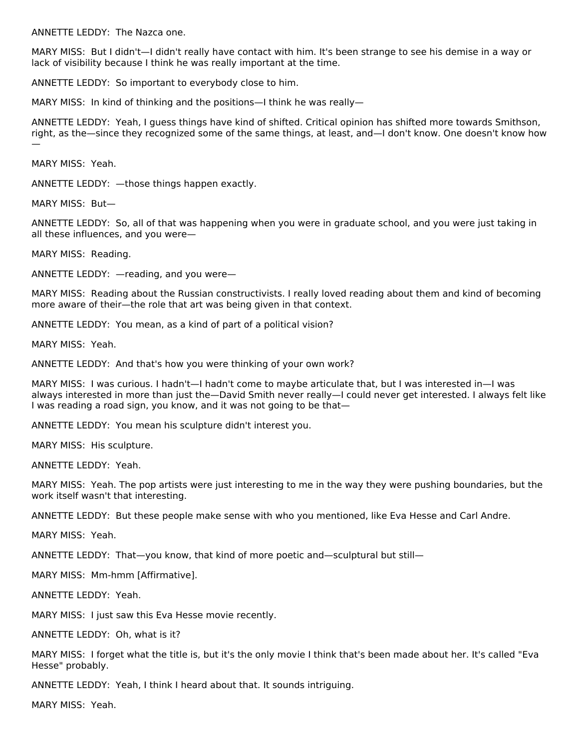ANNETTE LEDDY: The Nazca one.

MARY MISS: But I didn't—I didn't really have contact with him. It's been strange to see his demise in a way or lack of visibility because I think he was really important at the time.

ANNETTE LEDDY: So important to everybody close to him.

MARY MISS: In kind of thinking and the positions—I think he was really—

ANNETTE LEDDY: Yeah, I guess things have kind of shifted. Critical opinion has shifted more towards Smithson, right, as the—since they recognized some of the same things, at least, and—I don't know. One doesn't know how —

MARY MISS: Yeah.

ANNETTE LEDDY: —those things happen exactly.

MARY MISS: But—

ANNETTE LEDDY: So, all of that was happening when you were in graduate school, and you were just taking in all these influences, and you were—

MARY MISS: Reading.

ANNETTE LEDDY: —reading, and you were—

MARY MISS: Reading about the Russian constructivists. I really loved reading about them and kind of becoming more aware of their—the role that art was being given in that context.

ANNETTE LEDDY: You mean, as a kind of part of a political vision?

MARY MISS: Yeah.

ANNETTE LEDDY: And that's how you were thinking of your own work?

MARY MISS: I was curious. I hadn't—I hadn't come to maybe articulate that, but I was interested in—I was always interested in more than just the—David Smith never really—I could never get interested. I always felt like I was reading a road sign, you know, and it was not going to be that—

ANNETTE LEDDY: You mean his sculpture didn't interest you.

MARY MISS: His sculpture.

ANNETTE LEDDY: Yeah.

MARY MISS: Yeah. The pop artists were just interesting to me in the way they were pushing boundaries, but the work itself wasn't that interesting.

ANNETTE LEDDY: But these people make sense with who you mentioned, like Eva Hesse and Carl Andre.

MARY MISS: Yeah.

ANNETTE LEDDY: That—you know, that kind of more poetic and—sculptural but still—

MARY MISS: Mm-hmm [Affirmative].

ANNETTE LEDDY: Yeah.

MARY MISS: I just saw this Eva Hesse movie recently.

ANNETTE LEDDY: Oh, what is it?

MARY MISS: I forget what the title is, but it's the only movie I think that's been made about her. It's called "Eva Hesse" probably.

ANNETTE LEDDY: Yeah, I think I heard about that. It sounds intriguing.

MARY MISS: Yeah.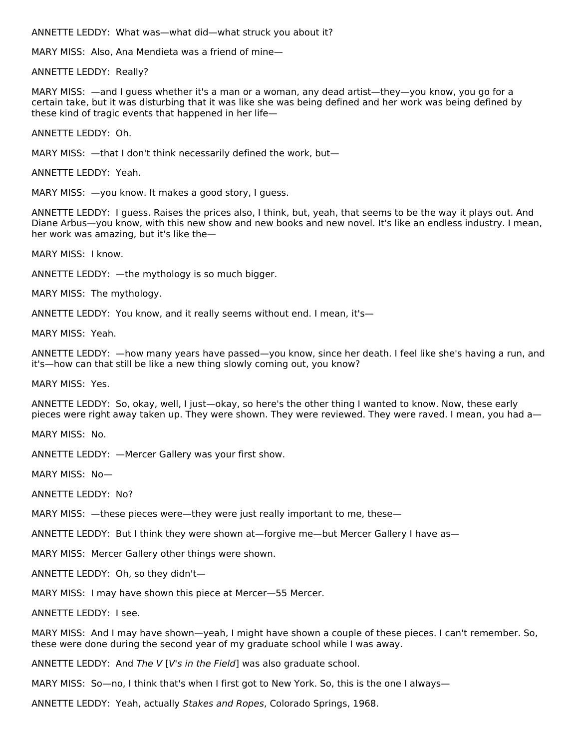ANNETTE LEDDY: What was—what did—what struck you about it?

MARY MISS: Also, Ana Mendieta was a friend of mine—

ANNETTE LEDDY: Really?

MARY MISS: —and I guess whether it's a man or a woman, any dead artist—they—you know, you go for a certain take, but it was disturbing that it was like she was being defined and her work was being defined by these kind of tragic events that happened in her life—

ANNETTE LEDDY: Oh.

MARY MISS: —that I don't think necessarily defined the work, but—

ANNETTE LEDDY: Yeah.

MARY MISS: —you know. It makes a good story, I guess.

ANNETTE LEDDY: I guess. Raises the prices also, I think, but, yeah, that seems to be the way it plays out. And Diane Arbus—you know, with this new show and new books and new novel. It's like an endless industry. I mean, her work was amazing, but it's like the—

MARY MISS: I know.

ANNETTE LEDDY: —the mythology is so much bigger.

MARY MISS: The mythology.

ANNETTE LEDDY: You know, and it really seems without end. I mean, it's—

MARY MISS: Yeah.

ANNETTE LEDDY: —how many years have passed—you know, since her death. I feel like she's having a run, and it's—how can that still be like a new thing slowly coming out, you know?

MARY MISS: Yes.

ANNETTE LEDDY: So, okay, well, I just—okay, so here's the other thing I wanted to know. Now, these early pieces were right away taken up. They were shown. They were reviewed. They were raved. I mean, you had a—

MARY MISS: No.

ANNETTE LEDDY: —Mercer Gallery was your first show.

MARY MISS: No—

ANNETTE LEDDY: No?

MARY MISS: —these pieces were—they were just really important to me, these—

ANNETTE LEDDY: But I think they were shown at—forgive me—but Mercer Gallery I have as—

MARY MISS: Mercer Gallery other things were shown.

ANNETTE LEDDY: Oh, so they didn't—

MARY MISS: I may have shown this piece at Mercer—55 Mercer.

ANNETTE LEDDY: I see.

MARY MISS: And I may have shown—yeah, I might have shown a couple of these pieces. I can't remember. So, these were done during the second year of my graduate school while I was away.

ANNETTE LEDDY: And The V [V's in the Field] was also graduate school.

MARY MISS: So—no, I think that's when I first got to New York. So, this is the one I always—

ANNETTE LEDDY: Yeah, actually Stakes and Ropes, Colorado Springs, 1968.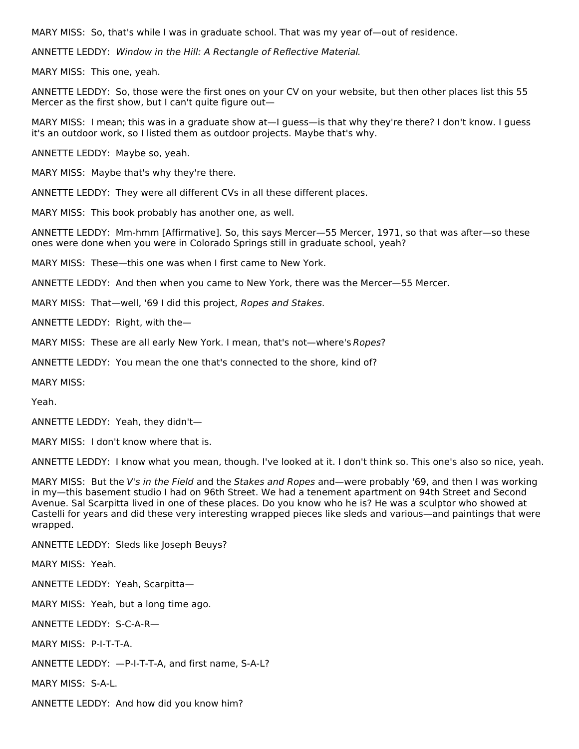MARY MISS: So, that's while I was in graduate school. That was my year of—out of residence.

ANNETTE LEDDY: Window in the Hill: A Rectangle of Reflective Material.

MARY MISS: This one, yeah.

ANNETTE LEDDY: So, those were the first ones on your CV on your website, but then other places list this 55 Mercer as the first show, but I can't quite figure out—

MARY MISS: I mean; this was in a graduate show at—I guess—is that why they're there? I don't know. I guess it's an outdoor work, so I listed them as outdoor projects. Maybe that's why.

ANNETTE LEDDY: Maybe so, yeah.

MARY MISS: Maybe that's why they're there.

ANNETTE LEDDY: They were all different CVs in all these different places.

MARY MISS: This book probably has another one, as well.

ANNETTE LEDDY: Mm-hmm [Affirmative]. So, this says Mercer—55 Mercer, 1971, so that was after—so these ones were done when you were in Colorado Springs still in graduate school, yeah?

MARY MISS: These—this one was when I first came to New York.

ANNETTE LEDDY: And then when you came to New York, there was the Mercer—55 Mercer.

MARY MISS: That—well, '69 I did this project, Ropes and Stakes.

ANNETTE LEDDY: Right, with the—

MARY MISS: These are all early New York. I mean, that's not—where's Ropes?

ANNETTE LEDDY: You mean the one that's connected to the shore, kind of?

MARY MISS:

Yeah.

ANNETTE LEDDY: Yeah, they didn't—

MARY MISS: I don't know where that is.

ANNETTE LEDDY: I know what you mean, though. I've looked at it. I don't think so. This one's also so nice, yeah.

MARY MISS: But the V's in the Field and the Stakes and Ropes and—were probably '69, and then I was working in my—this basement studio I had on 96th Street. We had a tenement apartment on 94th Street and Second Avenue. Sal Scarpitta lived in one of these places. Do you know who he is? He was a sculptor who showed at Castelli for years and did these very interesting wrapped pieces like sleds and various—and paintings that were wrapped.

ANNETTE LEDDY: Sleds like Joseph Beuys?

MARY MISS: Yeah.

ANNETTE LEDDY: Yeah, Scarpitta—

MARY MISS: Yeah, but a long time ago.

ANNETTE LEDDY: S-C-A-R—

MARY MISS: P-I-T-T-A.

ANNETTE LEDDY: —P-I-T-T-A, and first name, S-A-L?

MARY MISS: S-A-L.

ANNETTE LEDDY: And how did you know him?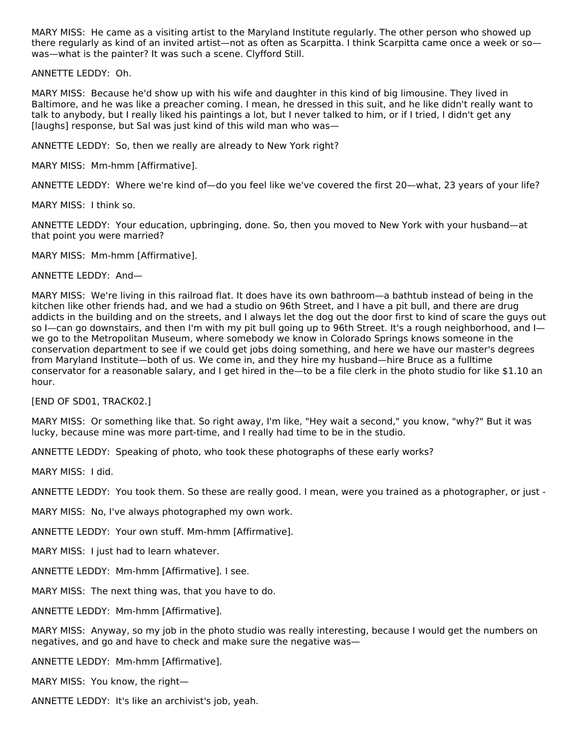MARY MISS: He came as a visiting artist to the Maryland Institute regularly. The other person who showed up there regularly as kind of an invited artist—not as often as Scarpitta. I think Scarpitta came once a week or so was—what is the painter? It was such a scene. Clyfford Still.

ANNETTE LEDDY: Oh.

MARY MISS: Because he'd show up with his wife and daughter in this kind of big limousine. They lived in Baltimore, and he was like a preacher coming. I mean, he dressed in this suit, and he like didn't really want to talk to anybody, but I really liked his paintings a lot, but I never talked to him, or if I tried, I didn't get any [laughs] response, but Sal was just kind of this wild man who was—

ANNETTE LEDDY: So, then we really are already to New York right?

MARY MISS: Mm-hmm [Affirmative].

ANNETTE LEDDY: Where we're kind of—do you feel like we've covered the first 20—what, 23 years of your life?

MARY MISS: I think so.

ANNETTE LEDDY: Your education, upbringing, done. So, then you moved to New York with your husband—at that point you were married?

MARY MISS: Mm-hmm [Affirmative].

ANNETTE LEDDY: And—

MARY MISS: We're living in this railroad flat. It does have its own bathroom—a bathtub instead of being in the kitchen like other friends had, and we had a studio on 96th Street, and I have a pit bull, and there are drug addicts in the building and on the streets, and I always let the dog out the door first to kind of scare the guys out so I—can go downstairs, and then I'm with my pit bull going up to 96th Street. It's a rough neighborhood, and I we go to the Metropolitan Museum, where somebody we know in Colorado Springs knows someone in the conservation department to see if we could get jobs doing something, and here we have our master's degrees from Maryland Institute—both of us. We come in, and they hire my husband—hire Bruce as a fulltime conservator for a reasonable salary, and I get hired in the—to be a file clerk in the photo studio for like \$1.10 an hour.

[END OF SD01, TRACK02.]

MARY MISS: Or something like that. So right away, I'm like, "Hey wait a second," you know, "why?" But it was lucky, because mine was more part-time, and I really had time to be in the studio.

ANNETTE LEDDY: Speaking of photo, who took these photographs of these early works?

MARY MISS: I did.

ANNETTE LEDDY: You took them. So these are really good. I mean, were you trained as a photographer, or just -

MARY MISS: No, I've always photographed my own work.

ANNETTE LEDDY: Your own stuff. Mm-hmm [Affirmative].

MARY MISS: I just had to learn whatever.

ANNETTE LEDDY: Mm-hmm [Affirmative]. I see.

MARY MISS: The next thing was, that you have to do.

ANNETTE LEDDY: Mm-hmm [Affirmative].

MARY MISS: Anyway, so my job in the photo studio was really interesting, because I would get the numbers on negatives, and go and have to check and make sure the negative was—

ANNETTE LEDDY: Mm-hmm [Affirmative].

MARY MISS: You know, the right—

ANNETTE LEDDY: It's like an archivist's job, yeah.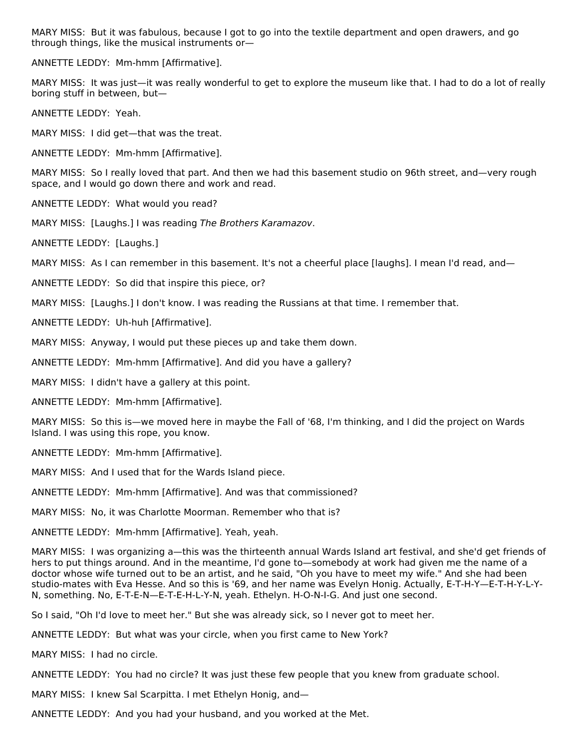MARY MISS: But it was fabulous, because I got to go into the textile department and open drawers, and go through things, like the musical instruments or—

ANNETTE LEDDY: Mm-hmm [Affirmative].

MARY MISS: It was just—it was really wonderful to get to explore the museum like that. I had to do a lot of really boring stuff in between, but—

ANNETTE LEDDY: Yeah.

MARY MISS: I did get—that was the treat.

ANNETTE LEDDY: Mm-hmm [Affirmative].

MARY MISS: So I really loved that part. And then we had this basement studio on 96th street, and—very rough space, and I would go down there and work and read.

ANNETTE LEDDY: What would you read?

MARY MISS: [Laughs.] I was reading The Brothers Karamazov.

ANNETTE LEDDY: [Laughs.]

MARY MISS: As I can remember in this basement. It's not a cheerful place [laughs]. I mean I'd read, and—

ANNETTE LEDDY: So did that inspire this piece, or?

MARY MISS: [Laughs.] I don't know. I was reading the Russians at that time. I remember that.

ANNETTE LEDDY: Uh-huh [Affirmative].

MARY MISS: Anyway, I would put these pieces up and take them down.

ANNETTE LEDDY: Mm-hmm [Affirmative]. And did you have a gallery?

MARY MISS: I didn't have a gallery at this point.

ANNETTE LEDDY: Mm-hmm [Affirmative].

MARY MISS: So this is—we moved here in maybe the Fall of '68, I'm thinking, and I did the project on Wards Island. I was using this rope, you know.

ANNETTE LEDDY: Mm-hmm [Affirmative].

MARY MISS: And I used that for the Wards Island piece.

ANNETTE LEDDY: Mm-hmm [Affirmative]. And was that commissioned?

MARY MISS: No, it was Charlotte Moorman. Remember who that is?

ANNETTE LEDDY: Mm-hmm [Affirmative]. Yeah, yeah.

MARY MISS: I was organizing a—this was the thirteenth annual Wards Island art festival, and she'd get friends of hers to put things around. And in the meantime, I'd gone to—somebody at work had given me the name of a doctor whose wife turned out to be an artist, and he said, "Oh you have to meet my wife." And she had been studio-mates with Eva Hesse. And so this is '69, and her name was Evelyn Honig. Actually, E-T-H-Y—E-T-H-Y-L-Y-N, something. No, E-T-E-N—E-T-E-H-L-Y-N, yeah. Ethelyn. H-O-N-I-G. And just one second.

So I said, "Oh I'd love to meet her." But she was already sick, so I never got to meet her.

ANNETTE LEDDY: But what was your circle, when you first came to New York?

MARY MISS: I had no circle.

ANNETTE LEDDY: You had no circle? It was just these few people that you knew from graduate school.

MARY MISS: I knew Sal Scarpitta. I met Ethelyn Honig, and—

ANNETTE LEDDY: And you had your husband, and you worked at the Met.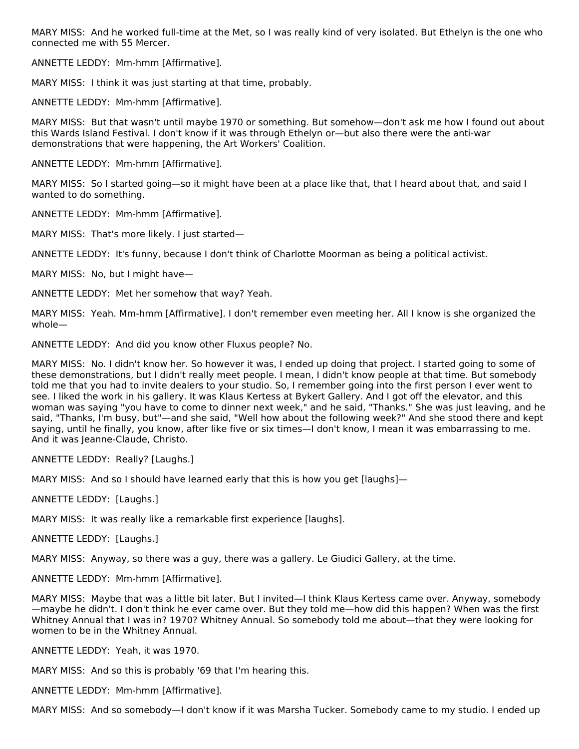MARY MISS: And he worked full-time at the Met, so I was really kind of very isolated. But Ethelyn is the one who connected me with 55 Mercer.

ANNETTE LEDDY: Mm-hmm [Affirmative].

MARY MISS: I think it was just starting at that time, probably.

ANNETTE LEDDY: Mm-hmm [Affirmative].

MARY MISS: But that wasn't until maybe 1970 or something. But somehow—don't ask me how I found out about this Wards Island Festival. I don't know if it was through Ethelyn or—but also there were the anti-war demonstrations that were happening, the Art Workers' Coalition.

ANNETTE LEDDY: Mm-hmm [Affirmative].

MARY MISS: So I started going—so it might have been at a place like that, that I heard about that, and said I wanted to do something.

ANNETTE LEDDY: Mm-hmm [Affirmative].

MARY MISS: That's more likely. I just started—

ANNETTE LEDDY: It's funny, because I don't think of Charlotte Moorman as being a political activist.

MARY MISS: No, but I might have—

ANNETTE LEDDY: Met her somehow that way? Yeah.

MARY MISS: Yeah. Mm-hmm [Affirmative]. I don't remember even meeting her. All I know is she organized the whole—

ANNETTE LEDDY: And did you know other Fluxus people? No.

MARY MISS: No. I didn't know her. So however it was, I ended up doing that project. I started going to some of these demonstrations, but I didn't really meet people. I mean, I didn't know people at that time. But somebody told me that you had to invite dealers to your studio. So, I remember going into the first person I ever went to see. I liked the work in his gallery. It was Klaus Kertess at Bykert Gallery. And I got off the elevator, and this woman was saying "you have to come to dinner next week," and he said, "Thanks." She was just leaving, and he said, "Thanks, I'm busy, but"—and she said, "Well how about the following week?" And she stood there and kept saying, until he finally, you know, after like five or six times—I don't know, I mean it was embarrassing to me. And it was Jeanne-Claude, Christo.

ANNETTE LEDDY: Really? [Laughs.]

MARY MISS: And so I should have learned early that this is how you get [laughs]—

ANNETTE LEDDY: [Laughs.]

MARY MISS: It was really like a remarkable first experience [laughs].

ANNETTE LEDDY: [Laughs.]

MARY MISS: Anyway, so there was a guy, there was a gallery. Le Giudici Gallery, at the time.

ANNETTE LEDDY: Mm-hmm [Affirmative].

MARY MISS: Maybe that was a little bit later. But I invited—I think Klaus Kertess came over. Anyway, somebody —maybe he didn't. I don't think he ever came over. But they told me—how did this happen? When was the first Whitney Annual that I was in? 1970? Whitney Annual. So somebody told me about—that they were looking for women to be in the Whitney Annual.

ANNETTE LEDDY: Yeah, it was 1970.

MARY MISS: And so this is probably '69 that I'm hearing this.

ANNETTE LEDDY: Mm-hmm [Affirmative].

MARY MISS: And so somebody—I don't know if it was Marsha Tucker. Somebody came to my studio. I ended up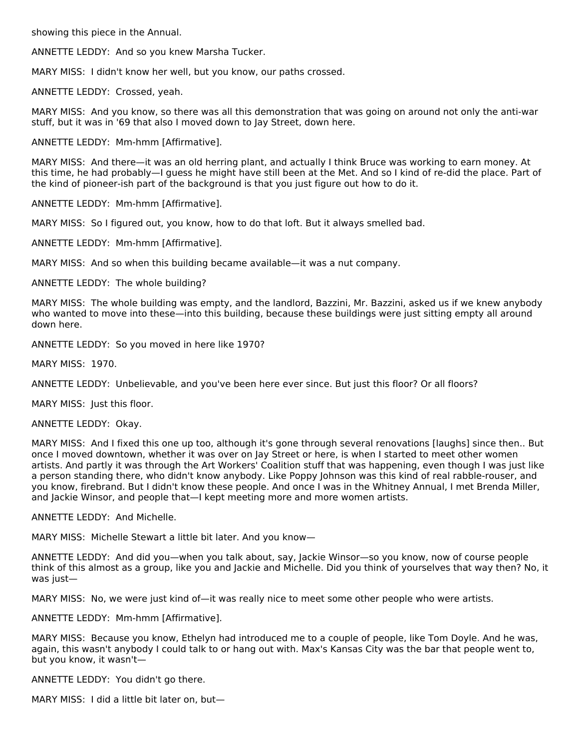showing this piece in the Annual.

ANNETTE LEDDY: And so you knew Marsha Tucker.

MARY MISS: I didn't know her well, but you know, our paths crossed.

ANNETTE LEDDY: Crossed, yeah.

MARY MISS: And you know, so there was all this demonstration that was going on around not only the anti-war stuff, but it was in '69 that also I moved down to Jay Street, down here.

ANNETTE LEDDY: Mm-hmm [Affirmative].

MARY MISS: And there—it was an old herring plant, and actually I think Bruce was working to earn money. At this time, he had probably—I guess he might have still been at the Met. And so I kind of re-did the place. Part of the kind of pioneer-ish part of the background is that you just figure out how to do it.

ANNETTE LEDDY: Mm-hmm [Affirmative].

MARY MISS: So I figured out, you know, how to do that loft. But it always smelled bad.

ANNETTE LEDDY: Mm-hmm [Affirmative].

MARY MISS: And so when this building became available—it was a nut company.

ANNETTE LEDDY: The whole building?

MARY MISS: The whole building was empty, and the landlord, Bazzini, Mr. Bazzini, asked us if we knew anybody who wanted to move into these—into this building, because these buildings were just sitting empty all around down here.

ANNETTE LEDDY: So you moved in here like 1970?

MARY MISS: 1970.

ANNETTE LEDDY: Unbelievable, and you've been here ever since. But just this floor? Or all floors?

MARY MISS: Just this floor.

ANNETTE LEDDY: Okay.

MARY MISS: And I fixed this one up too, although it's gone through several renovations [laughs] since then.. But once I moved downtown, whether it was over on Jay Street or here, is when I started to meet other women artists. And partly it was through the Art Workers' Coalition stuff that was happening, even though I was just like a person standing there, who didn't know anybody. Like Poppy Johnson was this kind of real rabble-rouser, and you know, firebrand. But I didn't know these people. And once I was in the Whitney Annual, I met Brenda Miller, and Jackie Winsor, and people that—I kept meeting more and more women artists.

ANNETTE LEDDY: And Michelle.

MARY MISS: Michelle Stewart a little bit later. And you know—

ANNETTE LEDDY: And did you—when you talk about, say, Jackie Winsor—so you know, now of course people think of this almost as a group, like you and Jackie and Michelle. Did you think of yourselves that way then? No, it was just—

MARY MISS: No, we were just kind of—it was really nice to meet some other people who were artists.

ANNETTE LEDDY: Mm-hmm [Affirmative].

MARY MISS: Because you know, Ethelyn had introduced me to a couple of people, like Tom Doyle. And he was, again, this wasn't anybody I could talk to or hang out with. Max's Kansas City was the bar that people went to, but you know, it wasn't—

ANNETTE LEDDY: You didn't go there.

MARY MISS: I did a little bit later on, but—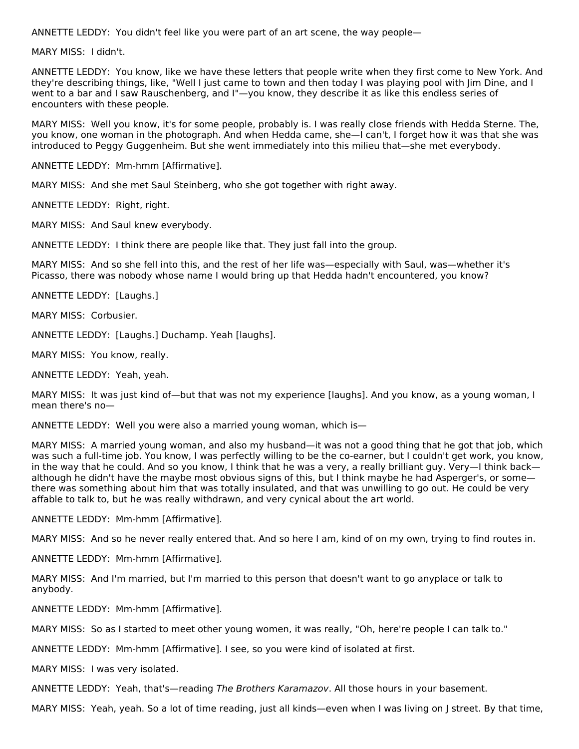ANNETTE LEDDY: You didn't feel like you were part of an art scene, the way people—

MARY MISS: I didn't.

ANNETTE LEDDY: You know, like we have these letters that people write when they first come to New York. And they're describing things, like, "Well I just came to town and then today I was playing pool with Jim Dine, and I went to a bar and I saw Rauschenberg, and I"—you know, they describe it as like this endless series of encounters with these people.

MARY MISS: Well you know, it's for some people, probably is. I was really close friends with Hedda Sterne. The, you know, one woman in the photograph. And when Hedda came, she—I can't, I forget how it was that she was introduced to Peggy Guggenheim. But she went immediately into this milieu that—she met everybody.

ANNETTE LEDDY: Mm-hmm [Affirmative].

MARY MISS: And she met Saul Steinberg, who she got together with right away.

ANNETTE LEDDY: Right, right.

MARY MISS: And Saul knew everybody.

ANNETTE LEDDY: I think there are people like that. They just fall into the group.

MARY MISS: And so she fell into this, and the rest of her life was—especially with Saul, was—whether it's Picasso, there was nobody whose name I would bring up that Hedda hadn't encountered, you know?

ANNETTE LEDDY: [Laughs.]

MARY MISS: Corbusier.

ANNETTE LEDDY: [Laughs.] Duchamp. Yeah [laughs].

MARY MISS: You know, really.

ANNETTE LEDDY: Yeah, yeah.

MARY MISS: It was just kind of—but that was not my experience [laughs]. And you know, as a young woman, I mean there's no—

ANNETTE LEDDY: Well you were also a married young woman, which is—

MARY MISS: A married young woman, and also my husband—it was not a good thing that he got that job, which was such a full-time job. You know, I was perfectly willing to be the co-earner, but I couldn't get work, you know, in the way that he could. And so you know, I think that he was a very, a really brilliant guy. Very—I think back although he didn't have the maybe most obvious signs of this, but I think maybe he had Asperger's, or some there was something about him that was totally insulated, and that was unwilling to go out. He could be very affable to talk to, but he was really withdrawn, and very cynical about the art world.

ANNETTE LEDDY: Mm-hmm [Affirmative].

MARY MISS: And so he never really entered that. And so here I am, kind of on my own, trying to find routes in.

ANNETTE LEDDY: Mm-hmm [Affirmative].

MARY MISS: And I'm married, but I'm married to this person that doesn't want to go anyplace or talk to anybody.

ANNETTE LEDDY: Mm-hmm [Affirmative].

MARY MISS: So as I started to meet other young women, it was really, "Oh, here're people I can talk to."

ANNETTE LEDDY: Mm-hmm [Affirmative]. I see, so you were kind of isolated at first.

MARY MISS: I was very isolated.

ANNETTE LEDDY: Yeah, that's—reading The Brothers Karamazov. All those hours in your basement.

MARY MISS: Yeah, yeah. So a lot of time reading, just all kinds—even when I was living on J street. By that time,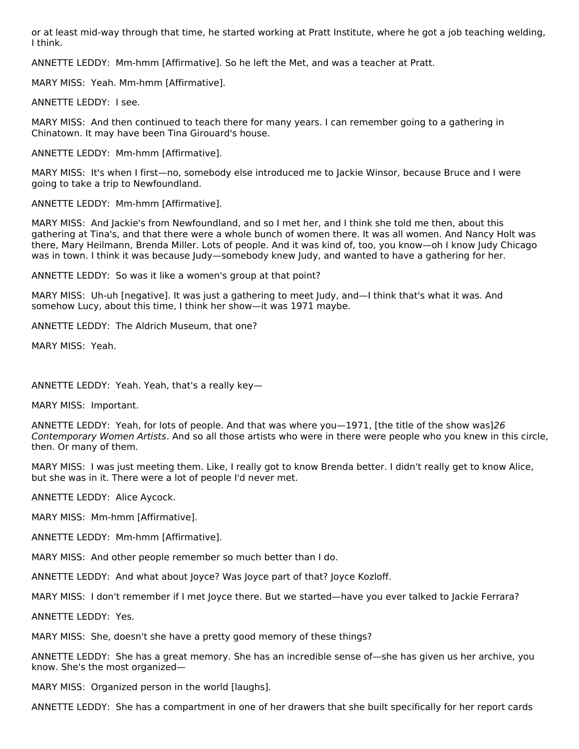or at least mid-way through that time, he started working at Pratt Institute, where he got a job teaching welding, I think.

ANNETTE LEDDY: Mm-hmm [Affirmative]. So he left the Met, and was a teacher at Pratt.

MARY MISS: Yeah. Mm-hmm [Affirmative].

ANNETTE LEDDY: I see.

MARY MISS: And then continued to teach there for many years. I can remember going to a gathering in Chinatown. It may have been Tina Girouard's house.

ANNETTE LEDDY: Mm-hmm [Affirmative].

MARY MISS: It's when I first—no, somebody else introduced me to Jackie Winsor, because Bruce and I were going to take a trip to Newfoundland.

ANNETTE LEDDY: Mm-hmm [Affirmative].

MARY MISS: And Jackie's from Newfoundland, and so I met her, and I think she told me then, about this gathering at Tina's, and that there were a whole bunch of women there. It was all women. And Nancy Holt was there, Mary Heilmann, Brenda Miller. Lots of people. And it was kind of, too, you know—oh I know Judy Chicago was in town. I think it was because Judy—somebody knew Judy, and wanted to have a gathering for her.

ANNETTE LEDDY: So was it like a women's group at that point?

MARY MISS: Uh-uh [negative]. It was just a gathering to meet Judy, and—I think that's what it was. And somehow Lucy, about this time, I think her show—it was 1971 maybe.

ANNETTE LEDDY: The Aldrich Museum, that one?

MARY MISS: Yeah.

ANNETTE LEDDY: Yeah. Yeah, that's a really key—

MARY MISS: Important.

ANNETTE LEDDY: Yeah, for lots of people. And that was where you—1971, [the title of the show was]26 Contemporary Women Artists. And so all those artists who were in there were people who you knew in this circle, then. Or many of them.

MARY MISS: I was just meeting them. Like, I really got to know Brenda better. I didn't really get to know Alice, but she was in it. There were a lot of people I'd never met.

ANNETTE LEDDY: Alice Aycock.

MARY MISS: Mm-hmm [Affirmative].

ANNETTE LEDDY: Mm-hmm [Affirmative].

MARY MISS: And other people remember so much better than I do.

ANNETTE LEDDY: And what about Joyce? Was Joyce part of that? Joyce Kozloff.

MARY MISS: I don't remember if I met Joyce there. But we started—have you ever talked to Jackie Ferrara?

ANNETTE LEDDY: Yes.

MARY MISS: She, doesn't she have a pretty good memory of these things?

ANNETTE LEDDY: She has a great memory. She has an incredible sense of—she has given us her archive, you know. She's the most organized—

MARY MISS: Organized person in the world [laughs].

ANNETTE LEDDY: She has a compartment in one of her drawers that she built specifically for her report cards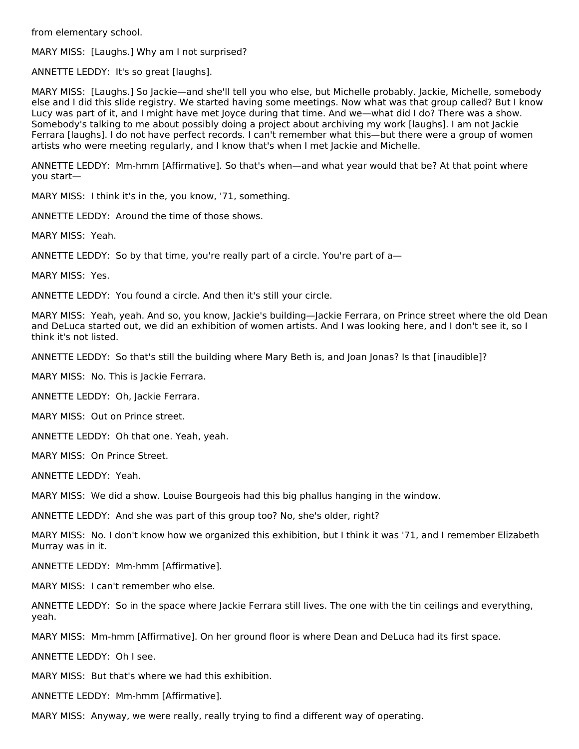from elementary school.

MARY MISS: [Laughs.] Why am I not surprised?

ANNETTE LEDDY: It's so great [laughs].

MARY MISS: [Laughs.] So Jackie—and she'll tell you who else, but Michelle probably. Jackie, Michelle, somebody else and I did this slide registry. We started having some meetings. Now what was that group called? But I know Lucy was part of it, and I might have met Joyce during that time. And we—what did I do? There was a show. Somebody's talking to me about possibly doing a project about archiving my work [laughs]. I am not Jackie Ferrara [laughs]. I do not have perfect records. I can't remember what this—but there were a group of women artists who were meeting regularly, and I know that's when I met Jackie and Michelle.

ANNETTE LEDDY: Mm-hmm [Affirmative]. So that's when—and what year would that be? At that point where you start—

MARY MISS: I think it's in the, you know, '71, something.

ANNETTE LEDDY: Around the time of those shows.

MARY MISS: Yeah.

ANNETTE LEDDY: So by that time, you're really part of a circle. You're part of a—

MARY MISS: Yes.

ANNETTE LEDDY: You found a circle. And then it's still your circle.

MARY MISS: Yeah, yeah. And so, you know, Jackie's building—Jackie Ferrara, on Prince street where the old Dean and DeLuca started out, we did an exhibition of women artists. And I was looking here, and I don't see it, so I think it's not listed.

ANNETTE LEDDY: So that's still the building where Mary Beth is, and Joan Jonas? Is that [inaudible]?

MARY MISS: No. This is Jackie Ferrara.

ANNETTE LEDDY: Oh, Jackie Ferrara.

MARY MISS: Out on Prince street.

ANNETTE LEDDY: Oh that one. Yeah, yeah.

MARY MISS: On Prince Street.

ANNETTE LEDDY: Yeah.

MARY MISS: We did a show. Louise Bourgeois had this big phallus hanging in the window.

ANNETTE LEDDY: And she was part of this group too? No, she's older, right?

MARY MISS: No. I don't know how we organized this exhibition, but I think it was '71, and I remember Elizabeth Murray was in it.

ANNETTE LEDDY: Mm-hmm [Affirmative].

MARY MISS: I can't remember who else.

ANNETTE LEDDY: So in the space where Jackie Ferrara still lives. The one with the tin ceilings and everything, yeah.

MARY MISS: Mm-hmm [Affirmative]. On her ground floor is where Dean and DeLuca had its first space.

ANNETTE LEDDY: Oh I see.

MARY MISS: But that's where we had this exhibition.

ANNETTE LEDDY: Mm-hmm [Affirmative].

MARY MISS: Anyway, we were really, really trying to find a different way of operating.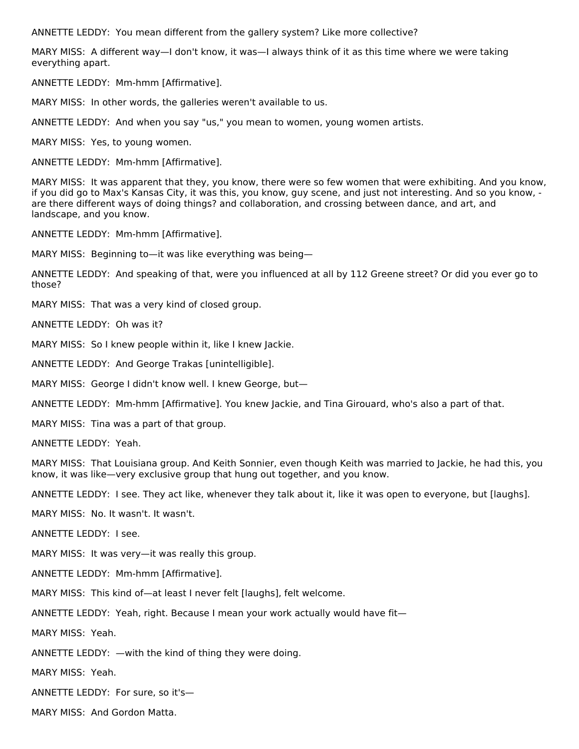ANNETTE LEDDY: You mean different from the gallery system? Like more collective?

MARY MISS: A different way—I don't know, it was—I always think of it as this time where we were taking everything apart.

ANNETTE LEDDY: Mm-hmm [Affirmative].

MARY MISS: In other words, the galleries weren't available to us.

ANNETTE LEDDY: And when you say "us," you mean to women, young women artists.

MARY MISS: Yes, to young women.

ANNETTE LEDDY: Mm-hmm [Affirmative].

MARY MISS: It was apparent that they, you know, there were so few women that were exhibiting. And you know, if you did go to Max's Kansas City, it was this, you know, guy scene, and just not interesting. And so you know, are there different ways of doing things? and collaboration, and crossing between dance, and art, and landscape, and you know.

ANNETTE LEDDY: Mm-hmm [Affirmative].

MARY MISS: Beginning to—it was like everything was being—

ANNETTE LEDDY: And speaking of that, were you influenced at all by 112 Greene street? Or did you ever go to those?

MARY MISS: That was a very kind of closed group.

ANNETTE LEDDY: Oh was it?

MARY MISS: So I knew people within it, like I knew Jackie.

ANNETTE LEDDY: And George Trakas [unintelligible].

MARY MISS: George I didn't know well. I knew George, but—

ANNETTE LEDDY: Mm-hmm [Affirmative]. You knew Jackie, and Tina Girouard, who's also a part of that.

MARY MISS: Tina was a part of that group.

ANNETTE LEDDY: Yeah.

MARY MISS: That Louisiana group. And Keith Sonnier, even though Keith was married to Jackie, he had this, you know, it was like—very exclusive group that hung out together, and you know.

ANNETTE LEDDY: I see. They act like, whenever they talk about it, like it was open to everyone, but [laughs].

MARY MISS: No. It wasn't. It wasn't.

ANNETTE LEDDY: I see.

MARY MISS: It was very—it was really this group.

ANNETTE LEDDY: Mm-hmm [Affirmative].

MARY MISS: This kind of—at least I never felt [laughs], felt welcome.

ANNETTE LEDDY: Yeah, right. Because I mean your work actually would have fit—

MARY MISS: Yeah.

ANNETTE LEDDY: —with the kind of thing they were doing.

MARY MISS: Yeah.

ANNETTE LEDDY: For sure, so it's—

MARY MISS: And Gordon Matta.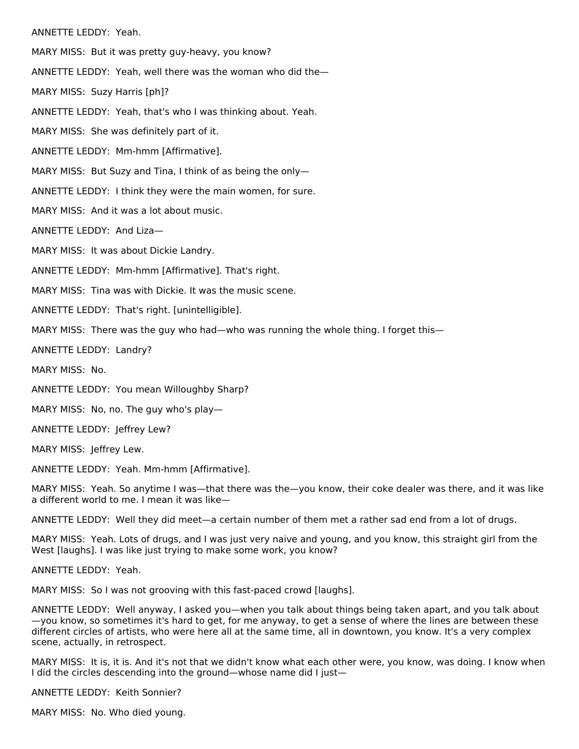ANNETTE LEDDY: Yeah.

MARY MISS: But it was pretty guy-heavy, you know?

ANNETTE LEDDY: Yeah, well there was the woman who did the—

MARY MISS: Suzy Harris [ph]?

ANNETTE LEDDY: Yeah, that's who I was thinking about. Yeah.

MARY MISS: She was definitely part of it.

ANNETTE LEDDY: Mm-hmm [Affirmative].

MARY MISS: But Suzy and Tina, I think of as being the only—

ANNETTE LEDDY: I think they were the main women, for sure.

MARY MISS: And it was a lot about music.

ANNETTE LEDDY: And Liza—

MARY MISS: It was about Dickie Landry.

ANNETTE LEDDY: Mm-hmm [Affirmative]. That's right.

MARY MISS: Tina was with Dickie. It was the music scene.

ANNETTE LEDDY: That's right. [unintelligible].

MARY MISS: There was the guy who had—who was running the whole thing. I forget this—

ANNETTE LEDDY: Landry?

MARY MISS: No.

ANNETTE LEDDY: You mean Willoughby Sharp?

MARY MISS: No, no. The guy who's play—

ANNETTE LEDDY: Jeffrey Lew?

MARY MISS: Jeffrey Lew.

ANNETTE LEDDY: Yeah. Mm-hmm [Affirmative].

MARY MISS: Yeah. So anytime I was—that there was the—you know, their coke dealer was there, and it was like a different world to me. I mean it was like—

ANNETTE LEDDY: Well they did meet—a certain number of them met a rather sad end from a lot of drugs.

MARY MISS: Yeah. Lots of drugs, and I was just very naive and young, and you know, this straight girl from the West [laughs]. I was like just trying to make some work, you know?

ANNETTE LEDDY: Yeah.

MARY MISS: So I was not grooving with this fast-paced crowd [laughs].

ANNETTE LEDDY: Well anyway, I asked you—when you talk about things being taken apart, and you talk about —you know, so sometimes it's hard to get, for me anyway, to get a sense of where the lines are between these different circles of artists, who were here all at the same time, all in downtown, you know. It's a very complex scene, actually, in retrospect.

MARY MISS: It is, it is. And it's not that we didn't know what each other were, you know, was doing. I know when I did the circles descending into the ground—whose name did I just—

ANNETTE LEDDY: Keith Sonnier?

MARY MISS: No. Who died young.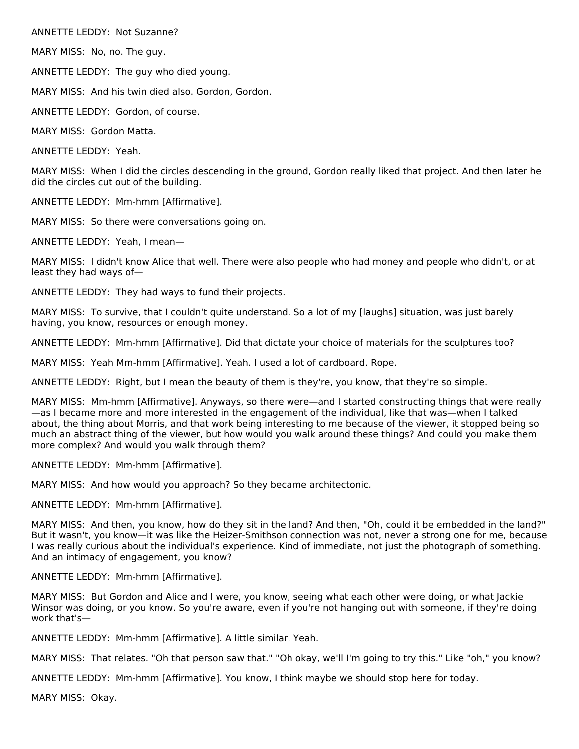ANNETTE LEDDY: Not Suzanne?

MARY MISS: No, no. The guy.

ANNETTE LEDDY: The guy who died young.

MARY MISS: And his twin died also. Gordon, Gordon.

ANNETTE LEDDY: Gordon, of course.

MARY MISS: Gordon Matta.

ANNETTE LEDDY: Yeah.

MARY MISS: When I did the circles descending in the ground, Gordon really liked that project. And then later he did the circles cut out of the building.

ANNETTE LEDDY: Mm-hmm [Affirmative].

MARY MISS: So there were conversations going on.

ANNETTE LEDDY: Yeah, I mean—

MARY MISS: I didn't know Alice that well. There were also people who had money and people who didn't, or at least they had ways of—

ANNETTE LEDDY: They had ways to fund their projects.

MARY MISS: To survive, that I couldn't quite understand. So a lot of my [laughs] situation, was just barely having, you know, resources or enough money.

ANNETTE LEDDY: Mm-hmm [Affirmative]. Did that dictate your choice of materials for the sculptures too?

MARY MISS: Yeah Mm-hmm [Affirmative]. Yeah. I used a lot of cardboard. Rope.

ANNETTE LEDDY: Right, but I mean the beauty of them is they're, you know, that they're so simple.

MARY MISS: Mm-hmm [Affirmative]. Anyways, so there were—and I started constructing things that were really —as I became more and more interested in the engagement of the individual, like that was—when I talked about, the thing about Morris, and that work being interesting to me because of the viewer, it stopped being so much an abstract thing of the viewer, but how would you walk around these things? And could you make them more complex? And would you walk through them?

ANNETTE LEDDY: Mm-hmm [Affirmative].

MARY MISS: And how would you approach? So they became architectonic.

ANNETTE LEDDY: Mm-hmm [Affirmative].

MARY MISS: And then, you know, how do they sit in the land? And then, "Oh, could it be embedded in the land?" But it wasn't, you know—it was like the Heizer-Smithson connection was not, never a strong one for me, because I was really curious about the individual's experience. Kind of immediate, not just the photograph of something. And an intimacy of engagement, you know?

ANNETTE LEDDY: Mm-hmm [Affirmative].

MARY MISS: But Gordon and Alice and I were, you know, seeing what each other were doing, or what Jackie Winsor was doing, or you know. So you're aware, even if you're not hanging out with someone, if they're doing work that's—

ANNETTE LEDDY: Mm-hmm [Affirmative]. A little similar. Yeah.

MARY MISS: That relates. "Oh that person saw that." "Oh okay, we'll I'm going to try this." Like "oh," you know?

ANNETTE LEDDY: Mm-hmm [Affirmative]. You know, I think maybe we should stop here for today.

MARY MISS: Okay.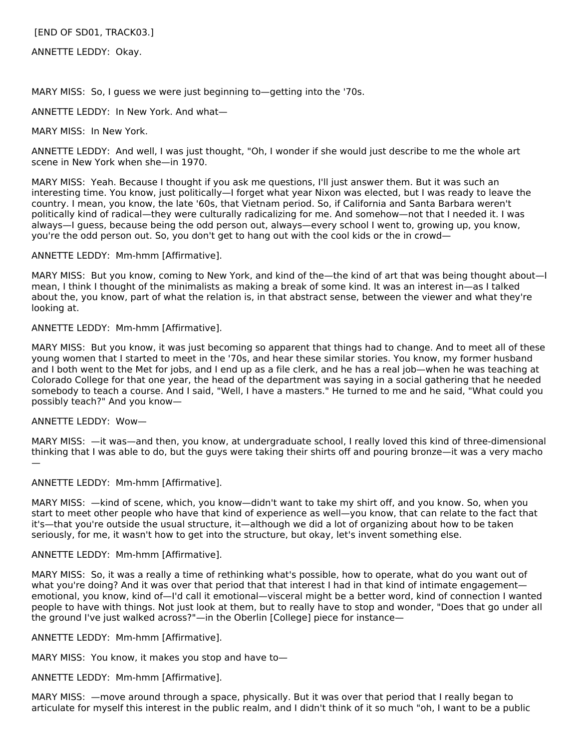[END OF SD01, TRACK03.]

ANNETTE LEDDY: Okay.

MARY MISS: So, I guess we were just beginning to—getting into the '70s.

ANNETTE LEDDY: In New York. And what—

MARY MISS: In New York.

ANNETTE LEDDY: And well, I was just thought, "Oh, I wonder if she would just describe to me the whole art scene in New York when she—in 1970.

MARY MISS: Yeah. Because I thought if you ask me questions, I'll just answer them. But it was such an interesting time. You know, just politically—I forget what year Nixon was elected, but I was ready to leave the country. I mean, you know, the late '60s, that Vietnam period. So, if California and Santa Barbara weren't politically kind of radical—they were culturally radicalizing for me. And somehow—not that I needed it. I was always—I guess, because being the odd person out, always—every school I went to, growing up, you know, you're the odd person out. So, you don't get to hang out with the cool kids or the in crowd—

ANNETTE LEDDY: Mm-hmm [Affirmative].

MARY MISS: But you know, coming to New York, and kind of the—the kind of art that was being thought about—I mean, I think I thought of the minimalists as making a break of some kind. It was an interest in—as I talked about the, you know, part of what the relation is, in that abstract sense, between the viewer and what they're looking at.

## ANNETTE LEDDY: Mm-hmm [Affirmative].

MARY MISS: But you know, it was just becoming so apparent that things had to change. And to meet all of these young women that I started to meet in the '70s, and hear these similar stories. You know, my former husband and I both went to the Met for jobs, and I end up as a file clerk, and he has a real job—when he was teaching at Colorado College for that one year, the head of the department was saying in a social gathering that he needed somebody to teach a course. And I said, "Well, I have a masters." He turned to me and he said, "What could you possibly teach?" And you know—

#### ANNETTE LEDDY: Wow—

MARY MISS: —it was—and then, you know, at undergraduate school, I really loved this kind of three-dimensional thinking that I was able to do, but the guys were taking their shirts off and pouring bronze—it was a very macho —

#### ANNETTE LEDDY: Mm-hmm [Affirmative].

MARY MISS: —kind of scene, which, you know—didn't want to take my shirt off, and you know. So, when you start to meet other people who have that kind of experience as well—you know, that can relate to the fact that it's—that you're outside the usual structure, it—although we did a lot of organizing about how to be taken seriously, for me, it wasn't how to get into the structure, but okay, let's invent something else.

#### ANNETTE LEDDY: Mm-hmm [Affirmative].

MARY MISS: So, it was a really a time of rethinking what's possible, how to operate, what do you want out of what you're doing? And it was over that period that that interest I had in that kind of intimate engagement emotional, you know, kind of—I'd call it emotional—visceral might be a better word, kind of connection I wanted people to have with things. Not just look at them, but to really have to stop and wonder, "Does that go under all the ground I've just walked across?"—in the Oberlin [College] piece for instance—

ANNETTE LEDDY: Mm-hmm [Affirmative].

MARY MISS: You know, it makes you stop and have to—

ANNETTE LEDDY: Mm-hmm [Affirmative].

MARY MISS: —move around through a space, physically. But it was over that period that I really began to articulate for myself this interest in the public realm, and I didn't think of it so much "oh, I want to be a public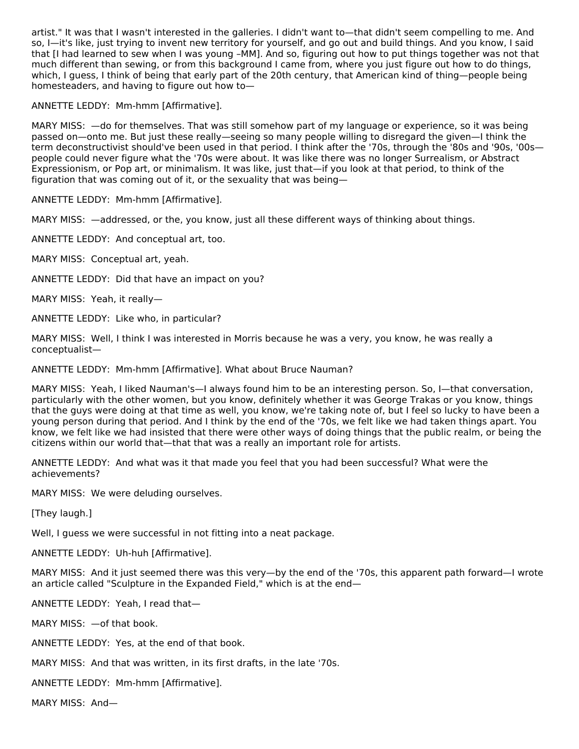artist." It was that I wasn't interested in the galleries. I didn't want to—that didn't seem compelling to me. And so, I—it's like, just trying to invent new territory for yourself, and go out and build things. And you know, I said that [I had learned to sew when I was young –MM]. And so, figuring out how to put things together was not that much different than sewing, or from this background I came from, where you just figure out how to do things, which, I guess, I think of being that early part of the 20th century, that American kind of thing—people being homesteaders, and having to figure out how to—

ANNETTE LEDDY: Mm-hmm [Affirmative].

MARY MISS: —do for themselves. That was still somehow part of my language or experience, so it was being passed on—onto me. But just these really—seeing so many people willing to disregard the given—I think the term deconstructivist should've been used in that period. I think after the '70s, through the '80s and '90s, '00s people could never figure what the '70s were about. It was like there was no longer Surrealism, or Abstract Expressionism, or Pop art, or minimalism. It was like, just that—if you look at that period, to think of the figuration that was coming out of it, or the sexuality that was being—

ANNETTE LEDDY: Mm-hmm [Affirmative].

MARY MISS: —addressed, or the, you know, just all these different ways of thinking about things.

ANNETTE LEDDY: And conceptual art, too.

MARY MISS: Conceptual art, yeah.

ANNETTE LEDDY: Did that have an impact on you?

MARY MISS: Yeah, it really—

ANNETTE LEDDY: Like who, in particular?

MARY MISS: Well, I think I was interested in Morris because he was a very, you know, he was really a conceptualist—

ANNETTE LEDDY: Mm-hmm [Affirmative]. What about Bruce Nauman?

MARY MISS: Yeah, I liked Nauman's—I always found him to be an interesting person. So, I—that conversation, particularly with the other women, but you know, definitely whether it was George Trakas or you know, things that the guys were doing at that time as well, you know, we're taking note of, but I feel so lucky to have been a young person during that period. And I think by the end of the '70s, we felt like we had taken things apart. You know, we felt like we had insisted that there were other ways of doing things that the public realm, or being the citizens within our world that—that that was a really an important role for artists.

ANNETTE LEDDY: And what was it that made you feel that you had been successful? What were the achievements?

MARY MISS: We were deluding ourselves.

[They laugh.]

Well, I guess we were successful in not fitting into a neat package.

ANNETTE LEDDY: Uh-huh [Affirmative].

MARY MISS: And it just seemed there was this very—by the end of the '70s, this apparent path forward—I wrote an article called "Sculpture in the Expanded Field," which is at the end—

ANNETTE LEDDY: Yeah, I read that—

MARY MISS: —of that book.

ANNETTE LEDDY: Yes, at the end of that book.

MARY MISS: And that was written, in its first drafts, in the late '70s.

ANNETTE LEDDY: Mm-hmm [Affirmative].

MARY MISS: And—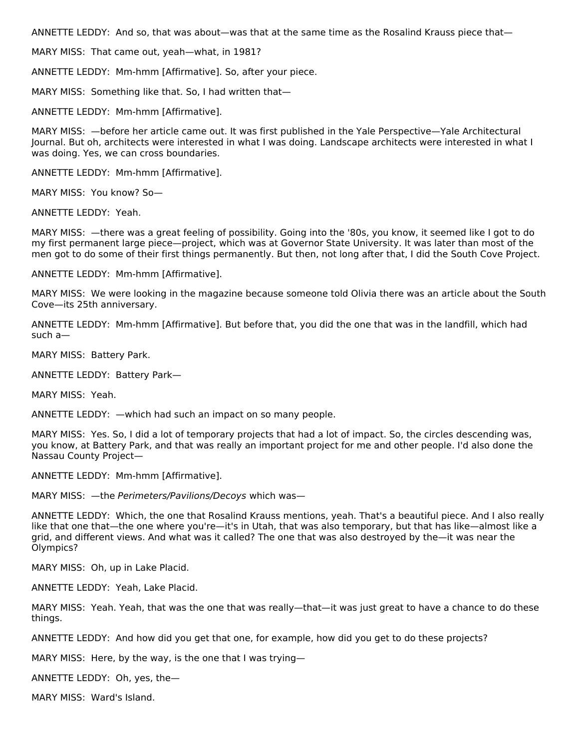ANNETTE LEDDY: And so, that was about—was that at the same time as the Rosalind Krauss piece that—

MARY MISS: That came out, yeah—what, in 1981?

ANNETTE LEDDY: Mm-hmm [Affirmative]. So, after your piece.

MARY MISS: Something like that. So, I had written that—

ANNETTE LEDDY: Mm-hmm [Affirmative].

MARY MISS: —before her article came out. It was first published in the Yale Perspective—Yale Architectural Journal. But oh, architects were interested in what I was doing. Landscape architects were interested in what I was doing. Yes, we can cross boundaries.

ANNETTE LEDDY: Mm-hmm [Affirmative].

MARY MISS: You know? So—

ANNETTE LEDDY: Yeah.

MARY MISS: —there was a great feeling of possibility. Going into the '80s, you know, it seemed like I got to do my first permanent large piece—project, which was at Governor State University. It was later than most of the men got to do some of their first things permanently. But then, not long after that, I did the South Cove Project.

ANNETTE LEDDY: Mm-hmm [Affirmative].

MARY MISS: We were looking in the magazine because someone told Olivia there was an article about the South Cove—its 25th anniversary.

ANNETTE LEDDY: Mm-hmm [Affirmative]. But before that, you did the one that was in the landfill, which had such a—

MARY MISS: Battery Park.

ANNETTE LEDDY: Battery Park—

MARY MISS: Yeah.

ANNETTE LEDDY: —which had such an impact on so many people.

MARY MISS: Yes. So, I did a lot of temporary projects that had a lot of impact. So, the circles descending was, you know, at Battery Park, and that was really an important project for me and other people. I'd also done the Nassau County Project—

ANNETTE LEDDY: Mm-hmm [Affirmative].

MARY MISS: —the Perimeters/Pavilions/Decoys which was—

ANNETTE LEDDY: Which, the one that Rosalind Krauss mentions, yeah. That's a beautiful piece. And I also really like that one that—the one where you're—it's in Utah, that was also temporary, but that has like—almost like a grid, and different views. And what was it called? The one that was also destroyed by the—it was near the Olympics?

MARY MISS: Oh, up in Lake Placid.

ANNETTE LEDDY: Yeah, Lake Placid.

MARY MISS: Yeah. Yeah, that was the one that was really—that—it was just great to have a chance to do these things.

ANNETTE LEDDY: And how did you get that one, for example, how did you get to do these projects?

MARY MISS: Here, by the way, is the one that I was trying—

ANNETTE LEDDY: Oh, yes, the—

MARY MISS: Ward's Island.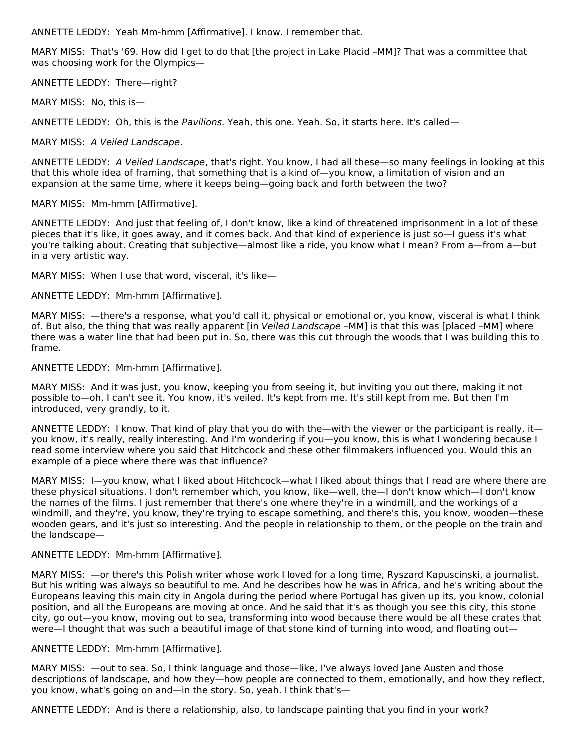ANNETTE LEDDY: Yeah Mm-hmm [Affirmative]. I know. I remember that.

MARY MISS: That's '69. How did I get to do that [the project in Lake Placid –MM]? That was a committee that was choosing work for the Olympics—

ANNETTE LEDDY: There—right?

MARY MISS: No, this is—

ANNETTE LEDDY: Oh, this is the Pavilions. Yeah, this one. Yeah. So, it starts here. It's called—

MARY MISS: A Veiled Landscape.

ANNETTE LEDDY: A Veiled Landscape, that's right. You know, I had all these—so many feelings in looking at this that this whole idea of framing, that something that is a kind of—you know, a limitation of vision and an expansion at the same time, where it keeps being—going back and forth between the two?

MARY MISS: Mm-hmm [Affirmative].

ANNETTE LEDDY: And just that feeling of, I don't know, like a kind of threatened imprisonment in a lot of these pieces that it's like, it goes away, and it comes back. And that kind of experience is just so—I guess it's what you're talking about. Creating that subjective—almost like a ride, you know what I mean? From a—from a—but in a very artistic way.

MARY MISS: When I use that word, visceral, it's like—

ANNETTE LEDDY: Mm-hmm [Affirmative].

MARY MISS: —there's a response, what you'd call it, physical or emotional or, you know, visceral is what I think of. But also, the thing that was really apparent [in Veiled Landscape -MM] is that this was [placed -MM] where there was a water line that had been put in. So, there was this cut through the woods that I was building this to frame.

ANNETTE LEDDY: Mm-hmm [Affirmative].

MARY MISS: And it was just, you know, keeping you from seeing it, but inviting you out there, making it not possible to—oh, I can't see it. You know, it's veiled. It's kept from me. It's still kept from me. But then I'm introduced, very grandly, to it.

ANNETTE LEDDY: I know. That kind of play that you do with the—with the viewer or the participant is really, it you know, it's really, really interesting. And I'm wondering if you—you know, this is what I wondering because I read some interview where you said that Hitchcock and these other filmmakers influenced you. Would this an example of a piece where there was that influence?

MARY MISS: I—you know, what I liked about Hitchcock—what I liked about things that I read are where there are these physical situations. I don't remember which, you know, like—well, the—I don't know which—I don't know the names of the films. I just remember that there's one where they're in a windmill, and the workings of a windmill, and they're, you know, they're trying to escape something, and there's this, you know, wooden—these wooden gears, and it's just so interesting. And the people in relationship to them, or the people on the train and the landscape—

ANNETTE LEDDY: Mm-hmm [Affirmative].

MARY MISS: —or there's this Polish writer whose work I loved for a long time, Ryszard Kapuscinski, a journalist. But his writing was always so beautiful to me. And he describes how he was in Africa, and he's writing about the Europeans leaving this main city in Angola during the period where Portugal has given up its, you know, colonial position, and all the Europeans are moving at once. And he said that it's as though you see this city, this stone city, go out—you know, moving out to sea, transforming into wood because there would be all these crates that were—I thought that was such a beautiful image of that stone kind of turning into wood, and floating out—

ANNETTE LEDDY: Mm-hmm [Affirmative].

MARY MISS: —out to sea. So, I think language and those—like, I've always loved Jane Austen and those descriptions of landscape, and how they—how people are connected to them, emotionally, and how they reflect, you know, what's going on and—in the story. So, yeah. I think that's—

ANNETTE LEDDY: And is there a relationship, also, to landscape painting that you find in your work?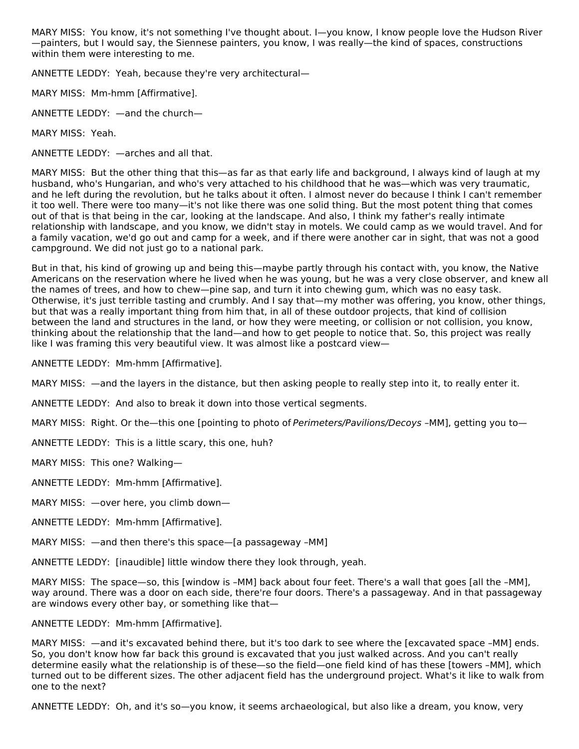MARY MISS: You know, it's not something I've thought about. I—you know, I know people love the Hudson River —painters, but I would say, the Siennese painters, you know, I was really—the kind of spaces, constructions within them were interesting to me.

ANNETTE LEDDY: Yeah, because they're very architectural—

MARY MISS: Mm-hmm [Affirmative].

ANNETTE LEDDY: —and the church—

MARY MISS: Yeah.

ANNETTE LEDDY: —arches and all that.

MARY MISS: But the other thing that this—as far as that early life and background, I always kind of laugh at my husband, who's Hungarian, and who's very attached to his childhood that he was—which was very traumatic, and he left during the revolution, but he talks about it often. I almost never do because I think I can't remember it too well. There were too many—it's not like there was one solid thing. But the most potent thing that comes out of that is that being in the car, looking at the landscape. And also, I think my father's really intimate relationship with landscape, and you know, we didn't stay in motels. We could camp as we would travel. And for a family vacation, we'd go out and camp for a week, and if there were another car in sight, that was not a good campground. We did not just go to a national park.

But in that, his kind of growing up and being this—maybe partly through his contact with, you know, the Native Americans on the reservation where he lived when he was young, but he was a very close observer, and knew all the names of trees, and how to chew—pine sap, and turn it into chewing gum, which was no easy task. Otherwise, it's just terrible tasting and crumbly. And I say that—my mother was offering, you know, other things, but that was a really important thing from him that, in all of these outdoor projects, that kind of collision between the land and structures in the land, or how they were meeting, or collision or not collision, you know, thinking about the relationship that the land—and how to get people to notice that. So, this project was really like I was framing this very beautiful view. It was almost like a postcard view—

ANNETTE LEDDY: Mm-hmm [Affirmative].

MARY MISS: —and the layers in the distance, but then asking people to really step into it, to really enter it.

ANNETTE LEDDY: And also to break it down into those vertical segments.

MARY MISS: Right. Or the—this one [pointing to photo of *Perimeters/Pavilions/Decoys* -MM], getting you to—

ANNETTE LEDDY: This is a little scary, this one, huh?

MARY MISS: This one? Walking—

ANNETTE LEDDY: Mm-hmm [Affirmative].

MARY MISS: —over here, you climb down—

ANNETTE LEDDY: Mm-hmm [Affirmative].

MARY MISS: —and then there's this space—[a passageway –MM]

ANNETTE LEDDY: [inaudible] little window there they look through, yeah.

MARY MISS: The space—so, this [window is –MM] back about four feet. There's a wall that goes [all the –MM], way around. There was a door on each side, there're four doors. There's a passageway. And in that passageway are windows every other bay, or something like that—

#### ANNETTE LEDDY: Mm-hmm [Affirmative].

MARY MISS: —and it's excavated behind there, but it's too dark to see where the [excavated space –MM] ends. So, you don't know how far back this ground is excavated that you just walked across. And you can't really determine easily what the relationship is of these—so the field—one field kind of has these [towers –MM], which turned out to be different sizes. The other adjacent field has the underground project. What's it like to walk from one to the next?

ANNETTE LEDDY: Oh, and it's so—you know, it seems archaeological, but also like a dream, you know, very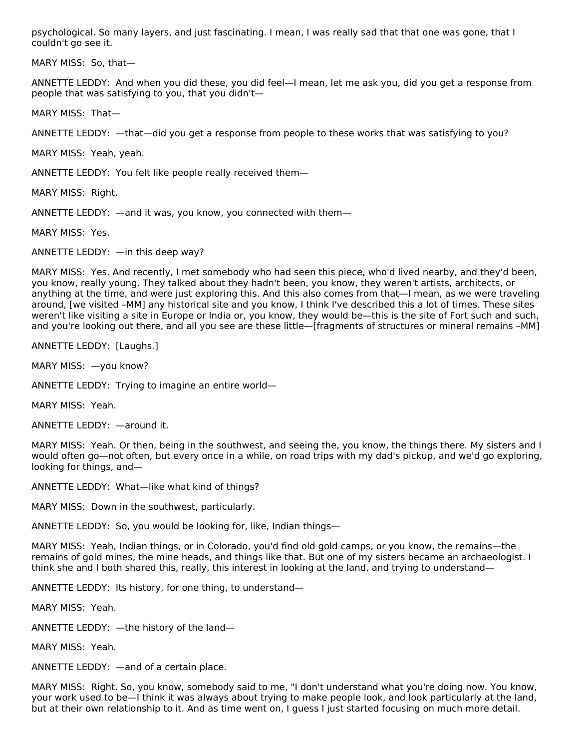psychological. So many layers, and just fascinating. I mean, I was really sad that that one was gone, that I couldn't go see it.

MARY MISS: So, that—

ANNETTE LEDDY: And when you did these, you did feel—I mean, let me ask you, did you get a response from people that was satisfying to you, that you didn't—

MARY MISS: That—

ANNETTE LEDDY: —that—did you get a response from people to these works that was satisfying to you?

MARY MISS: Yeah, yeah.

ANNETTE LEDDY: You felt like people really received them—

MARY MISS: Right.

ANNETTE LEDDY: —and it was, you know, you connected with them—

MARY MISS: Yes.

ANNETTE LEDDY: —in this deep way?

MARY MISS: Yes. And recently, I met somebody who had seen this piece, who'd lived nearby, and they'd been, you know, really young. They talked about they hadn't been, you know, they weren't artists, architects, or anything at the time, and were just exploring this. And this also comes from that—I mean, as we were traveling around, [we visited –MM] any historical site and you know, I think I've described this a lot of times. These sites weren't like visiting a site in Europe or India or, you know, they would be—this is the site of Fort such and such, and you're looking out there, and all you see are these little—[fragments of structures or mineral remains –MM]

ANNETTE LEDDY: [Laughs.]

MARY MISS: —you know?

ANNETTE LEDDY: Trying to imagine an entire world—

MARY MISS: Yeah.

ANNETTE LEDDY: —around it.

MARY MISS: Yeah. Or then, being in the southwest, and seeing the, you know, the things there. My sisters and I would often go—not often, but every once in a while, on road trips with my dad's pickup, and we'd go exploring, looking for things, and—

ANNETTE LEDDY: What—like what kind of things?

MARY MISS: Down in the southwest, particularly.

ANNETTE LEDDY: So, you would be looking for, like, Indian things—

MARY MISS: Yeah, Indian things, or in Colorado, you'd find old gold camps, or you know, the remains—the remains of gold mines, the mine heads, and things like that. But one of my sisters became an archaeologist. I think she and I both shared this, really, this interest in looking at the land, and trying to understand—

ANNETTE LEDDY: Its history, for one thing, to understand—

MARY MISS: Yeah.

ANNETTE LEDDY: —the history of the land—

MARY MISS: Yeah.

ANNETTE LEDDY: —and of a certain place.

MARY MISS: Right. So, you know, somebody said to me, "I don't understand what you're doing now. You know, your work used to be—I think it was always about trying to make people look, and look particularly at the land, but at their own relationship to it. And as time went on, I guess I just started focusing on much more detail.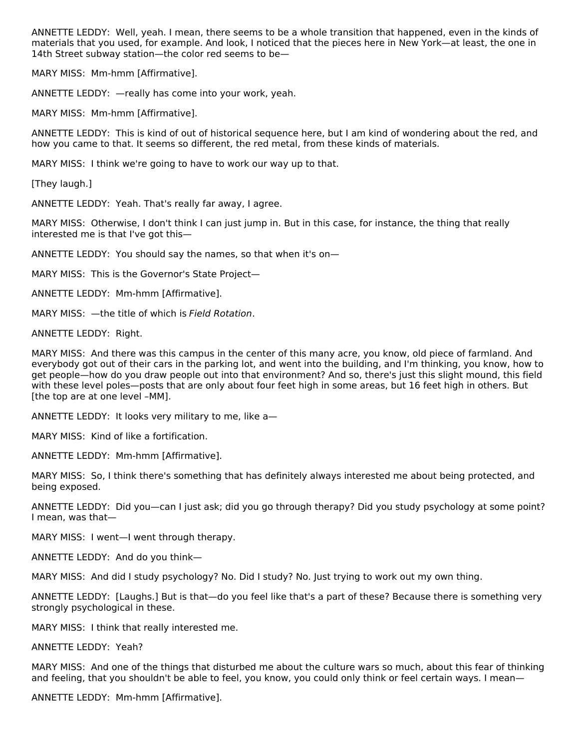ANNETTE LEDDY: Well, yeah. I mean, there seems to be a whole transition that happened, even in the kinds of materials that you used, for example. And look, I noticed that the pieces here in New York—at least, the one in 14th Street subway station—the color red seems to be—

MARY MISS: Mm-hmm [Affirmative].

ANNETTE LEDDY: —really has come into your work, yeah.

MARY MISS: Mm-hmm [Affirmative].

ANNETTE LEDDY: This is kind of out of historical sequence here, but I am kind of wondering about the red, and how you came to that. It seems so different, the red metal, from these kinds of materials.

MARY MISS: I think we're going to have to work our way up to that.

[They laugh.]

ANNETTE LEDDY: Yeah. That's really far away, I agree.

MARY MISS: Otherwise, I don't think I can just jump in. But in this case, for instance, the thing that really interested me is that I've got this—

ANNETTE LEDDY: You should say the names, so that when it's on—

MARY MISS: This is the Governor's State Project—

ANNETTE LEDDY: Mm-hmm [Affirmative].

MARY MISS: —the title of which is Field Rotation.

ANNETTE LEDDY: Right.

MARY MISS: And there was this campus in the center of this many acre, you know, old piece of farmland. And everybody got out of their cars in the parking lot, and went into the building, and I'm thinking, you know, how to get people—how do you draw people out into that environment? And so, there's just this slight mound, this field with these level poles—posts that are only about four feet high in some areas, but 16 feet high in others. But [the top are at one level –MM].

ANNETTE LEDDY: It looks very military to me, like a—

MARY MISS: Kind of like a fortification.

ANNETTE LEDDY: Mm-hmm [Affirmative].

MARY MISS: So, I think there's something that has definitely always interested me about being protected, and being exposed.

ANNETTE LEDDY: Did you—can I just ask; did you go through therapy? Did you study psychology at some point? I mean, was that—

MARY MISS: I went—I went through therapy.

ANNETTE LEDDY: And do you think—

MARY MISS: And did I study psychology? No. Did I study? No. Just trying to work out my own thing.

ANNETTE LEDDY: [Laughs.] But is that—do you feel like that's a part of these? Because there is something very strongly psychological in these.

MARY MISS: I think that really interested me.

ANNETTE LEDDY: Yeah?

MARY MISS: And one of the things that disturbed me about the culture wars so much, about this fear of thinking and feeling, that you shouldn't be able to feel, you know, you could only think or feel certain ways. I mean—

ANNETTE LEDDY: Mm-hmm [Affirmative].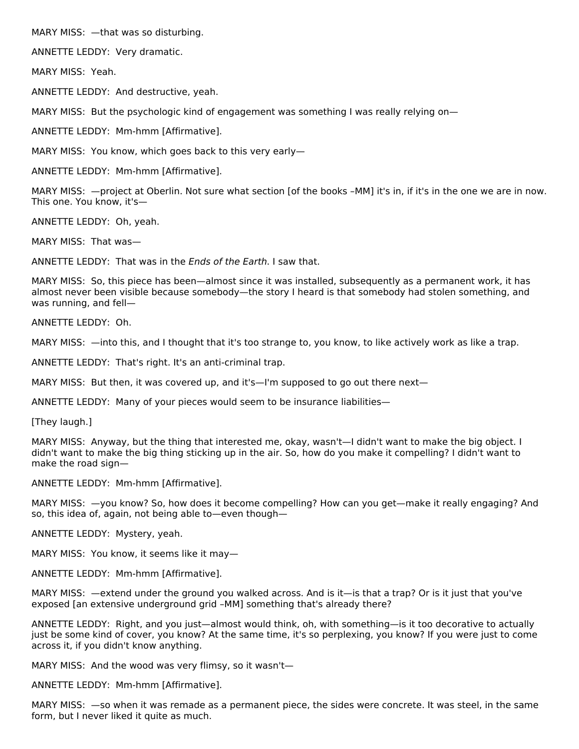MARY MISS: —that was so disturbing.

ANNETTE LEDDY: Very dramatic.

MARY MISS: Yeah.

ANNETTE LEDDY: And destructive, yeah.

MARY MISS: But the psychologic kind of engagement was something I was really relying on—

ANNETTE LEDDY: Mm-hmm [Affirmative].

MARY MISS: You know, which goes back to this very early—

ANNETTE LEDDY: Mm-hmm [Affirmative].

MARY MISS: —project at Oberlin. Not sure what section [of the books –MM] it's in, if it's in the one we are in now. This one. You know, it's—

ANNETTE LEDDY: Oh, yeah.

MARY MISS: That was—

ANNETTE LEDDY: That was in the Ends of the Earth. I saw that.

MARY MISS: So, this piece has been—almost since it was installed, subsequently as a permanent work, it has almost never been visible because somebody—the story I heard is that somebody had stolen something, and was running, and fell—

ANNETTE LEDDY: Oh.

MARY MISS: —into this, and I thought that it's too strange to, you know, to like actively work as like a trap.

ANNETTE LEDDY: That's right. It's an anti-criminal trap.

MARY MISS: But then, it was covered up, and it's—I'm supposed to go out there next—

ANNETTE LEDDY: Many of your pieces would seem to be insurance liabilities—

[They laugh.]

MARY MISS: Anyway, but the thing that interested me, okay, wasn't—I didn't want to make the big object. I didn't want to make the big thing sticking up in the air. So, how do you make it compelling? I didn't want to make the road sign—

ANNETTE LEDDY: Mm-hmm [Affirmative].

MARY MISS: —you know? So, how does it become compelling? How can you get—make it really engaging? And so, this idea of, again, not being able to—even though—

ANNETTE LEDDY: Mystery, yeah.

MARY MISS: You know, it seems like it may—

ANNETTE LEDDY: Mm-hmm [Affirmative].

MARY MISS: —extend under the ground you walked across. And is it—is that a trap? Or is it just that you've exposed [an extensive underground grid –MM] something that's already there?

ANNETTE LEDDY: Right, and you just—almost would think, oh, with something—is it too decorative to actually just be some kind of cover, you know? At the same time, it's so perplexing, you know? If you were just to come across it, if you didn't know anything.

MARY MISS: And the wood was very flimsy, so it wasn't—

ANNETTE LEDDY: Mm-hmm [Affirmative].

MARY MISS: —so when it was remade as a permanent piece, the sides were concrete. It was steel, in the same form, but I never liked it quite as much.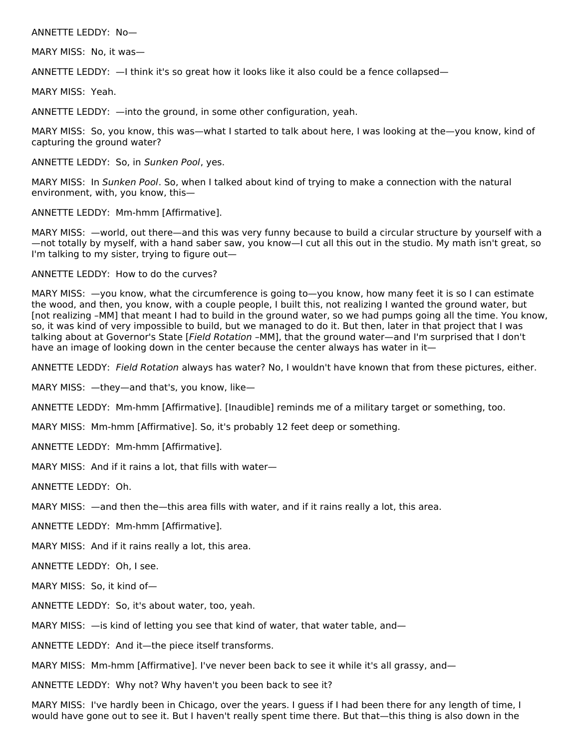#### ANNETTE LEDDY: No—

MARY MISS: No, it was—

ANNETTE LEDDY: —I think it's so great how it looks like it also could be a fence collapsed—

MARY MISS: Yeah.

ANNETTE LEDDY: —into the ground, in some other configuration, yeah.

MARY MISS: So, you know, this was—what I started to talk about here, I was looking at the—you know, kind of capturing the ground water?

ANNETTE LEDDY: So, in Sunken Pool, yes.

MARY MISS: In Sunken Pool. So, when I talked about kind of trying to make a connection with the natural environment, with, you know, this—

ANNETTE LEDDY: Mm-hmm [Affirmative].

MARY MISS: —world, out there—and this was very funny because to build a circular structure by yourself with a —not totally by myself, with a hand saber saw, you know—I cut all this out in the studio. My math isn't great, so I'm talking to my sister, trying to figure out—

#### ANNETTE LEDDY: How to do the curves?

MARY MISS:  $-y$ ou know, what the circumference is going to—you know, how many feet it is so I can estimate the wood, and then, you know, with a couple people, I built this, not realizing I wanted the ground water, but [not realizing –MM] that meant I had to build in the ground water, so we had pumps going all the time. You know, so, it was kind of very impossible to build, but we managed to do it. But then, later in that project that I was talking about at Governor's State [Field Rotation –MM], that the ground water—and I'm surprised that I don't have an image of looking down in the center because the center always has water in it—

ANNETTE LEDDY: Field Rotation always has water? No, I wouldn't have known that from these pictures, either.

MARY MISS: —they—and that's, you know, like—

ANNETTE LEDDY: Mm-hmm [Affirmative]. [Inaudible] reminds me of a military target or something, too.

MARY MISS: Mm-hmm [Affirmative]. So, it's probably 12 feet deep or something.

ANNETTE LEDDY: Mm-hmm [Affirmative].

MARY MISS: And if it rains a lot, that fills with water—

ANNETTE LEDDY: Oh.

MARY MISS: —and then the—this area fills with water, and if it rains really a lot, this area.

ANNETTE LEDDY: Mm-hmm [Affirmative].

MARY MISS: And if it rains really a lot, this area.

ANNETTE LEDDY: Oh, I see.

MARY MISS: So, it kind of—

ANNETTE LEDDY: So, it's about water, too, yeah.

MARY MISS: —is kind of letting you see that kind of water, that water table, and—

ANNETTE LEDDY: And it—the piece itself transforms.

MARY MISS: Mm-hmm [Affirmative]. I've never been back to see it while it's all grassy, and-

ANNETTE LEDDY: Why not? Why haven't you been back to see it?

MARY MISS: I've hardly been in Chicago, over the years. I guess if I had been there for any length of time, I would have gone out to see it. But I haven't really spent time there. But that—this thing is also down in the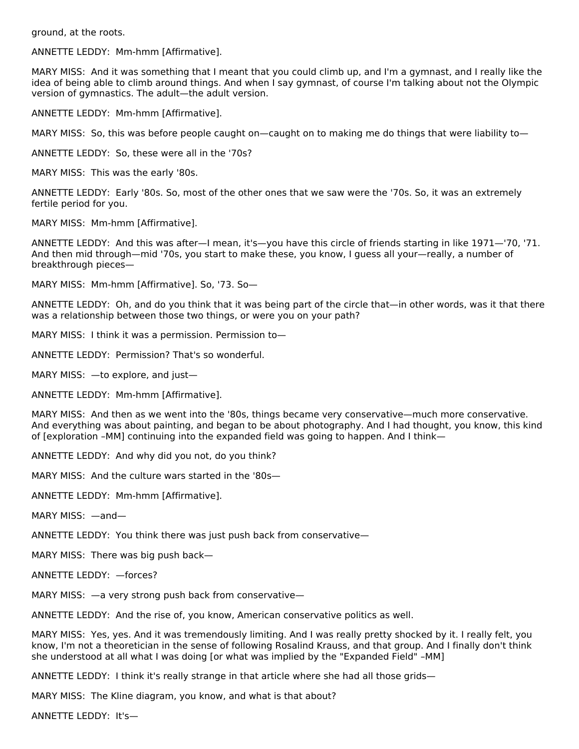ground, at the roots.

ANNETTE LEDDY: Mm-hmm [Affirmative].

MARY MISS: And it was something that I meant that you could climb up, and I'm a gymnast, and I really like the idea of being able to climb around things. And when I say gymnast, of course I'm talking about not the Olympic version of gymnastics. The adult—the adult version.

ANNETTE LEDDY: Mm-hmm [Affirmative].

MARY MISS: So, this was before people caught on—caught on to making me do things that were liability to—

ANNETTE LEDDY: So, these were all in the '70s?

MARY MISS: This was the early '80s.

ANNETTE LEDDY: Early '80s. So, most of the other ones that we saw were the '70s. So, it was an extremely fertile period for you.

MARY MISS: Mm-hmm [Affirmative].

ANNETTE LEDDY: And this was after—I mean, it's—you have this circle of friends starting in like 1971—'70, '71. And then mid through—mid '70s, you start to make these, you know, I guess all your—really, a number of breakthrough pieces—

MARY MISS: Mm-hmm [Affirmative]. So, '73. So—

ANNETTE LEDDY: Oh, and do you think that it was being part of the circle that—in other words, was it that there was a relationship between those two things, or were you on your path?

MARY MISS: I think it was a permission. Permission to—

ANNETTE LEDDY: Permission? That's so wonderful.

MARY MISS: —to explore, and just—

ANNETTE LEDDY: Mm-hmm [Affirmative].

MARY MISS: And then as we went into the '80s, things became very conservative—much more conservative. And everything was about painting, and began to be about photography. And I had thought, you know, this kind of [exploration –MM] continuing into the expanded field was going to happen. And I think—

ANNETTE LEDDY: And why did you not, do you think?

MARY MISS: And the culture wars started in the '80s—

ANNETTE LEDDY: Mm-hmm [Affirmative].

MARY MISS: —and—

ANNETTE LEDDY: You think there was just push back from conservative—

MARY MISS: There was big push back—

ANNETTE LEDDY: —forces?

MARY MISS: —a very strong push back from conservative—

ANNETTE LEDDY: And the rise of, you know, American conservative politics as well.

MARY MISS: Yes, yes. And it was tremendously limiting. And I was really pretty shocked by it. I really felt, you know, I'm not a theoretician in the sense of following Rosalind Krauss, and that group. And I finally don't think she understood at all what I was doing [or what was implied by the "Expanded Field" –MM]

ANNETTE LEDDY: I think it's really strange in that article where she had all those grids—

MARY MISS: The Kline diagram, you know, and what is that about?

ANNETTE LEDDY: It's—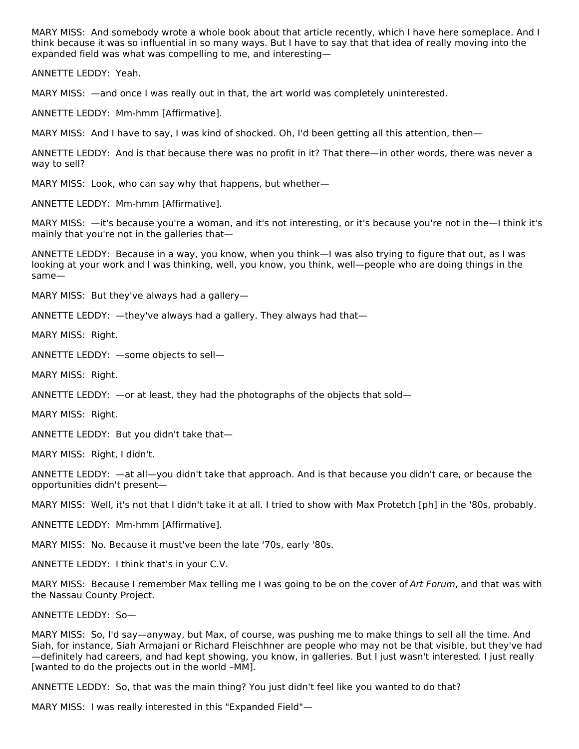MARY MISS: And somebody wrote a whole book about that article recently, which I have here someplace. And I think because it was so influential in so many ways. But I have to say that that idea of really moving into the expanded field was what was compelling to me, and interesting—

ANNETTE LEDDY: Yeah.

MARY MISS: —and once I was really out in that, the art world was completely uninterested.

ANNETTE LEDDY: Mm-hmm [Affirmative].

MARY MISS: And I have to say, I was kind of shocked. Oh, I'd been getting all this attention, then—

ANNETTE LEDDY: And is that because there was no profit in it? That there—in other words, there was never a way to sell?

MARY MISS: Look, who can say why that happens, but whether—

ANNETTE LEDDY: Mm-hmm [Affirmative].

MARY MISS: —it's because you're a woman, and it's not interesting, or it's because you're not in the—I think it's mainly that you're not in the galleries that—

ANNETTE LEDDY: Because in a way, you know, when you think—I was also trying to figure that out, as I was looking at your work and I was thinking, well, you know, you think, well—people who are doing things in the same—

MARY MISS: But they've always had a gallery—

ANNETTE LEDDY: —they've always had a gallery. They always had that—

MARY MISS: Right.

ANNETTE LEDDY: —some objects to sell—

MARY MISS: Right.

ANNETTE LEDDY: —or at least, they had the photographs of the objects that sold—

MARY MISS: Right.

ANNETTE LEDDY: But you didn't take that—

MARY MISS: Right, I didn't.

ANNETTE LEDDY: —at all—you didn't take that approach. And is that because you didn't care, or because the opportunities didn't present—

MARY MISS: Well, it's not that I didn't take it at all. I tried to show with Max Protetch [ph] in the '80s, probably.

ANNETTE LEDDY: Mm-hmm [Affirmative].

MARY MISS: No. Because it must've been the late '70s, early '80s.

ANNETTE LEDDY: I think that's in your C.V.

MARY MISS: Because I remember Max telling me I was going to be on the cover of Art Forum, and that was with the Nassau County Project.

ANNETTE LEDDY: So—

MARY MISS: So, I'd say—anyway, but Max, of course, was pushing me to make things to sell all the time. And Siah, for instance, Siah Armajani or Richard Fleischhner are people who may not be that visible, but they've had —definitely had careers, and had kept showing, you know, in galleries. But I just wasn't interested. I just really [wanted to do the projects out in the world –MM].

ANNETTE LEDDY: So, that was the main thing? You just didn't feel like you wanted to do that?

MARY MISS: I was really interested in this "Expanded Field"—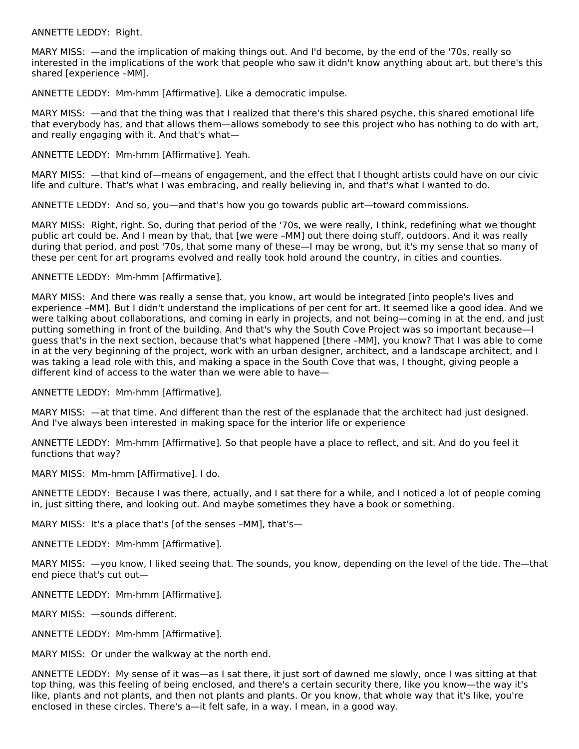ANNETTE LEDDY: Right.

MARY MISS: —and the implication of making things out. And I'd become, by the end of the '70s, really so interested in the implications of the work that people who saw it didn't know anything about art, but there's this shared [experience –MM].

ANNETTE LEDDY: Mm-hmm [Affirmative]. Like a democratic impulse.

MARY MISS: —and that the thing was that I realized that there's this shared psyche, this shared emotional life that everybody has, and that allows them—allows somebody to see this project who has nothing to do with art, and really engaging with it. And that's what—

ANNETTE LEDDY: Mm-hmm [Affirmative]. Yeah.

MARY MISS: —that kind of—means of engagement, and the effect that I thought artists could have on our civic life and culture. That's what I was embracing, and really believing in, and that's what I wanted to do.

ANNETTE LEDDY: And so, you—and that's how you go towards public art—toward commissions.

MARY MISS: Right, right. So, during that period of the '70s, we were really, I think, redefining what we thought public art could be. And I mean by that, that [we were –MM] out there doing stuff, outdoors. And it was really during that period, and post '70s, that some many of these—I may be wrong, but it's my sense that so many of these per cent for art programs evolved and really took hold around the country, in cities and counties.

## ANNETTE LEDDY: Mm-hmm [Affirmative].

MARY MISS: And there was really a sense that, you know, art would be integrated [into people's lives and experience –MM]. But I didn't understand the implications of per cent for art. It seemed like a good idea. And we were talking about collaborations, and coming in early in projects, and not being—coming in at the end, and just putting something in front of the building. And that's why the South Cove Project was so important because—I guess that's in the next section, because that's what happened [there –MM], you know? That I was able to come in at the very beginning of the project, work with an urban designer, architect, and a landscape architect, and I was taking a lead role with this, and making a space in the South Cove that was, I thought, giving people a different kind of access to the water than we were able to have—

ANNETTE LEDDY: Mm-hmm [Affirmative].

MARY MISS: —at that time. And different than the rest of the esplanade that the architect had just designed. And I've always been interested in making space for the interior life or experience

ANNETTE LEDDY: Mm-hmm [Affirmative]. So that people have a place to reflect, and sit. And do you feel it functions that way?

MARY MISS: Mm-hmm [Affirmative]. I do.

ANNETTE LEDDY: Because I was there, actually, and I sat there for a while, and I noticed a lot of people coming in, just sitting there, and looking out. And maybe sometimes they have a book or something.

MARY MISS: It's a place that's [of the senses –MM], that's—

ANNETTE LEDDY: Mm-hmm [Affirmative].

MARY MISS: —you know, I liked seeing that. The sounds, you know, depending on the level of the tide. The—that end piece that's cut out—

ANNETTE LEDDY: Mm-hmm [Affirmative].

MARY MISS: —sounds different.

ANNETTE LEDDY: Mm-hmm [Affirmative].

MARY MISS: Or under the walkway at the north end.

ANNETTE LEDDY: My sense of it was—as I sat there, it just sort of dawned me slowly, once I was sitting at that top thing, was this feeling of being enclosed, and there's a certain security there, like you know—the way it's like, plants and not plants, and then not plants and plants. Or you know, that whole way that it's like, you're enclosed in these circles. There's a—it felt safe, in a way. I mean, in a good way.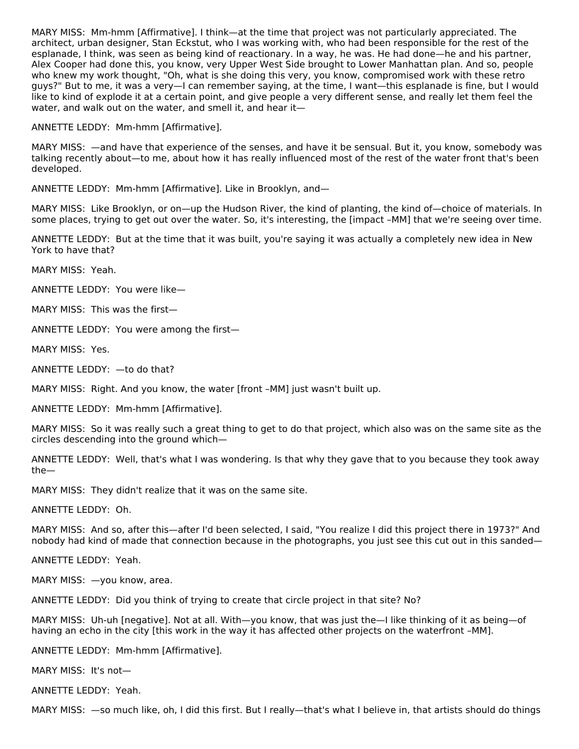MARY MISS: Mm-hmm [Affirmative]. I think—at the time that project was not particularly appreciated. The architect, urban designer, Stan Eckstut, who I was working with, who had been responsible for the rest of the esplanade, I think, was seen as being kind of reactionary. In a way, he was. He had done—he and his partner, Alex Cooper had done this, you know, very Upper West Side brought to Lower Manhattan plan. And so, people who knew my work thought, "Oh, what is she doing this very, you know, compromised work with these retro guys?" But to me, it was a very—I can remember saying, at the time, I want—this esplanade is fine, but I would like to kind of explode it at a certain point, and give people a very different sense, and really let them feel the water, and walk out on the water, and smell it, and hear it—

ANNETTE LEDDY: Mm-hmm [Affirmative].

MARY MISS: —and have that experience of the senses, and have it be sensual. But it, you know, somebody was talking recently about—to me, about how it has really influenced most of the rest of the water front that's been developed.

ANNETTE LEDDY: Mm-hmm [Affirmative]. Like in Brooklyn, and—

MARY MISS: Like Brooklyn, or on—up the Hudson River, the kind of planting, the kind of—choice of materials. In some places, trying to get out over the water. So, it's interesting, the [impact –MM] that we're seeing over time.

ANNETTE LEDDY: But at the time that it was built, you're saying it was actually a completely new idea in New York to have that?

MARY MISS: Yeah.

ANNETTE LEDDY: You were like—

MARY MISS: This was the first—

ANNETTE LEDDY: You were among the first—

MARY MISS: Yes.

ANNETTE LEDDY: —to do that?

MARY MISS: Right. And you know, the water [front –MM] just wasn't built up.

ANNETTE LEDDY: Mm-hmm [Affirmative].

MARY MISS: So it was really such a great thing to get to do that project, which also was on the same site as the circles descending into the ground which—

ANNETTE LEDDY: Well, that's what I was wondering. Is that why they gave that to you because they took away the—

MARY MISS: They didn't realize that it was on the same site.

ANNETTE LEDDY: Oh.

MARY MISS: And so, after this—after I'd been selected, I said, "You realize I did this project there in 1973?" And nobody had kind of made that connection because in the photographs, you just see this cut out in this sanded—

ANNETTE LEDDY: Yeah.

MARY MISS: —you know, area.

ANNETTE LEDDY: Did you think of trying to create that circle project in that site? No?

MARY MISS: Uh-uh [negative]. Not at all. With—you know, that was just the—I like thinking of it as being—of having an echo in the city [this work in the way it has affected other projects on the waterfront –MM].

ANNETTE LEDDY: Mm-hmm [Affirmative].

MARY MISS: It's not—

ANNETTE LEDDY: Yeah.

MARY MISS: —so much like, oh, I did this first. But I really—that's what I believe in, that artists should do things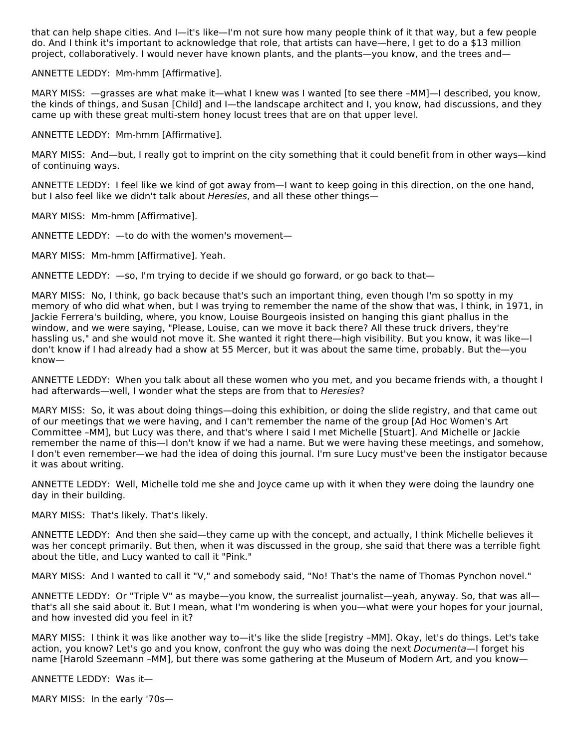that can help shape cities. And I—it's like—I'm not sure how many people think of it that way, but a few people do. And I think it's important to acknowledge that role, that artists can have—here, I get to do a \$13 million project, collaboratively. I would never have known plants, and the plants—you know, and the trees and—

ANNETTE LEDDY: Mm-hmm [Affirmative].

MARY MISS: —grasses are what make it—what I knew was I wanted [to see there –MM]—I described, you know, the kinds of things, and Susan [Child] and I—the landscape architect and I, you know, had discussions, and they came up with these great multi-stem honey locust trees that are on that upper level.

ANNETTE LEDDY: Mm-hmm [Affirmative].

MARY MISS: And—but, I really got to imprint on the city something that it could benefit from in other ways—kind of continuing ways.

ANNETTE LEDDY: I feel like we kind of got away from—I want to keep going in this direction, on the one hand, but I also feel like we didn't talk about Heresies, and all these other things-

MARY MISS: Mm-hmm [Affirmative].

ANNETTE LEDDY: —to do with the women's movement—

MARY MISS: Mm-hmm [Affirmative]. Yeah.

ANNETTE LEDDY: —so, I'm trying to decide if we should go forward, or go back to that—

MARY MISS: No, I think, go back because that's such an important thing, even though I'm so spotty in my memory of who did what when, but I was trying to remember the name of the show that was, I think, in 1971, in Jackie Ferrera's building, where, you know, Louise Bourgeois insisted on hanging this giant phallus in the window, and we were saying, "Please, Louise, can we move it back there? All these truck drivers, they're hassling us," and she would not move it. She wanted it right there—high visibility. But you know, it was like—I don't know if I had already had a show at 55 Mercer, but it was about the same time, probably. But the—you know—

ANNETTE LEDDY: When you talk about all these women who you met, and you became friends with, a thought I had afterwards—well, I wonder what the steps are from that to Heresies?

MARY MISS: So, it was about doing things—doing this exhibition, or doing the slide registry, and that came out of our meetings that we were having, and I can't remember the name of the group [Ad Hoc Women's Art Committee –MM], but Lucy was there, and that's where I said I met Michelle [Stuart]. And Michelle or Jackie remember the name of this—I don't know if we had a name. But we were having these meetings, and somehow, I don't even remember—we had the idea of doing this journal. I'm sure Lucy must've been the instigator because it was about writing.

ANNETTE LEDDY: Well, Michelle told me she and Joyce came up with it when they were doing the laundry one day in their building.

MARY MISS: That's likely. That's likely.

ANNETTE LEDDY: And then she said—they came up with the concept, and actually, I think Michelle believes it was her concept primarily. But then, when it was discussed in the group, she said that there was a terrible fight about the title, and Lucy wanted to call it "Pink."

MARY MISS: And I wanted to call it "V," and somebody said, "No! That's the name of Thomas Pynchon novel."

ANNETTE LEDDY: Or "Triple V" as maybe—you know, the surrealist journalist—yeah, anyway. So, that was all that's all she said about it. But I mean, what I'm wondering is when you—what were your hopes for your journal, and how invested did you feel in it?

MARY MISS: I think it was like another way to—it's like the slide [registry –MM]. Okay, let's do things. Let's take action, you know? Let's go and you know, confront the guy who was doing the next Documenta—I forget his name [Harold Szeemann –MM], but there was some gathering at the Museum of Modern Art, and you know—

ANNETTE LEDDY: Was it—

MARY MISS: In the early '70s—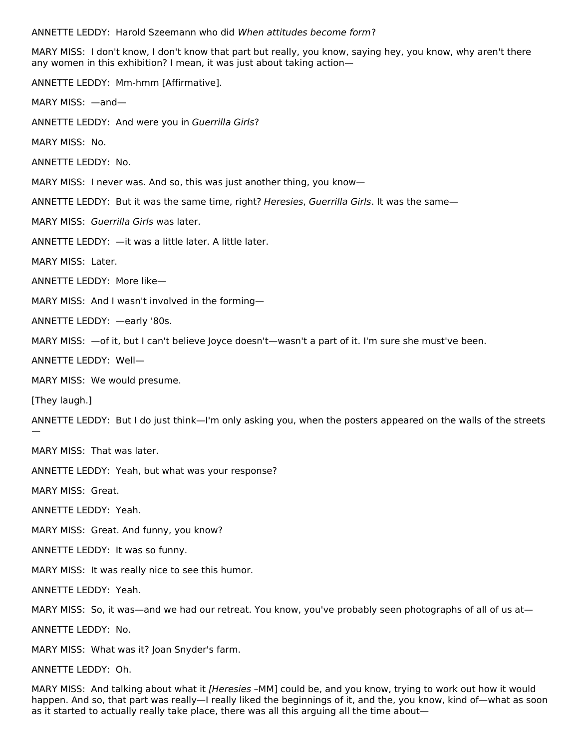ANNETTE LEDDY: Harold Szeemann who did When attitudes become form?

MARY MISS: I don't know, I don't know that part but really, you know, saying hey, you know, why aren't there any women in this exhibition? I mean, it was just about taking action—

ANNETTE LEDDY: Mm-hmm [Affirmative]. MARY MISS: —and— ANNETTE LEDDY: And were you in Guerrilla Girls? MARY MISS: No. ANNETTE LEDDY: No. MARY MISS: I never was. And so, this was just another thing, you know— ANNETTE LEDDY: But it was the same time, right? Heresies, Guerrilla Girls. It was the same— MARY MISS: Guerrilla Girls was later. ANNETTE LEDDY: —it was a little later. A little later. MARY MISS: Later. ANNETTE LEDDY: More like— MARY MISS: And I wasn't involved in the forming— ANNETTE LEDDY: —early '80s. MARY MISS: —of it, but I can't believe Joyce doesn't—wasn't a part of it. I'm sure she must've been. ANNETTE LEDDY: Well— MARY MISS: We would presume. [They laugh.] ANNETTE LEDDY: But I do just think—I'm only asking you, when the posters appeared on the walls of the streets — MARY MISS: That was later. ANNETTE LEDDY: Yeah, but what was your response? MARY MISS: Great. ANNETTE LEDDY: Yeah. MARY MISS: Great. And funny, you know? ANNETTE LEDDY: It was so funny. MARY MISS: It was really nice to see this humor. ANNETTE LEDDY: Yeah. MARY MISS: So, it was—and we had our retreat. You know, you've probably seen photographs of all of us at— ANNETTE LEDDY: No.

MARY MISS: What was it? Joan Snyder's farm.

ANNETTE LEDDY: Oh.

MARY MISS: And talking about what it [Heresies -MM] could be, and you know, trying to work out how it would happen. And so, that part was really—I really liked the beginnings of it, and the, you know, kind of—what as soon as it started to actually really take place, there was all this arguing all the time about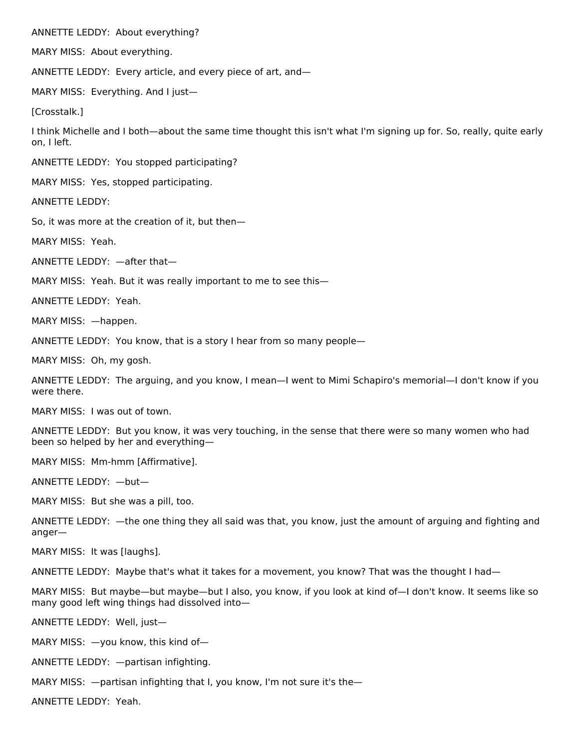ANNETTE LEDDY: About everything?

MARY MISS: About everything.

ANNETTE LEDDY: Every article, and every piece of art, and—

MARY MISS: Everything. And I just—

[Crosstalk.]

I think Michelle and I both—about the same time thought this isn't what I'm signing up for. So, really, quite early on, I left.

ANNETTE LEDDY: You stopped participating?

MARY MISS: Yes, stopped participating.

ANNETTE LEDDY:

So, it was more at the creation of it, but then—

MARY MISS: Yeah.

ANNETTE LEDDY: —after that—

MARY MISS: Yeah. But it was really important to me to see this—

ANNETTE LEDDY: Yeah.

MARY MISS: —happen.

ANNETTE LEDDY: You know, that is a story I hear from so many people—

MARY MISS: Oh, my gosh.

ANNETTE LEDDY: The arguing, and you know, I mean—I went to Mimi Schapiro's memorial—I don't know if you were there.

MARY MISS: I was out of town.

ANNETTE LEDDY: But you know, it was very touching, in the sense that there were so many women who had been so helped by her and everything—

MARY MISS: Mm-hmm [Affirmative].

ANNETTE LEDDY: —but—

MARY MISS: But she was a pill, too.

ANNETTE LEDDY: —the one thing they all said was that, you know, just the amount of arguing and fighting and anger—

MARY MISS: It was [laughs].

ANNETTE LEDDY: Maybe that's what it takes for a movement, you know? That was the thought I had—

MARY MISS: But maybe—but maybe—but I also, you know, if you look at kind of—I don't know. It seems like so many good left wing things had dissolved into—

ANNETTE LEDDY: Well, just—

MARY MISS: —you know, this kind of—

ANNETTE LEDDY: —partisan infighting.

MARY MISS: —partisan infighting that I, you know, I'm not sure it's the—

ANNETTE LEDDY: Yeah.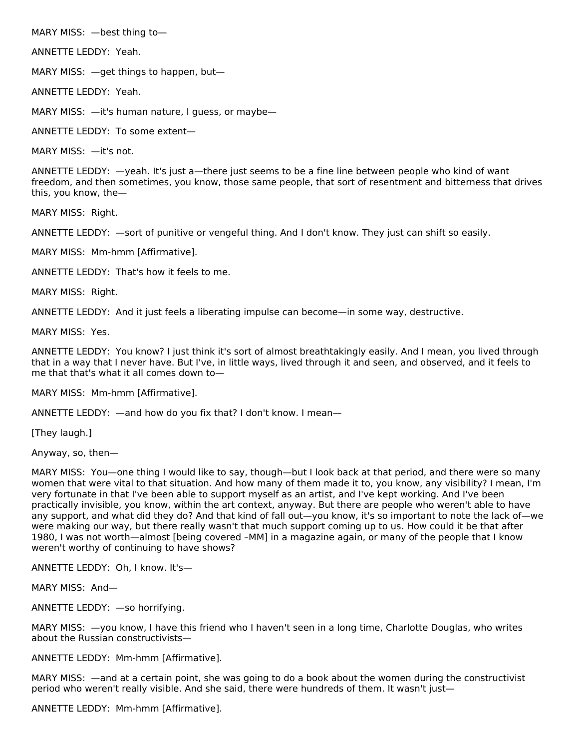MARY MISS: —best thing to—

ANNETTE LEDDY: Yeah.

MARY MISS: —get things to happen, but—

ANNETTE LEDDY: Yeah.

MARY MISS:  $-$ it's human nature, I guess, or maybe

ANNETTE LEDDY: To some extent—

MARY MISS: —it's not.

ANNETTE LEDDY: —yeah. It's just a—there just seems to be a fine line between people who kind of want freedom, and then sometimes, you know, those same people, that sort of resentment and bitterness that drives this, you know, the—

MARY MISS: Right.

ANNETTE LEDDY: —sort of punitive or vengeful thing. And I don't know. They just can shift so easily.

MARY MISS: Mm-hmm [Affirmative].

ANNETTE LEDDY: That's how it feels to me.

MARY MISS: Right.

ANNETTE LEDDY: And it just feels a liberating impulse can become—in some way, destructive.

MARY MISS: Yes.

ANNETTE LEDDY: You know? I just think it's sort of almost breathtakingly easily. And I mean, you lived through that in a way that I never have. But I've, in little ways, lived through it and seen, and observed, and it feels to me that that's what it all comes down to—

MARY MISS: Mm-hmm [Affirmative].

ANNETTE LEDDY: —and how do you fix that? I don't know. I mean—

[They laugh.]

Anyway, so, then—

MARY MISS: You—one thing I would like to say, though—but I look back at that period, and there were so many women that were vital to that situation. And how many of them made it to, you know, any visibility? I mean, I'm very fortunate in that I've been able to support myself as an artist, and I've kept working. And I've been practically invisible, you know, within the art context, anyway. But there are people who weren't able to have any support, and what did they do? And that kind of fall out—you know, it's so important to note the lack of—we were making our way, but there really wasn't that much support coming up to us. How could it be that after 1980, I was not worth—almost [being covered –MM] in a magazine again, or many of the people that I know weren't worthy of continuing to have shows?

ANNETTE LEDDY: Oh, I know. It's—

MARY MISS: And—

ANNETTE LEDDY: —so horrifying.

MARY MISS: —you know, I have this friend who I haven't seen in a long time, Charlotte Douglas, who writes about the Russian constructivists—

ANNETTE LEDDY: Mm-hmm [Affirmative].

MARY MISS: —and at a certain point, she was going to do a book about the women during the constructivist period who weren't really visible. And she said, there were hundreds of them. It wasn't just-

ANNETTE LEDDY: Mm-hmm [Affirmative].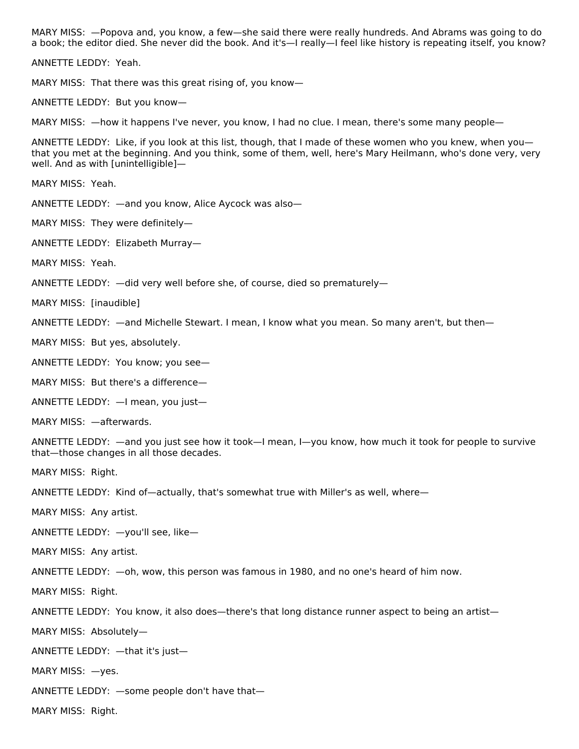MARY MISS: —Popova and, you know, a few—she said there were really hundreds. And Abrams was going to do a book; the editor died. She never did the book. And it's—I really—I feel like history is repeating itself, you know?

ANNETTE LEDDY: Yeah.

MARY MISS: That there was this great rising of, you know—

ANNETTE LEDDY: But you know—

MARY MISS: —how it happens I've never, you know, I had no clue. I mean, there's some many people—

ANNETTE LEDDY: Like, if you look at this list, though, that I made of these women who you knew, when you that you met at the beginning. And you think, some of them, well, here's Mary Heilmann, who's done very, very well. And as with [unintelligible]—

MARY MISS: Yeah.

ANNETTE LEDDY: —and you know, Alice Aycock was also—

MARY MISS: They were definitely—

ANNETTE LEDDY: Elizabeth Murray—

MARY MISS: Yeah.

ANNETTE LEDDY: —did very well before she, of course, died so prematurely—

MARY MISS: [inaudible]

ANNETTE LEDDY: —and Michelle Stewart. I mean, I know what you mean. So many aren't, but then—

MARY MISS: But yes, absolutely.

ANNETTE LEDDY: You know; you see—

MARY MISS: But there's a difference—

ANNETTE LEDDY: —I mean, you just—

MARY MISS: —afterwards.

ANNETTE LEDDY: —and you just see how it took—I mean, I—you know, how much it took for people to survive that—those changes in all those decades.

MARY MISS: Right.

ANNETTE LEDDY: Kind of—actually, that's somewhat true with Miller's as well, where—

MARY MISS: Any artist.

ANNETTE LEDDY: —you'll see, like—

MARY MISS: Any artist.

ANNETTE LEDDY: —oh, wow, this person was famous in 1980, and no one's heard of him now.

MARY MISS: Right.

ANNETTE LEDDY: You know, it also does—there's that long distance runner aspect to being an artist—

MARY MISS: Absolutely—

ANNETTE LEDDY: —that it's just—

MARY MISS: —yes.

ANNETTE LEDDY: —some people don't have that—

MARY MISS: Right.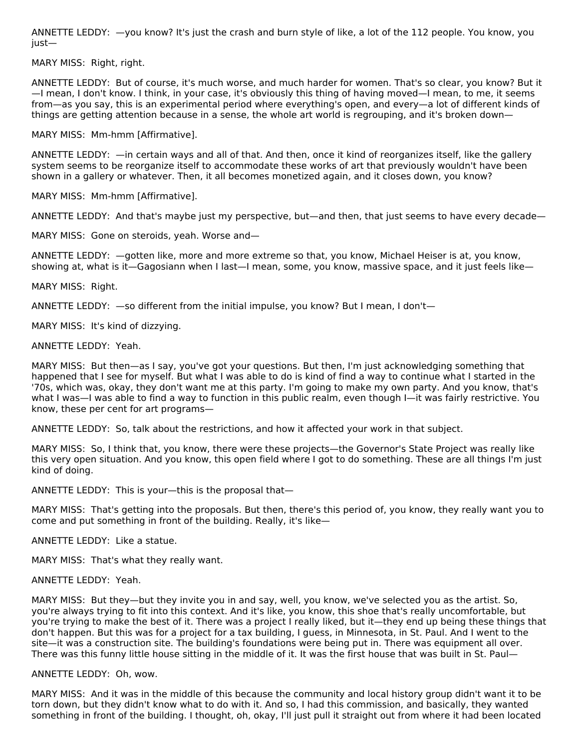ANNETTE LEDDY: —you know? It's just the crash and burn style of like, a lot of the 112 people. You know, you just—

MARY MISS: Right, right.

ANNETTE LEDDY: But of course, it's much worse, and much harder for women. That's so clear, you know? But it —I mean, I don't know. I think, in your case, it's obviously this thing of having moved—I mean, to me, it seems from—as you say, this is an experimental period where everything's open, and every—a lot of different kinds of things are getting attention because in a sense, the whole art world is regrouping, and it's broken down—

MARY MISS: Mm-hmm [Affirmative].

ANNETTE LEDDY: —in certain ways and all of that. And then, once it kind of reorganizes itself, like the gallery system seems to be reorganize itself to accommodate these works of art that previously wouldn't have been shown in a gallery or whatever. Then, it all becomes monetized again, and it closes down, you know?

MARY MISS: Mm-hmm [Affirmative].

ANNETTE LEDDY: And that's maybe just my perspective, but—and then, that just seems to have every decade—

MARY MISS: Gone on steroids, yeah. Worse and—

ANNETTE LEDDY: —gotten like, more and more extreme so that, you know, Michael Heiser is at, you know, showing at, what is it—Gagosiann when I last—I mean, some, you know, massive space, and it just feels like—

MARY MISS: Right.

ANNETTE LEDDY: —so different from the initial impulse, you know? But I mean, I don't—

MARY MISS: It's kind of dizzying.

ANNETTE LEDDY: Yeah.

MARY MISS: But then—as I say, you've got your questions. But then, I'm just acknowledging something that happened that I see for myself. But what I was able to do is kind of find a way to continue what I started in the '70s, which was, okay, they don't want me at this party. I'm going to make my own party. And you know, that's what I was—I was able to find a way to function in this public realm, even though I—it was fairly restrictive. You know, these per cent for art programs—

ANNETTE LEDDY: So, talk about the restrictions, and how it affected your work in that subject.

MARY MISS: So, I think that, you know, there were these projects—the Governor's State Project was really like this very open situation. And you know, this open field where I got to do something. These are all things I'm just kind of doing.

ANNETTE LEDDY: This is your—this is the proposal that—

MARY MISS: That's getting into the proposals. But then, there's this period of, you know, they really want you to come and put something in front of the building. Really, it's like—

ANNETTE LEDDY: Like a statue.

MARY MISS: That's what they really want.

ANNETTE LEDDY: Yeah.

MARY MISS: But they—but they invite you in and say, well, you know, we've selected you as the artist. So, you're always trying to fit into this context. And it's like, you know, this shoe that's really uncomfortable, but you're trying to make the best of it. There was a project I really liked, but it—they end up being these things that don't happen. But this was for a project for a tax building, I guess, in Minnesota, in St. Paul. And I went to the site—it was a construction site. The building's foundations were being put in. There was equipment all over. There was this funny little house sitting in the middle of it. It was the first house that was built in St. Paul—

ANNETTE LEDDY: Oh, wow.

MARY MISS: And it was in the middle of this because the community and local history group didn't want it to be torn down, but they didn't know what to do with it. And so, I had this commission, and basically, they wanted something in front of the building. I thought, oh, okay, I'll just pull it straight out from where it had been located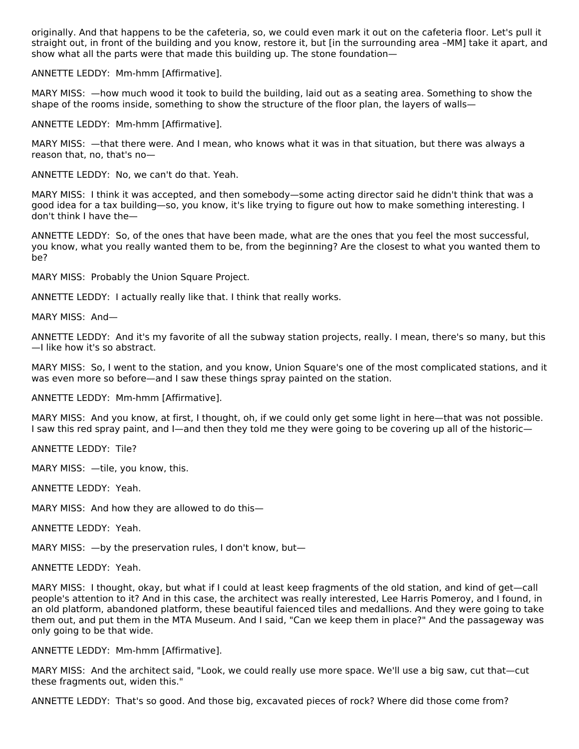originally. And that happens to be the cafeteria, so, we could even mark it out on the cafeteria floor. Let's pull it straight out, in front of the building and you know, restore it, but [in the surrounding area –MM] take it apart, and show what all the parts were that made this building up. The stone foundation—

ANNETTE LEDDY: Mm-hmm [Affirmative].

MARY MISS: —how much wood it took to build the building, laid out as a seating area. Something to show the shape of the rooms inside, something to show the structure of the floor plan, the layers of walls—

ANNETTE LEDDY: Mm-hmm [Affirmative].

MARY MISS: —that there were. And I mean, who knows what it was in that situation, but there was always a reason that, no, that's no—

ANNETTE LEDDY: No, we can't do that. Yeah.

MARY MISS: I think it was accepted, and then somebody—some acting director said he didn't think that was a good idea for a tax building—so, you know, it's like trying to figure out how to make something interesting. I don't think I have the—

ANNETTE LEDDY: So, of the ones that have been made, what are the ones that you feel the most successful, you know, what you really wanted them to be, from the beginning? Are the closest to what you wanted them to be?

MARY MISS: Probably the Union Square Project.

ANNETTE LEDDY: I actually really like that. I think that really works.

MARY MISS: And—

ANNETTE LEDDY: And it's my favorite of all the subway station projects, really. I mean, there's so many, but this —I like how it's so abstract.

MARY MISS: So, I went to the station, and you know, Union Square's one of the most complicated stations, and it was even more so before—and I saw these things spray painted on the station.

ANNETTE LEDDY: Mm-hmm [Affirmative].

MARY MISS: And you know, at first, I thought, oh, if we could only get some light in here—that was not possible. I saw this red spray paint, and I—and then they told me they were going to be covering up all of the historic—

ANNETTE LEDDY: Tile?

MARY MISS: - tile, you know, this.

ANNETTE LEDDY: Yeah.

MARY MISS: And how they are allowed to do this—

ANNETTE LEDDY: Yeah.

MARY MISS: —by the preservation rules, I don't know, but—

ANNETTE LEDDY: Yeah.

MARY MISS: I thought, okay, but what if I could at least keep fragments of the old station, and kind of get—call people's attention to it? And in this case, the architect was really interested, Lee Harris Pomeroy, and I found, in an old platform, abandoned platform, these beautiful faienced tiles and medallions. And they were going to take them out, and put them in the MTA Museum. And I said, "Can we keep them in place?" And the passageway was only going to be that wide.

ANNETTE LEDDY: Mm-hmm [Affirmative].

MARY MISS: And the architect said, "Look, we could really use more space. We'll use a big saw, cut that—cut these fragments out, widen this."

ANNETTE LEDDY: That's so good. And those big, excavated pieces of rock? Where did those come from?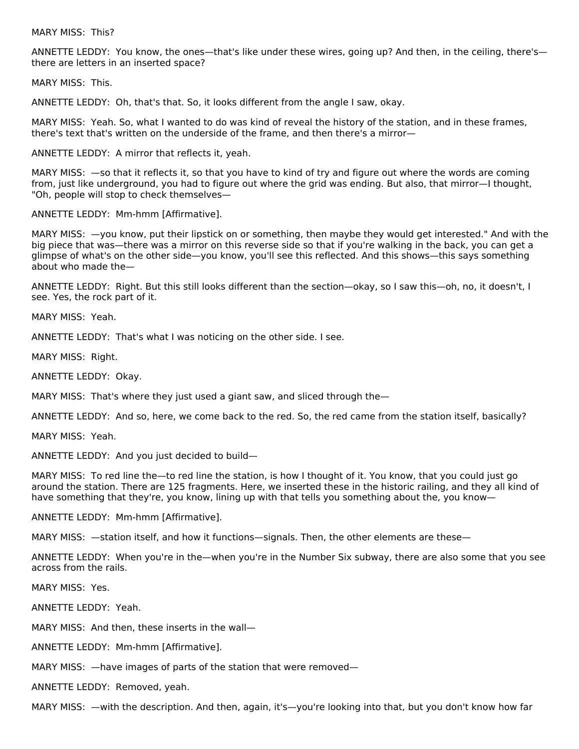MARY MISS: This?

ANNETTE LEDDY: You know, the ones—that's like under these wires, going up? And then, in the ceiling, there's there are letters in an inserted space?

MARY MISS: This.

ANNETTE LEDDY: Oh, that's that. So, it looks different from the angle I saw, okay.

MARY MISS: Yeah. So, what I wanted to do was kind of reveal the history of the station, and in these frames, there's text that's written on the underside of the frame, and then there's a mirror—

ANNETTE LEDDY: A mirror that reflects it, yeah.

MARY MISS: —so that it reflects it, so that you have to kind of try and figure out where the words are coming from, just like underground, you had to figure out where the grid was ending. But also, that mirror—I thought, "Oh, people will stop to check themselves—

ANNETTE LEDDY: Mm-hmm [Affirmative].

MARY MISS: —you know, put their lipstick on or something, then maybe they would get interested." And with the big piece that was—there was a mirror on this reverse side so that if you're walking in the back, you can get a glimpse of what's on the other side—you know, you'll see this reflected. And this shows—this says something about who made the—

ANNETTE LEDDY: Right. But this still looks different than the section—okay, so I saw this—oh, no, it doesn't, I see. Yes, the rock part of it.

MARY MISS: Yeah.

ANNETTE LEDDY: That's what I was noticing on the other side. I see.

MARY MISS: Right.

ANNETTE LEDDY: Okay.

MARY MISS: That's where they just used a giant saw, and sliced through the—

ANNETTE LEDDY: And so, here, we come back to the red. So, the red came from the station itself, basically?

MARY MISS: Yeah.

ANNETTE LEDDY: And you just decided to build—

MARY MISS: To red line the—to red line the station, is how I thought of it. You know, that you could just go around the station. There are 125 fragments. Here, we inserted these in the historic railing, and they all kind of have something that they're, you know, lining up with that tells you something about the, you know—

ANNETTE LEDDY: Mm-hmm [Affirmative].

MARY MISS:  $-$ station itself, and how it functions-signals. Then, the other elements are these-

ANNETTE LEDDY: When you're in the—when you're in the Number Six subway, there are also some that you see across from the rails.

MARY MISS: Yes.

ANNETTE LEDDY: Yeah.

MARY MISS: And then, these inserts in the wall—

ANNETTE LEDDY: Mm-hmm [Affirmative].

MARY MISS: —have images of parts of the station that were removed—

ANNETTE LEDDY: Removed, yeah.

MARY MISS: —with the description. And then, again, it's—you're looking into that, but you don't know how far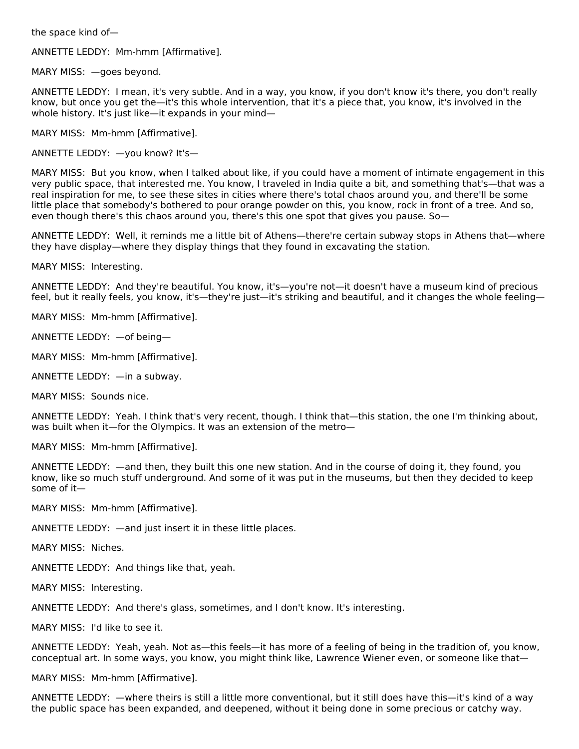the space kind of—

ANNETTE LEDDY: Mm-hmm [Affirmative].

MARY MISS: —goes beyond.

ANNETTE LEDDY: I mean, it's very subtle. And in a way, you know, if you don't know it's there, you don't really know, but once you get the—it's this whole intervention, that it's a piece that, you know, it's involved in the whole history. It's just like—it expands in your mind—

MARY MISS: Mm-hmm [Affirmative].

ANNETTE LEDDY: —you know? It's—

MARY MISS: But you know, when I talked about like, if you could have a moment of intimate engagement in this very public space, that interested me. You know, I traveled in India quite a bit, and something that's—that was a real inspiration for me, to see these sites in cities where there's total chaos around you, and there'll be some little place that somebody's bothered to pour orange powder on this, you know, rock in front of a tree. And so, even though there's this chaos around you, there's this one spot that gives you pause. So—

ANNETTE LEDDY: Well, it reminds me a little bit of Athens—there're certain subway stops in Athens that—where they have display—where they display things that they found in excavating the station.

MARY MISS: Interesting.

ANNETTE LEDDY: And they're beautiful. You know, it's—you're not—it doesn't have a museum kind of precious feel, but it really feels, you know, it's—they're just—it's striking and beautiful, and it changes the whole feeling—

MARY MISS: Mm-hmm [Affirmative].

ANNETTE LEDDY: —of being—

MARY MISS: Mm-hmm [Affirmative].

ANNETTE LEDDY: —in a subway.

MARY MISS: Sounds nice.

ANNETTE LEDDY: Yeah. I think that's very recent, though. I think that—this station, the one I'm thinking about, was built when it—for the Olympics. It was an extension of the metro—

MARY MISS: Mm-hmm [Affirmative].

ANNETTE LEDDY: —and then, they built this one new station. And in the course of doing it, they found, you know, like so much stuff underground. And some of it was put in the museums, but then they decided to keep some of it—

MARY MISS: Mm-hmm [Affirmative].

ANNETTE LEDDY: —and just insert it in these little places.

MARY MISS: Niches.

ANNETTE LEDDY: And things like that, yeah.

MARY MISS: Interesting.

ANNETTE LEDDY: And there's glass, sometimes, and I don't know. It's interesting.

MARY MISS: I'd like to see it.

ANNETTE LEDDY: Yeah, yeah. Not as—this feels—it has more of a feeling of being in the tradition of, you know, conceptual art. In some ways, you know, you might think like, Lawrence Wiener even, or someone like that—

MARY MISS: Mm-hmm [Affirmative].

ANNETTE LEDDY: —where theirs is still a little more conventional, but it still does have this—it's kind of a way the public space has been expanded, and deepened, without it being done in some precious or catchy way.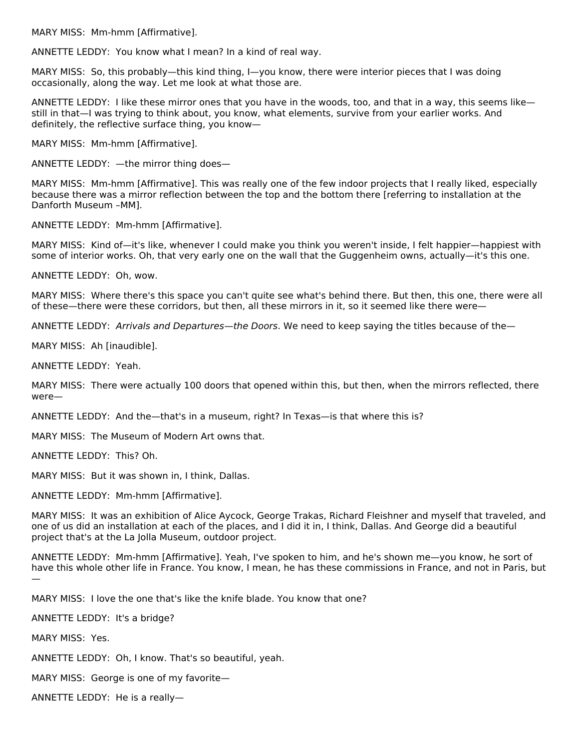MARY MISS: Mm-hmm [Affirmative].

ANNETTE LEDDY: You know what I mean? In a kind of real way.

MARY MISS: So, this probably—this kind thing, I—you know, there were interior pieces that I was doing occasionally, along the way. Let me look at what those are.

ANNETTE LEDDY: I like these mirror ones that you have in the woods, too, and that in a way, this seems like still in that—I was trying to think about, you know, what elements, survive from your earlier works. And definitely, the reflective surface thing, you know—

MARY MISS: Mm-hmm [Affirmative].

ANNETTE LEDDY: —the mirror thing does—

MARY MISS: Mm-hmm [Affirmative]. This was really one of the few indoor projects that I really liked, especially because there was a mirror reflection between the top and the bottom there [referring to installation at the Danforth Museum –MM].

ANNETTE LEDDY: Mm-hmm [Affirmative].

MARY MISS: Kind of—it's like, whenever I could make you think you weren't inside, I felt happier—happiest with some of interior works. Oh, that very early one on the wall that the Guggenheim owns, actually—it's this one.

ANNETTE LEDDY: Oh, wow.

MARY MISS: Where there's this space you can't quite see what's behind there. But then, this one, there were all of these—there were these corridors, but then, all these mirrors in it, so it seemed like there were—

ANNETTE LEDDY: Arrivals and Departures—the Doors. We need to keep saying the titles because of the—

MARY MISS: Ah [inaudible].

ANNETTE LEDDY: Yeah.

MARY MISS: There were actually 100 doors that opened within this, but then, when the mirrors reflected, there were—

ANNETTE LEDDY: And the—that's in a museum, right? In Texas—is that where this is?

MARY MISS: The Museum of Modern Art owns that.

ANNETTE LEDDY: This? Oh.

MARY MISS: But it was shown in, I think, Dallas.

ANNETTE LEDDY: Mm-hmm [Affirmative].

MARY MISS: It was an exhibition of Alice Aycock, George Trakas, Richard Fleishner and myself that traveled, and one of us did an installation at each of the places, and I did it in, I think, Dallas. And George did a beautiful project that's at the La Jolla Museum, outdoor project.

ANNETTE LEDDY: Mm-hmm [Affirmative]. Yeah, I've spoken to him, and he's shown me—you know, he sort of have this whole other life in France. You know, I mean, he has these commissions in France, and not in Paris, but —

MARY MISS: I love the one that's like the knife blade. You know that one?

ANNETTE LEDDY: It's a bridge?

MARY MISS: Yes.

ANNETTE LEDDY: Oh, I know. That's so beautiful, yeah.

MARY MISS: George is one of my favorite—

ANNETTE LEDDY: He is a really—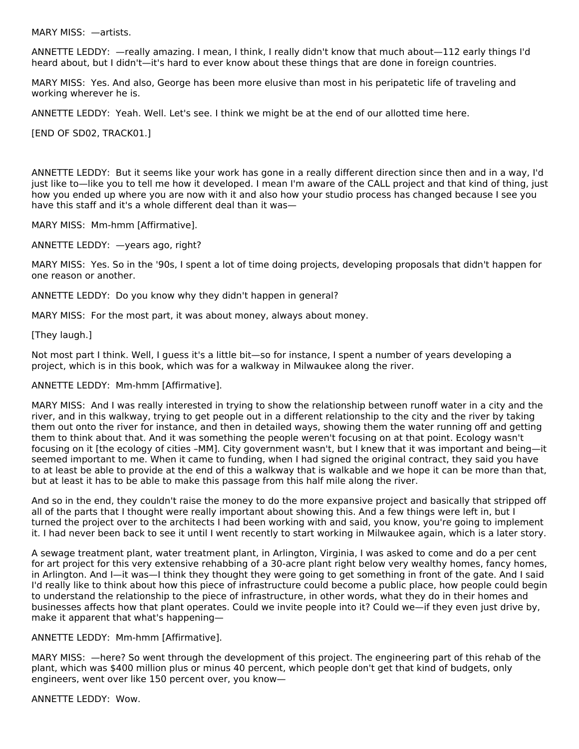MARY MISS: —artists.

ANNETTE LEDDY: —really amazing. I mean, I think, I really didn't know that much about—112 early things I'd heard about, but I didn't—it's hard to ever know about these things that are done in foreign countries.

MARY MISS: Yes. And also, George has been more elusive than most in his peripatetic life of traveling and working wherever he is.

ANNETTE LEDDY: Yeah. Well. Let's see. I think we might be at the end of our allotted time here.

[END OF SD02, TRACK01.]

ANNETTE LEDDY: But it seems like your work has gone in a really different direction since then and in a way, I'd just like to—like you to tell me how it developed. I mean I'm aware of the CALL project and that kind of thing, just how you ended up where you are now with it and also how your studio process has changed because I see you have this staff and it's a whole different deal than it was—

MARY MISS: Mm-hmm [Affirmative].

ANNETTE LEDDY: —years ago, right?

MARY MISS: Yes. So in the '90s, I spent a lot of time doing projects, developing proposals that didn't happen for one reason or another.

ANNETTE LEDDY: Do you know why they didn't happen in general?

MARY MISS: For the most part, it was about money, always about money.

[They laugh.]

Not most part I think. Well, I guess it's a little bit—so for instance, I spent a number of years developing a project, which is in this book, which was for a walkway in Milwaukee along the river.

#### ANNETTE LEDDY: Mm-hmm [Affirmative].

MARY MISS: And I was really interested in trying to show the relationship between runoff water in a city and the river, and in this walkway, trying to get people out in a different relationship to the city and the river by taking them out onto the river for instance, and then in detailed ways, showing them the water running off and getting them to think about that. And it was something the people weren't focusing on at that point. Ecology wasn't focusing on it [the ecology of cities –MM]. City government wasn't, but I knew that it was important and being—it seemed important to me. When it came to funding, when I had signed the original contract, they said you have to at least be able to provide at the end of this a walkway that is walkable and we hope it can be more than that, but at least it has to be able to make this passage from this half mile along the river.

And so in the end, they couldn't raise the money to do the more expansive project and basically that stripped off all of the parts that I thought were really important about showing this. And a few things were left in, but I turned the project over to the architects I had been working with and said, you know, you're going to implement it. I had never been back to see it until I went recently to start working in Milwaukee again, which is a later story.

A sewage treatment plant, water treatment plant, in Arlington, Virginia, I was asked to come and do a per cent for art project for this very extensive rehabbing of a 30-acre plant right below very wealthy homes, fancy homes, in Arlington. And I—it was—I think they thought they were going to get something in front of the gate. And I said I'd really like to think about how this piece of infrastructure could become a public place, how people could begin to understand the relationship to the piece of infrastructure, in other words, what they do in their homes and businesses affects how that plant operates. Could we invite people into it? Could we—if they even just drive by, make it apparent that what's happening—

#### ANNETTE LEDDY: Mm-hmm [Affirmative].

MARY MISS: —here? So went through the development of this project. The engineering part of this rehab of the plant, which was \$400 million plus or minus 40 percent, which people don't get that kind of budgets, only engineers, went over like 150 percent over, you know—

ANNETTE LEDDY: Wow.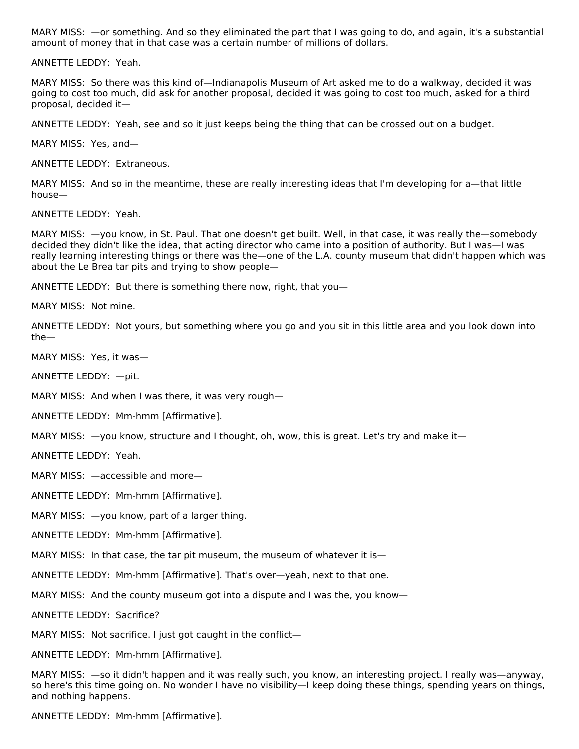MARY MISS: —or something. And so they eliminated the part that I was going to do, and again, it's a substantial amount of money that in that case was a certain number of millions of dollars.

ANNETTE LEDDY: Yeah.

MARY MISS: So there was this kind of—Indianapolis Museum of Art asked me to do a walkway, decided it was going to cost too much, did ask for another proposal, decided it was going to cost too much, asked for a third proposal, decided it—

ANNETTE LEDDY: Yeah, see and so it just keeps being the thing that can be crossed out on a budget.

MARY MISS: Yes, and—

ANNETTE LEDDY: Extraneous.

MARY MISS: And so in the meantime, these are really interesting ideas that I'm developing for a—that little house—

ANNETTE LEDDY: Yeah.

MARY MISS: —you know, in St. Paul. That one doesn't get built. Well, in that case, it was really the—somebody decided they didn't like the idea, that acting director who came into a position of authority. But I was—I was really learning interesting things or there was the—one of the L.A. county museum that didn't happen which was about the Le Brea tar pits and trying to show people—

ANNETTE LEDDY: But there is something there now, right, that you—

MARY MISS: Not mine.

ANNETTE LEDDY: Not yours, but something where you go and you sit in this little area and you look down into the—

MARY MISS: Yes, it was—

ANNETTE LEDDY: —pit.

MARY MISS: And when I was there, it was very rough—

ANNETTE LEDDY: Mm-hmm [Affirmative].

MARY MISS: —you know, structure and I thought, oh, wow, this is great. Let's try and make it—

ANNETTE LEDDY: Yeah.

MARY MISS: —accessible and more—

ANNETTE LEDDY: Mm-hmm [Affirmative].

MARY MISS: —you know, part of a larger thing.

ANNETTE LEDDY: Mm-hmm [Affirmative].

MARY MISS: In that case, the tar pit museum, the museum of whatever it is—

ANNETTE LEDDY: Mm-hmm [Affirmative]. That's over—yeah, next to that one.

MARY MISS: And the county museum got into a dispute and I was the, you know—

ANNETTE LEDDY: Sacrifice?

MARY MISS: Not sacrifice. I just got caught in the conflict—

ANNETTE LEDDY: Mm-hmm [Affirmative].

MARY MISS: —so it didn't happen and it was really such, you know, an interesting project. I really was—anyway, so here's this time going on. No wonder I have no visibility—I keep doing these things, spending years on things, and nothing happens.

ANNETTE LEDDY: Mm-hmm [Affirmative].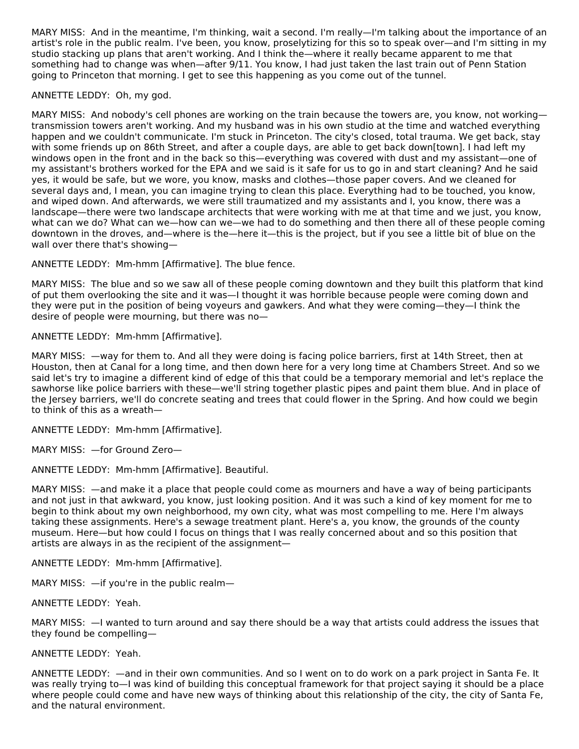MARY MISS: And in the meantime, I'm thinking, wait a second. I'm really—I'm talking about the importance of an artist's role in the public realm. I've been, you know, proselytizing for this so to speak over—and I'm sitting in my studio stacking up plans that aren't working. And I think the—where it really became apparent to me that something had to change was when—after 9/11. You know, I had just taken the last train out of Penn Station going to Princeton that morning. I get to see this happening as you come out of the tunnel.

## ANNETTE LEDDY: Oh, my god.

MARY MISS: And nobody's cell phones are working on the train because the towers are, you know, not working transmission towers aren't working. And my husband was in his own studio at the time and watched everything happen and we couldn't communicate. I'm stuck in Princeton. The city's closed, total trauma. We get back, stay with some friends up on 86th Street, and after a couple days, are able to get back down[town]. I had left my windows open in the front and in the back so this—everything was covered with dust and my assistant—one of my assistant's brothers worked for the EPA and we said is it safe for us to go in and start cleaning? And he said yes, it would be safe, but we wore, you know, masks and clothes—those paper covers. And we cleaned for several days and, I mean, you can imagine trying to clean this place. Everything had to be touched, you know, and wiped down. And afterwards, we were still traumatized and my assistants and I, you know, there was a landscape—there were two landscape architects that were working with me at that time and we just, you know, what can we do? What can we—how can we—we had to do something and then there all of these people coming downtown in the droves, and—where is the—here it—this is the project, but if you see a little bit of blue on the wall over there that's showing—

ANNETTE LEDDY: Mm-hmm [Affirmative]. The blue fence.

MARY MISS: The blue and so we saw all of these people coming downtown and they built this platform that kind of put them overlooking the site and it was—I thought it was horrible because people were coming down and they were put in the position of being voyeurs and gawkers. And what they were coming—they—I think the desire of people were mourning, but there was no—

ANNETTE LEDDY: Mm-hmm [Affirmative].

MARY MISS: —way for them to. And all they were doing is facing police barriers, first at 14th Street, then at Houston, then at Canal for a long time, and then down here for a very long time at Chambers Street. And so we said let's try to imagine a different kind of edge of this that could be a temporary memorial and let's replace the sawhorse like police barriers with these—we'll string together plastic pipes and paint them blue. And in place of the Jersey barriers, we'll do concrete seating and trees that could flower in the Spring. And how could we begin to think of this as a wreath—

ANNETTE LEDDY: Mm-hmm [Affirmative].

MARY MISS: —for Ground Zero—

ANNETTE LEDDY: Mm-hmm [Affirmative]. Beautiful.

MARY MISS: —and make it a place that people could come as mourners and have a way of being participants and not just in that awkward, you know, just looking position. And it was such a kind of key moment for me to begin to think about my own neighborhood, my own city, what was most compelling to me. Here I'm always taking these assignments. Here's a sewage treatment plant. Here's a, you know, the grounds of the county museum. Here—but how could I focus on things that I was really concerned about and so this position that artists are always in as the recipient of the assignment—

ANNETTE LEDDY: Mm-hmm [Affirmative].

MARY MISS:  $-$ if you're in the public realm-

ANNETTE LEDDY: Yeah.

MARY MISS: —I wanted to turn around and say there should be a way that artists could address the issues that they found be compelling—

ANNETTE LEDDY: Yeah.

ANNETTE LEDDY: —and in their own communities. And so I went on to do work on a park project in Santa Fe. It was really trying to—I was kind of building this conceptual framework for that project saying it should be a place where people could come and have new ways of thinking about this relationship of the city, the city of Santa Fe, and the natural environment.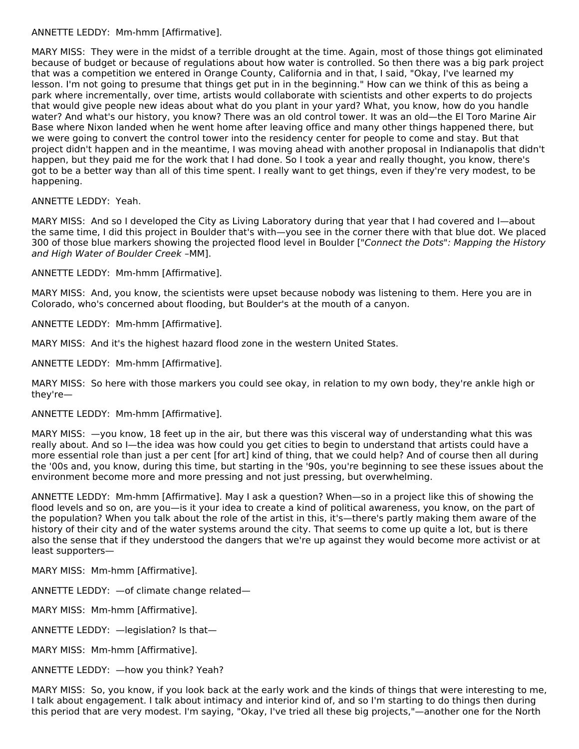# ANNETTE LEDDY: Mm-hmm [Affirmative].

MARY MISS: They were in the midst of a terrible drought at the time. Again, most of those things got eliminated because of budget or because of regulations about how water is controlled. So then there was a big park project that was a competition we entered in Orange County, California and in that, I said, "Okay, I've learned my lesson. I'm not going to presume that things get put in in the beginning." How can we think of this as being a park where incrementally, over time, artists would collaborate with scientists and other experts to do projects that would give people new ideas about what do you plant in your yard? What, you know, how do you handle water? And what's our history, you know? There was an old control tower. It was an old—the El Toro Marine Air Base where Nixon landed when he went home after leaving office and many other things happened there, but we were going to convert the control tower into the residency center for people to come and stay. But that project didn't happen and in the meantime, I was moving ahead with another proposal in Indianapolis that didn't happen, but they paid me for the work that I had done. So I took a year and really thought, you know, there's got to be a better way than all of this time spent. I really want to get things, even if they're very modest, to be happening.

# ANNETTE LEDDY: Yeah.

MARY MISS: And so I developed the City as Living Laboratory during that year that I had covered and I—about the same time, I did this project in Boulder that's with—you see in the corner there with that blue dot. We placed 300 of those blue markers showing the projected flood level in Boulder ["Connect the Dots": Mapping the History and High Water of Boulder Creek –MM].

ANNETTE LEDDY: Mm-hmm [Affirmative].

MARY MISS: And, you know, the scientists were upset because nobody was listening to them. Here you are in Colorado, who's concerned about flooding, but Boulder's at the mouth of a canyon.

ANNETTE LEDDY: Mm-hmm [Affirmative].

MARY MISS: And it's the highest hazard flood zone in the western United States.

ANNETTE LEDDY: Mm-hmm [Affirmative].

MARY MISS: So here with those markers you could see okay, in relation to my own body, they're ankle high or they're—

# ANNETTE LEDDY: Mm-hmm [Affirmative].

MARY MISS: —you know, 18 feet up in the air, but there was this visceral way of understanding what this was really about. And so I—the idea was how could you get cities to begin to understand that artists could have a more essential role than just a per cent [for art] kind of thing, that we could help? And of course then all during the '00s and, you know, during this time, but starting in the '90s, you're beginning to see these issues about the environment become more and more pressing and not just pressing, but overwhelming.

ANNETTE LEDDY: Mm-hmm [Affirmative]. May I ask a question? When—so in a project like this of showing the flood levels and so on, are you—is it your idea to create a kind of political awareness, you know, on the part of the population? When you talk about the role of the artist in this, it's—there's partly making them aware of the history of their city and of the water systems around the city. That seems to come up quite a lot, but is there also the sense that if they understood the dangers that we're up against they would become more activist or at least supporters—

MARY MISS: Mm-hmm [Affirmative].

ANNETTE LEDDY: —of climate change related—

MARY MISS: Mm-hmm [Affirmative].

ANNETTE LEDDY: —legislation? Is that—

MARY MISS: Mm-hmm [Affirmative].

ANNETTE LEDDY: —how you think? Yeah?

MARY MISS: So, you know, if you look back at the early work and the kinds of things that were interesting to me, I talk about engagement. I talk about intimacy and interior kind of, and so I'm starting to do things then during this period that are very modest. I'm saying, "Okay, I've tried all these big projects,"—another one for the North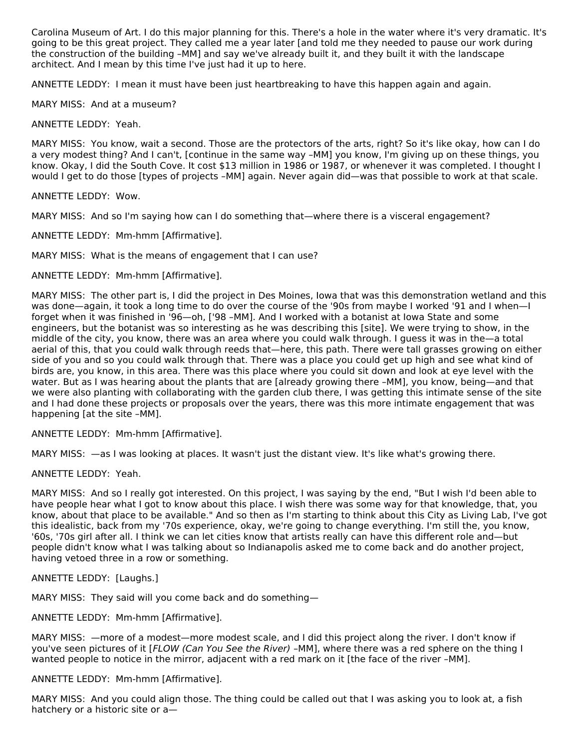Carolina Museum of Art. I do this major planning for this. There's a hole in the water where it's very dramatic. It's going to be this great project. They called me a year later [and told me they needed to pause our work during the construction of the building –MM] and say we've already built it, and they built it with the landscape architect. And I mean by this time I've just had it up to here.

ANNETTE LEDDY: I mean it must have been just heartbreaking to have this happen again and again.

MARY MISS: And at a museum?

ANNETTE LEDDY: Yeah.

MARY MISS: You know, wait a second. Those are the protectors of the arts, right? So it's like okay, how can I do a very modest thing? And I can't, [continue in the same way –MM] you know, I'm giving up on these things, you know. Okay, I did the South Cove. It cost \$13 million in 1986 or 1987, or whenever it was completed. I thought I would I get to do those [types of projects –MM] again. Never again did—was that possible to work at that scale.

ANNETTE LEDDY: Wow.

MARY MISS: And so I'm saying how can I do something that—where there is a visceral engagement?

ANNETTE LEDDY: Mm-hmm [Affirmative].

MARY MISS: What is the means of engagement that I can use?

ANNETTE LEDDY: Mm-hmm [Affirmative].

MARY MISS: The other part is, I did the project in Des Moines, Iowa that was this demonstration wetland and this was done—again, it took a long time to do over the course of the '90s from maybe I worked '91 and I when—I forget when it was finished in '96—oh, ['98 –MM]. And I worked with a botanist at Iowa State and some engineers, but the botanist was so interesting as he was describing this [site]. We were trying to show, in the middle of the city, you know, there was an area where you could walk through. I guess it was in the—a total aerial of this, that you could walk through reeds that—here, this path. There were tall grasses growing on either side of you and so you could walk through that. There was a place you could get up high and see what kind of birds are, you know, in this area. There was this place where you could sit down and look at eye level with the water. But as I was hearing about the plants that are [already growing there –MM], you know, being—and that we were also planting with collaborating with the garden club there, I was getting this intimate sense of the site and I had done these projects or proposals over the years, there was this more intimate engagement that was happening [at the site –MM].

ANNETTE LEDDY: Mm-hmm [Affirmative].

MARY MISS: —as I was looking at places. It wasn't just the distant view. It's like what's growing there.

ANNETTE LEDDY: Yeah.

MARY MISS: And so I really got interested. On this project, I was saying by the end, "But I wish I'd been able to have people hear what I got to know about this place. I wish there was some way for that knowledge, that, you know, about that place to be available." And so then as I'm starting to think about this City as Living Lab, I've got this idealistic, back from my '70s experience, okay, we're going to change everything. I'm still the, you know, '60s, '70s girl after all. I think we can let cities know that artists really can have this different role and—but people didn't know what I was talking about so Indianapolis asked me to come back and do another project, having vetoed three in a row or something.

ANNETTE LEDDY: [Laughs.]

MARY MISS: They said will you come back and do something—

ANNETTE LEDDY: Mm-hmm [Affirmative].

MARY MISS: —more of a modest—more modest scale, and I did this project along the river. I don't know if you've seen pictures of it [FLOW (Can You See the River) –MM], where there was a red sphere on the thing I wanted people to notice in the mirror, adjacent with a red mark on it [the face of the river –MM].

ANNETTE LEDDY: Mm-hmm [Affirmative].

MARY MISS: And you could align those. The thing could be called out that I was asking you to look at, a fish hatchery or a historic site or a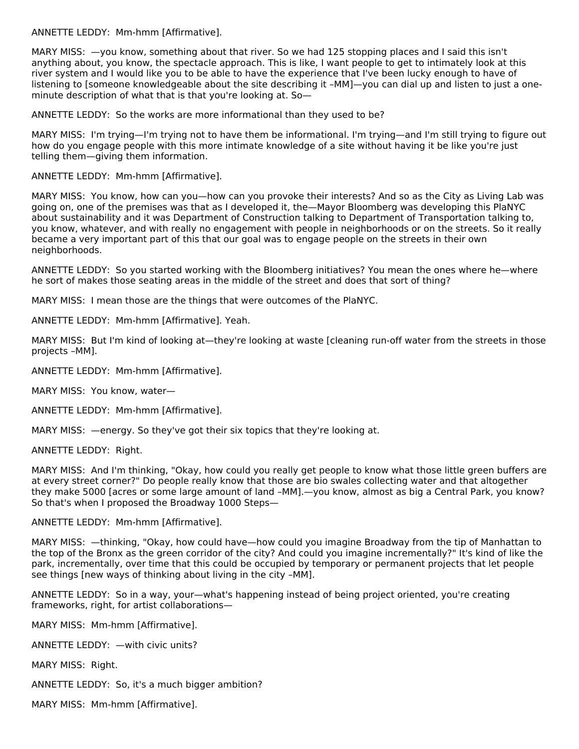ANNETTE LEDDY: Mm-hmm [Affirmative].

MARY MISS: —you know, something about that river. So we had 125 stopping places and I said this isn't anything about, you know, the spectacle approach. This is like, I want people to get to intimately look at this river system and I would like you to be able to have the experience that I've been lucky enough to have of listening to [someone knowledgeable about the site describing it –MM]—you can dial up and listen to just a one minute description of what that is that you're looking at. So—

ANNETTE LEDDY: So the works are more informational than they used to be?

MARY MISS: I'm trying—I'm trying not to have them be informational. I'm trying—and I'm still trying to figure out how do you engage people with this more intimate knowledge of a site without having it be like you're just telling them—giving them information.

ANNETTE LEDDY: Mm-hmm [Affirmative].

MARY MISS: You know, how can you—how can you provoke their interests? And so as the City as Living Lab was going on, one of the premises was that as I developed it, the—Mayor Bloomberg was developing this PlaNYC about sustainability and it was Department of Construction talking to Department of Transportation talking to, you know, whatever, and with really no engagement with people in neighborhoods or on the streets. So it really became a very important part of this that our goal was to engage people on the streets in their own neighborhoods.

ANNETTE LEDDY: So you started working with the Bloomberg initiatives? You mean the ones where he—where he sort of makes those seating areas in the middle of the street and does that sort of thing?

MARY MISS: I mean those are the things that were outcomes of the PlaNYC.

ANNETTE LEDDY: Mm-hmm [Affirmative]. Yeah.

MARY MISS: But I'm kind of looking at—they're looking at waste [cleaning run-off water from the streets in those projects –MM].

ANNETTE LEDDY: Mm-hmm [Affirmative].

MARY MISS: You know, water—

ANNETTE LEDDY: Mm-hmm [Affirmative].

MARY MISS: —energy. So they've got their six topics that they're looking at.

ANNETTE LEDDY: Right.

MARY MISS: And I'm thinking, "Okay, how could you really get people to know what those little green buffers are at every street corner?" Do people really know that those are bio swales collecting water and that altogether they make 5000 [acres or some large amount of land –MM].—you know, almost as big a Central Park, you know? So that's when I proposed the Broadway 1000 Steps—

ANNETTE LEDDY: Mm-hmm [Affirmative].

MARY MISS: —thinking, "Okay, how could have—how could you imagine Broadway from the tip of Manhattan to the top of the Bronx as the green corridor of the city? And could you imagine incrementally?" It's kind of like the park, incrementally, over time that this could be occupied by temporary or permanent projects that let people see things [new ways of thinking about living in the city –MM].

ANNETTE LEDDY: So in a way, your—what's happening instead of being project oriented, you're creating frameworks, right, for artist collaborations—

MARY MISS: Mm-hmm [Affirmative].

ANNETTE LEDDY: —with civic units?

MARY MISS: Right.

ANNETTE LEDDY: So, it's a much bigger ambition?

MARY MISS: Mm-hmm [Affirmative].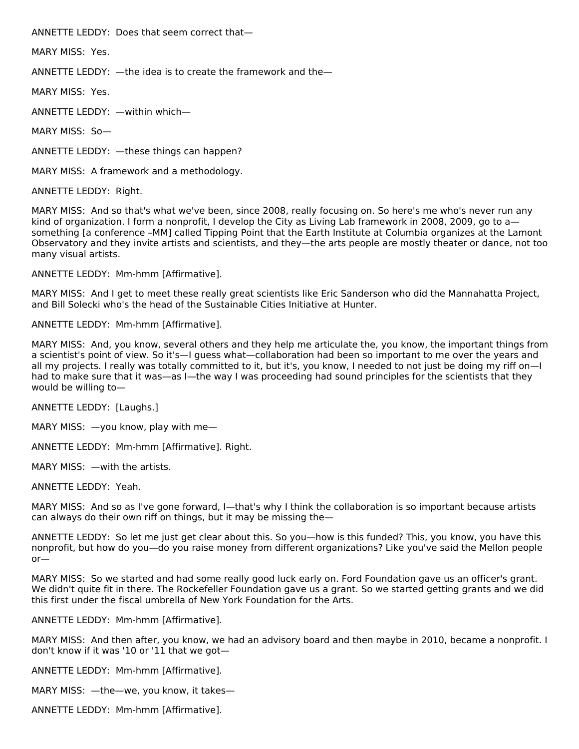ANNETTE LEDDY: Does that seem correct that—

MARY MISS: Yes.

ANNETTE LEDDY: —the idea is to create the framework and the—

MARY MISS: Yes.

ANNETTE LEDDY: —within which—

MARY MISS: So—

ANNETTE LEDDY: —these things can happen?

MARY MISS: A framework and a methodology.

ANNETTE LEDDY: Right.

MARY MISS: And so that's what we've been, since 2008, really focusing on. So here's me who's never run any kind of organization. I form a nonprofit, I develop the City as Living Lab framework in 2008, 2009, go to a something [a conference –MM] called Tipping Point that the Earth Institute at Columbia organizes at the Lamont Observatory and they invite artists and scientists, and they—the arts people are mostly theater or dance, not too many visual artists.

ANNETTE LEDDY: Mm-hmm [Affirmative].

MARY MISS: And I get to meet these really great scientists like Eric Sanderson who did the Mannahatta Project, and Bill Solecki who's the head of the Sustainable Cities Initiative at Hunter.

ANNETTE LEDDY: Mm-hmm [Affirmative].

MARY MISS: And, you know, several others and they help me articulate the, you know, the important things from a scientist's point of view. So it's—I guess what—collaboration had been so important to me over the years and all my projects. I really was totally committed to it, but it's, you know, I needed to not just be doing my riff on—I had to make sure that it was—as I—the way I was proceeding had sound principles for the scientists that they would be willing to—

ANNETTE LEDDY: [Laughs.]

MARY MISS: —you know, play with me—

ANNETTE LEDDY: Mm-hmm [Affirmative]. Right.

MARY MISS: —with the artists.

ANNETTE LEDDY: Yeah.

MARY MISS: And so as I've gone forward, I—that's why I think the collaboration is so important because artists can always do their own riff on things, but it may be missing the—

ANNETTE LEDDY: So let me just get clear about this. So you—how is this funded? This, you know, you have this nonprofit, but how do you—do you raise money from different organizations? Like you've said the Mellon people or—

MARY MISS: So we started and had some really good luck early on. Ford Foundation gave us an officer's grant. We didn't quite fit in there. The Rockefeller Foundation gave us a grant. So we started getting grants and we did this first under the fiscal umbrella of New York Foundation for the Arts.

ANNETTE LEDDY: Mm-hmm [Affirmative].

MARY MISS: And then after, you know, we had an advisory board and then maybe in 2010, became a nonprofit. I don't know if it was '10 or '11 that we got—

ANNETTE LEDDY: Mm-hmm [Affirmative].

MARY MISS: —the—we, you know, it takes—

ANNETTE LEDDY: Mm-hmm [Affirmative].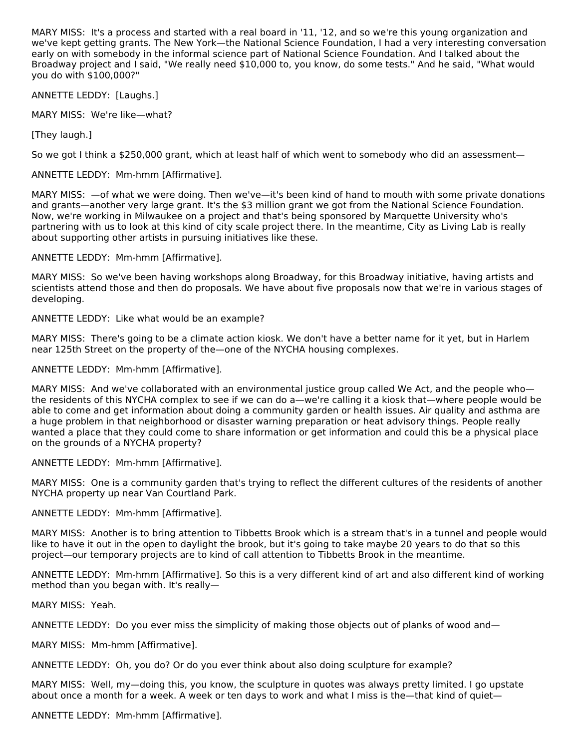MARY MISS: It's a process and started with a real board in '11, '12, and so we're this young organization and we've kept getting grants. The New York—the National Science Foundation, I had a very interesting conversation early on with somebody in the informal science part of National Science Foundation. And I talked about the Broadway project and I said, "We really need \$10,000 to, you know, do some tests." And he said, "What would you do with \$100,000?"

ANNETTE LEDDY: [Laughs.]

MARY MISS: We're like—what?

[They laugh.]

So we got I think a \$250,000 grant, which at least half of which went to somebody who did an assessment—

ANNETTE LEDDY: Mm-hmm [Affirmative].

MARY MISS: —of what we were doing. Then we've—it's been kind of hand to mouth with some private donations and grants—another very large grant. It's the \$3 million grant we got from the National Science Foundation. Now, we're working in Milwaukee on a project and that's being sponsored by Marquette University who's partnering with us to look at this kind of city scale project there. In the meantime, City as Living Lab is really about supporting other artists in pursuing initiatives like these.

ANNETTE LEDDY: Mm-hmm [Affirmative].

MARY MISS: So we've been having workshops along Broadway, for this Broadway initiative, having artists and scientists attend those and then do proposals. We have about five proposals now that we're in various stages of developing.

ANNETTE LEDDY: Like what would be an example?

MARY MISS: There's going to be a climate action kiosk. We don't have a better name for it yet, but in Harlem near 125th Street on the property of the—one of the NYCHA housing complexes.

ANNETTE LEDDY: Mm-hmm [Affirmative].

MARY MISS: And we've collaborated with an environmental justice group called We Act, and the people who the residents of this NYCHA complex to see if we can do a—we're calling it a kiosk that—where people would be able to come and get information about doing a community garden or health issues. Air quality and asthma are a huge problem in that neighborhood or disaster warning preparation or heat advisory things. People really wanted a place that they could come to share information or get information and could this be a physical place on the grounds of a NYCHA property?

ANNETTE LEDDY: Mm-hmm [Affirmative].

MARY MISS: One is a community garden that's trying to reflect the different cultures of the residents of another NYCHA property up near Van Courtland Park.

ANNETTE LEDDY: Mm-hmm [Affirmative].

MARY MISS: Another is to bring attention to Tibbetts Brook which is a stream that's in a tunnel and people would like to have it out in the open to daylight the brook, but it's going to take maybe 20 years to do that so this project—our temporary projects are to kind of call attention to Tibbetts Brook in the meantime.

ANNETTE LEDDY: Mm-hmm [Affirmative]. So this is a very different kind of art and also different kind of working method than you began with. It's really—

MARY MISS: Yeah.

ANNETTE LEDDY: Do you ever miss the simplicity of making those objects out of planks of wood and—

MARY MISS: Mm-hmm [Affirmative].

ANNETTE LEDDY: Oh, you do? Or do you ever think about also doing sculpture for example?

MARY MISS: Well, my—doing this, you know, the sculpture in quotes was always pretty limited. I go upstate about once a month for a week. A week or ten days to work and what I miss is the—that kind of quiet—

ANNETTE LEDDY: Mm-hmm [Affirmative].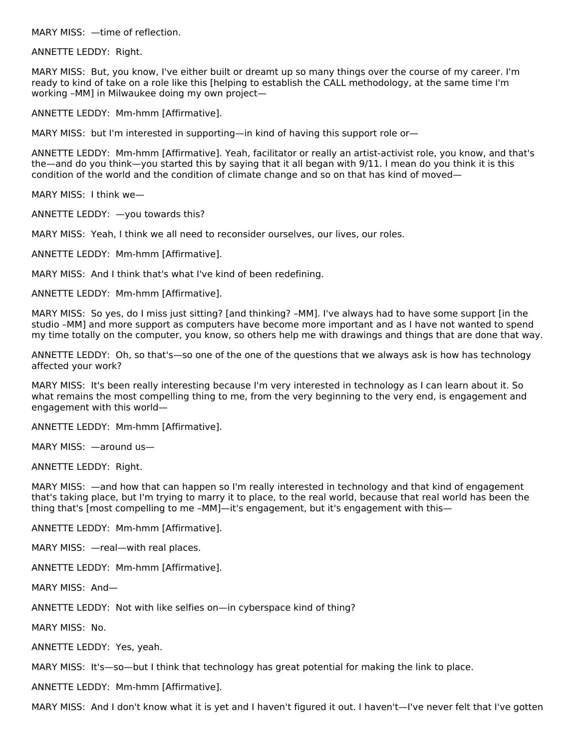MARY MISS: —time of reflection.

ANNETTE LEDDY: Right.

MARY MISS: But, you know, I've either built or dreamt up so many things over the course of my career. I'm ready to kind of take on a role like this [helping to establish the CALL methodology, at the same time I'm working –MM] in Milwaukee doing my own project—

ANNETTE LEDDY: Mm-hmm [Affirmative].

MARY MISS: but I'm interested in supporting—in kind of having this support role or—

ANNETTE LEDDY: Mm-hmm [Affirmative]. Yeah, facilitator or really an artist-activist role, you know, and that's the—and do you think—you started this by saying that it all began with 9/11. I mean do you think it is this condition of the world and the condition of climate change and so on that has kind of moved—

MARY MISS: I think we—

ANNETTE LEDDY: —you towards this?

MARY MISS: Yeah, I think we all need to reconsider ourselves, our lives, our roles.

ANNETTE LEDDY: Mm-hmm [Affirmative].

MARY MISS: And I think that's what I've kind of been redefining.

ANNETTE LEDDY: Mm-hmm [Affirmative].

MARY MISS: So yes, do I miss just sitting? [and thinking? –MM]. I've always had to have some support [in the studio –MM] and more support as computers have become more important and as I have not wanted to spend my time totally on the computer, you know, so others help me with drawings and things that are done that way.

ANNETTE LEDDY: Oh, so that's—so one of the one of the questions that we always ask is how has technology affected your work?

MARY MISS: It's been really interesting because I'm very interested in technology as I can learn about it. So what remains the most compelling thing to me, from the very beginning to the very end, is engagement and engagement with this world—

ANNETTE LEDDY: Mm-hmm [Affirmative].

MARY MISS: —around us—

ANNETTE LEDDY: Right.

MARY MISS: —and how that can happen so I'm really interested in technology and that kind of engagement that's taking place, but I'm trying to marry it to place, to the real world, because that real world has been the thing that's [most compelling to me –MM]—it's engagement, but it's engagement with this—

ANNETTE LEDDY: Mm-hmm [Affirmative].

MARY MISS: —real—with real places.

ANNETTE LEDDY: Mm-hmm [Affirmative].

MARY MISS: And—

ANNETTE LEDDY: Not with like selfies on—in cyberspace kind of thing?

MARY MISS: No.

ANNETTE LEDDY: Yes, yeah.

MARY MISS: It's—so—but I think that technology has great potential for making the link to place.

ANNETTE LEDDY: Mm-hmm [Affirmative].

MARY MISS: And I don't know what it is yet and I haven't figured it out. I haven't—I've never felt that I've gotten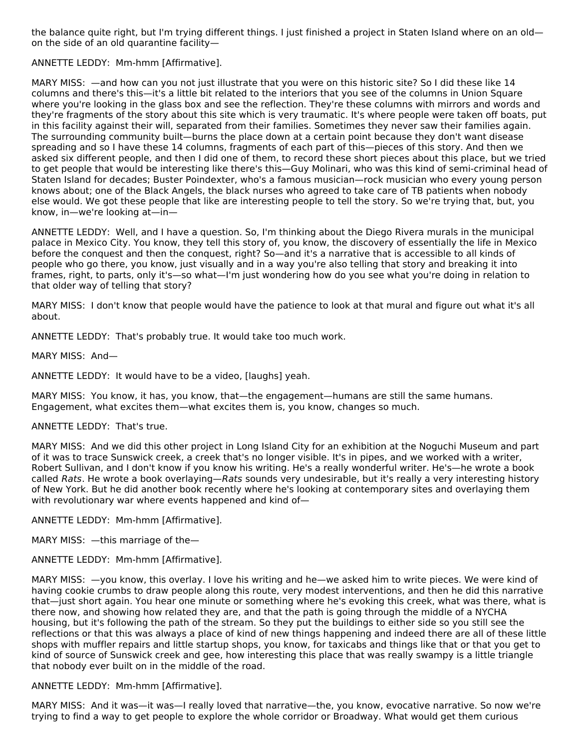the balance quite right, but I'm trying different things. I just finished a project in Staten Island where on an old on the side of an old quarantine facility—

ANNETTE LEDDY: Mm-hmm [Affirmative].

MARY MISS: —and how can you not just illustrate that you were on this historic site? So I did these like 14 columns and there's this—it's a little bit related to the interiors that you see of the columns in Union Square where you're looking in the glass box and see the reflection. They're these columns with mirrors and words and they're fragments of the story about this site which is very traumatic. It's where people were taken off boats, put in this facility against their will, separated from their families. Sometimes they never saw their families again. The surrounding community built—burns the place down at a certain point because they don't want disease spreading and so I have these 14 columns, fragments of each part of this—pieces of this story. And then we asked six different people, and then I did one of them, to record these short pieces about this place, but we tried to get people that would be interesting like there's this—Guy Molinari, who was this kind of semi-criminal head of Staten Island for decades; Buster Poindexter, who's a famous musician—rock musician who every young person knows about; one of the Black Angels, the black nurses who agreed to take care of TB patients when nobody else would. We got these people that like are interesting people to tell the story. So we're trying that, but, you know, in—we're looking at—in—

ANNETTE LEDDY: Well, and I have a question. So, I'm thinking about the Diego Rivera murals in the municipal palace in Mexico City. You know, they tell this story of, you know, the discovery of essentially the life in Mexico before the conquest and then the conquest, right? So—and it's a narrative that is accessible to all kinds of people who go there, you know, just visually and in a way you're also telling that story and breaking it into frames, right, to parts, only it's—so what—I'm just wondering how do you see what you're doing in relation to that older way of telling that story?

MARY MISS: I don't know that people would have the patience to look at that mural and figure out what it's all about.

ANNETTE LEDDY: That's probably true. It would take too much work.

MARY MISS: And—

ANNETTE LEDDY: It would have to be a video, [laughs] yeah.

MARY MISS: You know, it has, you know, that—the engagement—humans are still the same humans. Engagement, what excites them—what excites them is, you know, changes so much.

#### ANNETTE LEDDY: That's true.

MARY MISS: And we did this other project in Long Island City for an exhibition at the Noguchi Museum and part of it was to trace Sunswick creek, a creek that's no longer visible. It's in pipes, and we worked with a writer, Robert Sullivan, and I don't know if you know his writing. He's a really wonderful writer. He's—he wrote a book called Rats. He wrote a book overlaying—Rats sounds very undesirable, but it's really a very interesting history of New York. But he did another book recently where he's looking at contemporary sites and overlaying them with revolutionary war where events happened and kind of—

ANNETTE LEDDY: Mm-hmm [Affirmative].

MARY MISS: —this marriage of the—

ANNETTE LEDDY: Mm-hmm [Affirmative].

MARY MISS: —you know, this overlay. I love his writing and he—we asked him to write pieces. We were kind of having cookie crumbs to draw people along this route, very modest interventions, and then he did this narrative that—just short again. You hear one minute or something where he's evoking this creek, what was there, what is there now, and showing how related they are, and that the path is going through the middle of a NYCHA housing, but it's following the path of the stream. So they put the buildings to either side so you still see the reflections or that this was always a place of kind of new things happening and indeed there are all of these little shops with muffler repairs and little startup shops, you know, for taxicabs and things like that or that you get to kind of source of Sunswick creek and gee, how interesting this place that was really swampy is a little triangle that nobody ever built on in the middle of the road.

#### ANNETTE LEDDY: Mm-hmm [Affirmative].

MARY MISS: And it was—it was—I really loved that narrative—the, you know, evocative narrative. So now we're trying to find a way to get people to explore the whole corridor or Broadway. What would get them curious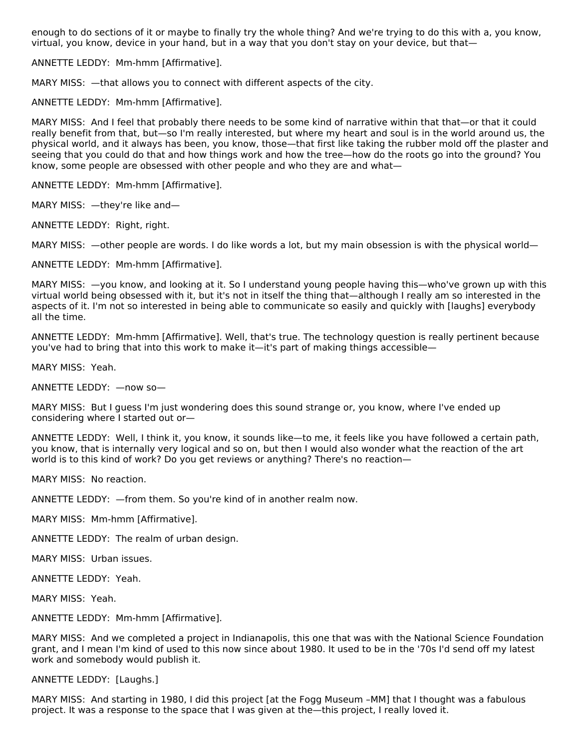enough to do sections of it or maybe to finally try the whole thing? And we're trying to do this with a, you know, virtual, you know, device in your hand, but in a way that you don't stay on your device, but that—

ANNETTE LEDDY: Mm-hmm [Affirmative].

MARY MISS: —that allows you to connect with different aspects of the city.

ANNETTE LEDDY: Mm-hmm [Affirmative].

MARY MISS: And I feel that probably there needs to be some kind of narrative within that that—or that it could really benefit from that, but—so I'm really interested, but where my heart and soul is in the world around us, the physical world, and it always has been, you know, those—that first like taking the rubber mold off the plaster and seeing that you could do that and how things work and how the tree—how do the roots go into the ground? You know, some people are obsessed with other people and who they are and what—

ANNETTE LEDDY: Mm-hmm [Affirmative].

MARY MISS: —they're like and—

ANNETTE LEDDY: Right, right.

MARY MISS: —other people are words. I do like words a lot, but my main obsession is with the physical world—

ANNETTE LEDDY: Mm-hmm [Affirmative].

MARY MISS: —you know, and looking at it. So I understand young people having this—who've grown up with this virtual world being obsessed with it, but it's not in itself the thing that—although I really am so interested in the aspects of it. I'm not so interested in being able to communicate so easily and quickly with [laughs] everybody all the time.

ANNETTE LEDDY: Mm-hmm [Affirmative]. Well, that's true. The technology question is really pertinent because you've had to bring that into this work to make it—it's part of making things accessible—

MARY MISS: Yeah.

ANNETTE LEDDY: —now so—

MARY MISS: But I guess I'm just wondering does this sound strange or, you know, where I've ended up considering where I started out or—

ANNETTE LEDDY: Well, I think it, you know, it sounds like—to me, it feels like you have followed a certain path, you know, that is internally very logical and so on, but then I would also wonder what the reaction of the art world is to this kind of work? Do you get reviews or anything? There's no reaction—

MARY MISS: No reaction.

ANNETTE LEDDY: —from them. So you're kind of in another realm now.

MARY MISS: Mm-hmm [Affirmative].

ANNETTE LEDDY: The realm of urban design.

MARY MISS: Urban issues.

ANNETTE LEDDY: Yeah.

MARY MISS: Yeah.

ANNETTE LEDDY: Mm-hmm [Affirmative].

MARY MISS: And we completed a project in Indianapolis, this one that was with the National Science Foundation grant, and I mean I'm kind of used to this now since about 1980. It used to be in the '70s I'd send off my latest work and somebody would publish it.

ANNETTE LEDDY: [Laughs.]

MARY MISS: And starting in 1980, I did this project [at the Fogg Museum –MM] that I thought was a fabulous project. It was a response to the space that I was given at the—this project, I really loved it.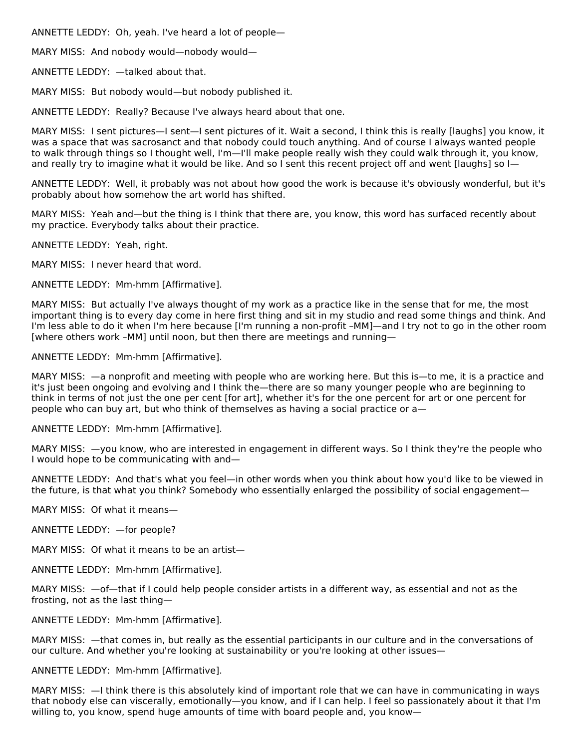ANNETTE LEDDY: Oh, yeah. I've heard a lot of people—

MARY MISS: And nobody would—nobody would—

ANNETTE LEDDY: —talked about that.

MARY MISS: But nobody would—but nobody published it.

ANNETTE LEDDY: Really? Because I've always heard about that one.

MARY MISS: I sent pictures—I sent—I sent pictures of it. Wait a second, I think this is really [laughs] you know, it was a space that was sacrosanct and that nobody could touch anything. And of course I always wanted people to walk through things so I thought well, I'm—I'll make people really wish they could walk through it, you know, and really try to imagine what it would be like. And so I sent this recent project off and went [laughs] so I—

ANNETTE LEDDY: Well, it probably was not about how good the work is because it's obviously wonderful, but it's probably about how somehow the art world has shifted.

MARY MISS: Yeah and—but the thing is I think that there are, you know, this word has surfaced recently about my practice. Everybody talks about their practice.

ANNETTE LEDDY: Yeah, right.

MARY MISS: I never heard that word.

ANNETTE LEDDY: Mm-hmm [Affirmative].

MARY MISS: But actually I've always thought of my work as a practice like in the sense that for me, the most important thing is to every day come in here first thing and sit in my studio and read some things and think. And I'm less able to do it when I'm here because [I'm running a non-profit –MM]—and I try not to go in the other room [where others work –MM] until noon, but then there are meetings and running—

ANNETTE LEDDY: Mm-hmm [Affirmative].

MARY MISS: —a nonprofit and meeting with people who are working here. But this is—to me, it is a practice and it's just been ongoing and evolving and I think the—there are so many younger people who are beginning to think in terms of not just the one per cent [for art], whether it's for the one percent for art or one percent for people who can buy art, but who think of themselves as having a social practice or a—

ANNETTE LEDDY: Mm-hmm [Affirmative].

MARY MISS: —you know, who are interested in engagement in different ways. So I think they're the people who I would hope to be communicating with and—

ANNETTE LEDDY: And that's what you feel—in other words when you think about how you'd like to be viewed in the future, is that what you think? Somebody who essentially enlarged the possibility of social engagement—

MARY MISS: Of what it means—

ANNETTE LEDDY: —for people?

MARY MISS: Of what it means to be an artist—

ANNETTE LEDDY: Mm-hmm [Affirmative].

MARY MISS: —of—that if I could help people consider artists in a different way, as essential and not as the frosting, not as the last thing—

ANNETTE LEDDY: Mm-hmm [Affirmative].

MARY MISS: —that comes in, but really as the essential participants in our culture and in the conversations of our culture. And whether you're looking at sustainability or you're looking at other issues—

ANNETTE LEDDY: Mm-hmm [Affirmative].

MARY MISS: —I think there is this absolutely kind of important role that we can have in communicating in ways that nobody else can viscerally, emotionally—you know, and if I can help. I feel so passionately about it that I'm willing to, you know, spend huge amounts of time with board people and, you know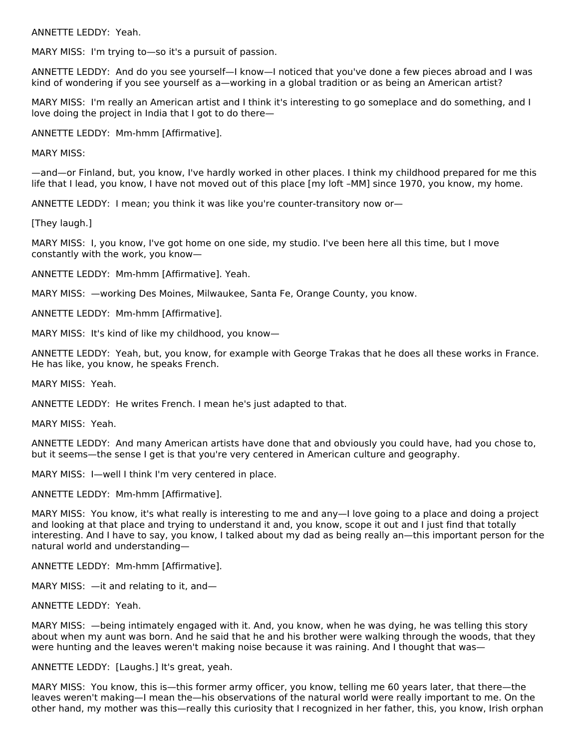ANNETTE LEDDY: Yeah.

MARY MISS: I'm trying to—so it's a pursuit of passion.

ANNETTE LEDDY: And do you see yourself—I know—I noticed that you've done a few pieces abroad and I was kind of wondering if you see yourself as a—working in a global tradition or as being an American artist?

MARY MISS: I'm really an American artist and I think it's interesting to go someplace and do something, and I love doing the project in India that I got to do there—

ANNETTE LEDDY: Mm-hmm [Affirmative].

MARY MISS:

—and—or Finland, but, you know, I've hardly worked in other places. I think my childhood prepared for me this life that I lead, you know, I have not moved out of this place [my loft –MM] since 1970, you know, my home.

ANNETTE LEDDY: I mean; you think it was like you're counter-transitory now or—

[They laugh.]

MARY MISS: I, you know, I've got home on one side, my studio. I've been here all this time, but I move constantly with the work, you know—

ANNETTE LEDDY: Mm-hmm [Affirmative]. Yeah.

MARY MISS: —working Des Moines, Milwaukee, Santa Fe, Orange County, you know.

ANNETTE LEDDY: Mm-hmm [Affirmative].

MARY MISS: It's kind of like my childhood, you know—

ANNETTE LEDDY: Yeah, but, you know, for example with George Trakas that he does all these works in France. He has like, you know, he speaks French.

MARY MISS: Yeah.

ANNETTE LEDDY: He writes French. I mean he's just adapted to that.

MARY MISS: Yeah.

ANNETTE LEDDY: And many American artists have done that and obviously you could have, had you chose to, but it seems—the sense I get is that you're very centered in American culture and geography.

MARY MISS: I—well I think I'm very centered in place.

ANNETTE LEDDY: Mm-hmm [Affirmative].

MARY MISS: You know, it's what really is interesting to me and any—I love going to a place and doing a project and looking at that place and trying to understand it and, you know, scope it out and I just find that totally interesting. And I have to say, you know, I talked about my dad as being really an—this important person for the natural world and understanding—

ANNETTE LEDDY: Mm-hmm [Affirmative].

MARY MISS: —it and relating to it, and—

ANNETTE LEDDY: Yeah.

MARY MISS: —being intimately engaged with it. And, you know, when he was dying, he was telling this story about when my aunt was born. And he said that he and his brother were walking through the woods, that they were hunting and the leaves weren't making noise because it was raining. And I thought that was—

ANNETTE LEDDY: [Laughs.] It's great, yeah.

MARY MISS: You know, this is—this former army officer, you know, telling me 60 years later, that there—the leaves weren't making—I mean the—his observations of the natural world were really important to me. On the other hand, my mother was this—really this curiosity that I recognized in her father, this, you know, Irish orphan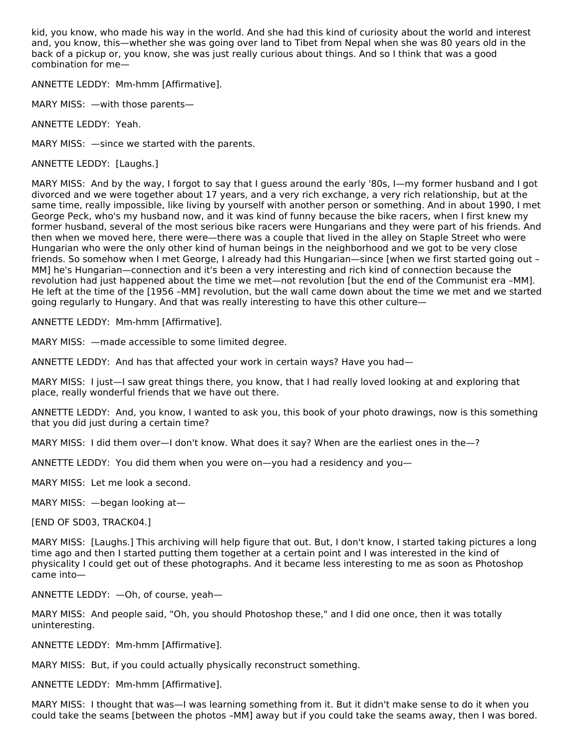kid, you know, who made his way in the world. And she had this kind of curiosity about the world and interest and, you know, this—whether she was going over land to Tibet from Nepal when she was 80 years old in the back of a pickup or, you know, she was just really curious about things. And so I think that was a good combination for me—

ANNETTE LEDDY: Mm-hmm [Affirmative].

MARY MISS: —with those parents—

ANNETTE LEDDY: Yeah.

MARY MISS: —since we started with the parents.

ANNETTE LEDDY: [Laughs.]

MARY MISS: And by the way, I forgot to say that I guess around the early '80s, I—my former husband and I got divorced and we were together about 17 years, and a very rich exchange, a very rich relationship, but at the same time, really impossible, like living by yourself with another person or something. And in about 1990, I met George Peck, who's my husband now, and it was kind of funny because the bike racers, when I first knew my former husband, several of the most serious bike racers were Hungarians and they were part of his friends. And then when we moved here, there were—there was a couple that lived in the alley on Staple Street who were Hungarian who were the only other kind of human beings in the neighborhood and we got to be very close friends. So somehow when I met George, I already had this Hungarian—since [when we first started going out – MM] he's Hungarian—connection and it's been a very interesting and rich kind of connection because the revolution had just happened about the time we met—not revolution [but the end of the Communist era –MM]. He left at the time of the [1956 –MM] revolution, but the wall came down about the time we met and we started going regularly to Hungary. And that was really interesting to have this other culture—

ANNETTE LEDDY: Mm-hmm [Affirmative].

MARY MISS: —made accessible to some limited degree.

ANNETTE LEDDY: And has that affected your work in certain ways? Have you had—

MARY MISS: I just—I saw great things there, you know, that I had really loved looking at and exploring that place, really wonderful friends that we have out there.

ANNETTE LEDDY: And, you know, I wanted to ask you, this book of your photo drawings, now is this something that you did just during a certain time?

MARY MISS: I did them over--I don't know. What does it say? When are the earliest ones in the--?

ANNETTE LEDDY: You did them when you were on—you had a residency and you—

MARY MISS: Let me look a second.

MARY MISS: —began looking at—

[END OF SD03, TRACK04.]

MARY MISS: [Laughs.] This archiving will help figure that out. But, I don't know, I started taking pictures a long time ago and then I started putting them together at a certain point and I was interested in the kind of physicality I could get out of these photographs. And it became less interesting to me as soon as Photoshop came into—

ANNETTE LEDDY: —Oh, of course, yeah—

MARY MISS: And people said, "Oh, you should Photoshop these," and I did one once, then it was totally uninteresting.

ANNETTE LEDDY: Mm-hmm [Affirmative].

MARY MISS: But, if you could actually physically reconstruct something.

ANNETTE LEDDY: Mm-hmm [Affirmative].

MARY MISS: I thought that was—I was learning something from it. But it didn't make sense to do it when you could take the seams [between the photos –MM] away but if you could take the seams away, then I was bored.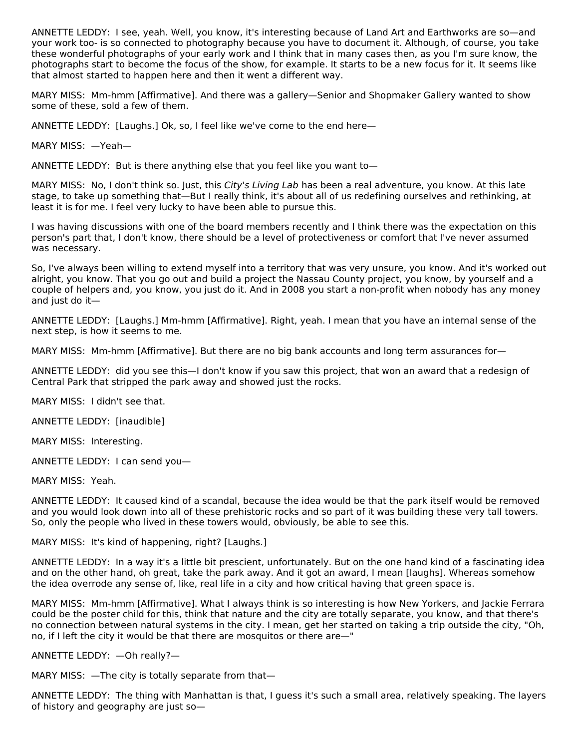ANNETTE LEDDY: I see, yeah. Well, you know, it's interesting because of Land Art and Earthworks are so—and your work too- is so connected to photography because you have to document it. Although, of course, you take these wonderful photographs of your early work and I think that in many cases then, as you I'm sure know, the photographs start to become the focus of the show, for example. It starts to be a new focus for it. It seems like that almost started to happen here and then it went a different way.

MARY MISS: Mm-hmm [Affirmative]. And there was a gallery—Senior and Shopmaker Gallery wanted to show some of these, sold a few of them.

ANNETTE LEDDY: [Laughs.] Ok, so, I feel like we've come to the end here—

MARY MISS: —Yeah—

ANNETTE LEDDY: But is there anything else that you feel like you want to—

MARY MISS: No, I don't think so. Just, this City's Living Lab has been a real adventure, you know. At this late stage, to take up something that—But I really think, it's about all of us redefining ourselves and rethinking, at least it is for me. I feel very lucky to have been able to pursue this.

I was having discussions with one of the board members recently and I think there was the expectation on this person's part that, I don't know, there should be a level of protectiveness or comfort that I've never assumed was necessary.

So, I've always been willing to extend myself into a territory that was very unsure, you know. And it's worked out alright, you know. That you go out and build a project the Nassau County project, you know, by yourself and a couple of helpers and, you know, you just do it. And in 2008 you start a non-profit when nobody has any money and just do it—

ANNETTE LEDDY: [Laughs.] Mm-hmm [Affirmative]. Right, yeah. I mean that you have an internal sense of the next step, is how it seems to me.

MARY MISS: Mm-hmm [Affirmative]. But there are no big bank accounts and long term assurances for—

ANNETTE LEDDY: did you see this—I don't know if you saw this project, that won an award that a redesign of Central Park that stripped the park away and showed just the rocks.

MARY MISS: I didn't see that.

ANNETTE LEDDY: [inaudible]

MARY MISS: Interesting.

ANNETTE LEDDY: I can send you—

MARY MISS: Yeah.

ANNETTE LEDDY: It caused kind of a scandal, because the idea would be that the park itself would be removed and you would look down into all of these prehistoric rocks and so part of it was building these very tall towers. So, only the people who lived in these towers would, obviously, be able to see this.

MARY MISS: It's kind of happening, right? [Laughs.]

ANNETTE LEDDY: In a way it's a little bit prescient, unfortunately. But on the one hand kind of a fascinating idea and on the other hand, oh great, take the park away. And it got an award, I mean [laughs]. Whereas somehow the idea overrode any sense of, like, real life in a city and how critical having that green space is.

MARY MISS: Mm-hmm [Affirmative]. What I always think is so interesting is how New Yorkers, and Jackie Ferrara could be the poster child for this, think that nature and the city are totally separate, you know, and that there's no connection between natural systems in the city. I mean, get her started on taking a trip outside the city, "Oh, no, if I left the city it would be that there are mosquitos or there are—"

ANNETTE LEDDY: —Oh really?—

MARY MISS: —The city is totally separate from that—

ANNETTE LEDDY: The thing with Manhattan is that, I guess it's such a small area, relatively speaking. The layers of history and geography are just so